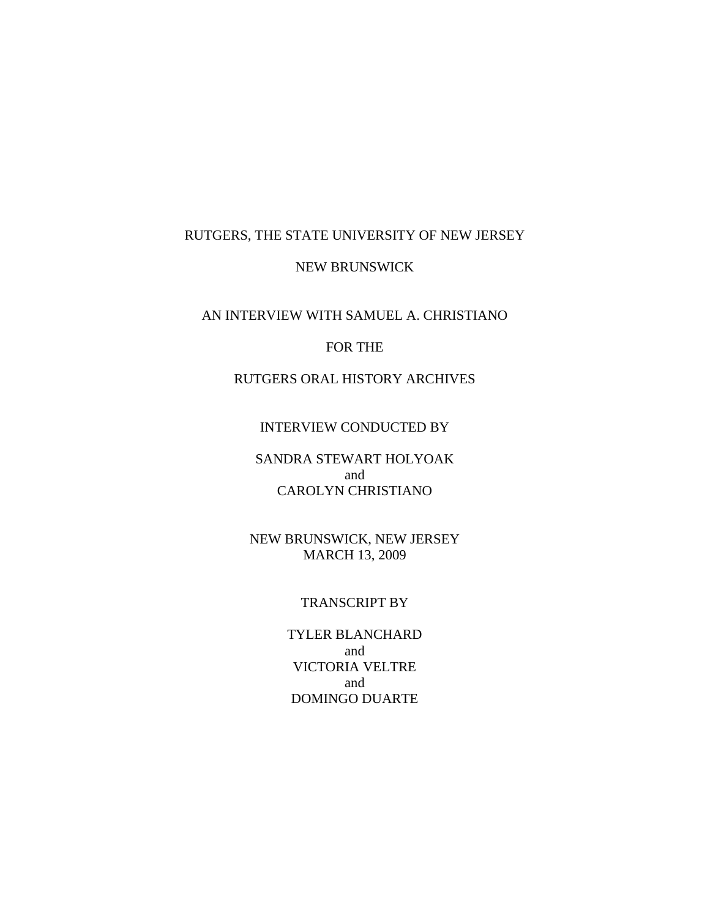# RUTGERS, THE STATE UNIVERSITY OF NEW JERSEY

### NEW BRUNSWICK

AN INTERVIEW WITH SAMUEL A. CHRISTIANO

### FOR THE

RUTGERS ORAL HISTORY ARCHIVES

#### INTERVIEW CONDUCTED BY

### SANDRA STEWART HOLYOAK and CAROLYN CHRISTIANO

NEW BRUNSWICK, NEW JERSEY MARCH 13, 2009

#### TRANSCRIPT BY

TYLER BLANCHARD and VICTORIA VELTRE and DOMINGO DUARTE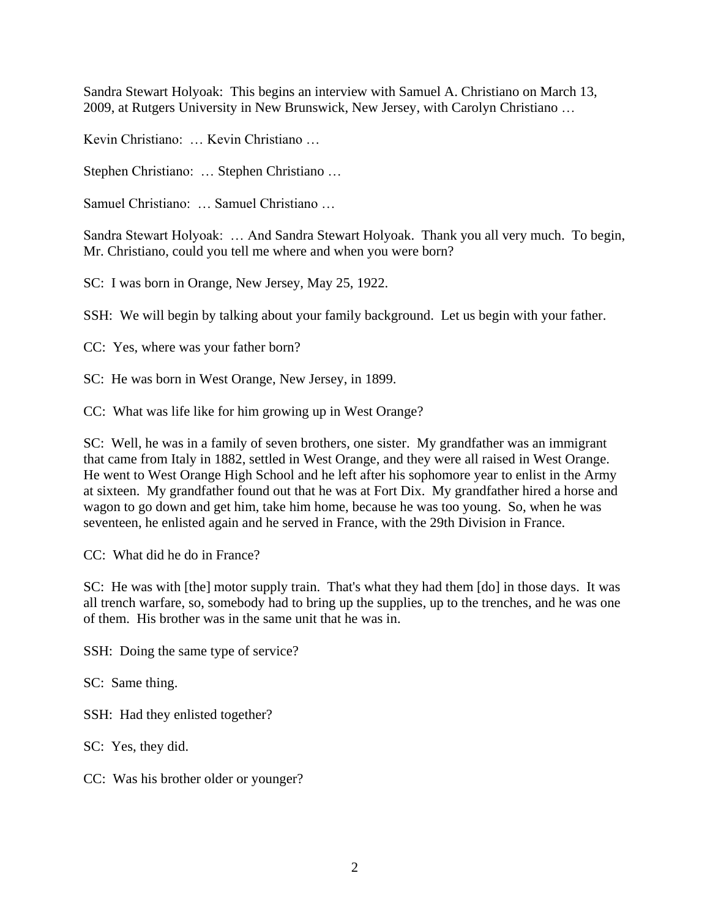Sandra Stewart Holyoak: This begins an interview with Samuel A. Christiano on March 13, 2009, at Rutgers University in New Brunswick, New Jersey, with Carolyn Christiano …

Kevin Christiano: … Kevin Christiano …

Stephen Christiano: … Stephen Christiano …

Samuel Christiano: … Samuel Christiano …

Sandra Stewart Holyoak: … And Sandra Stewart Holyoak. Thank you all very much. To begin, Mr. Christiano, could you tell me where and when you were born?

SC: I was born in Orange, New Jersey, May 25, 1922.

SSH: We will begin by talking about your family background. Let us begin with your father.

CC: Yes, where was your father born?

SC: He was born in West Orange, New Jersey, in 1899.

CC: What was life like for him growing up in West Orange?

SC: Well, he was in a family of seven brothers, one sister. My grandfather was an immigrant that came from Italy in 1882, settled in West Orange, and they were all raised in West Orange. He went to West Orange High School and he left after his sophomore year to enlist in the Army at sixteen. My grandfather found out that he was at Fort Dix. My grandfather hired a horse and wagon to go down and get him, take him home, because he was too young. So, when he was seventeen, he enlisted again and he served in France, with the 29th Division in France.

CC: What did he do in France?

SC: He was with [the] motor supply train. That's what they had them [do] in those days. It was all trench warfare, so, somebody had to bring up the supplies, up to the trenches, and he was one of them. His brother was in the same unit that he was in.

SSH: Doing the same type of service?

SC: Same thing.

SSH: Had they enlisted together?

SC: Yes, they did.

CC: Was his brother older or younger?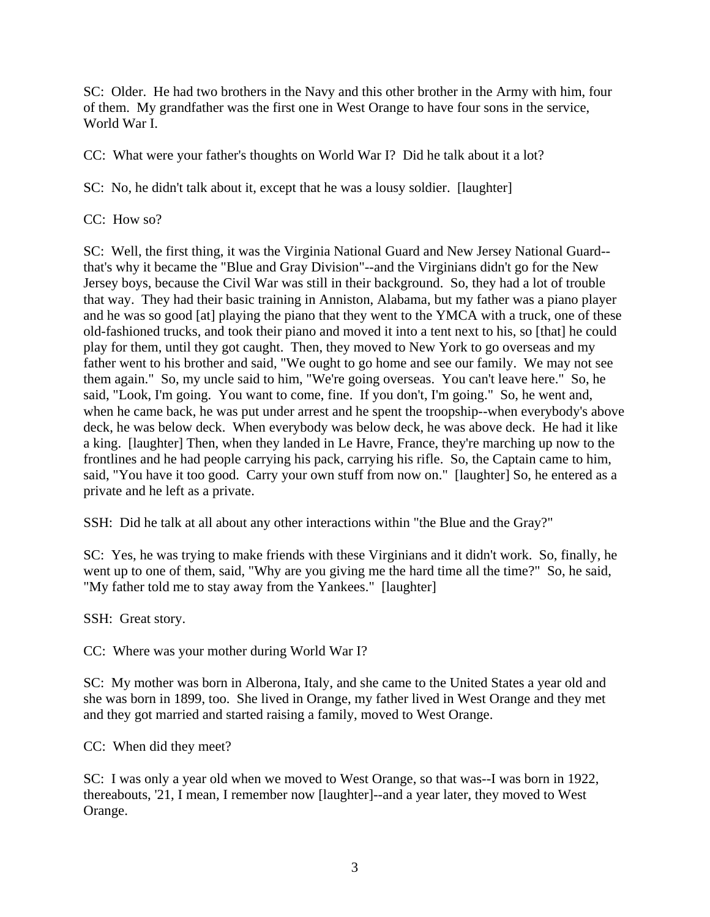SC: Older. He had two brothers in the Navy and this other brother in the Army with him, four of them. My grandfather was the first one in West Orange to have four sons in the service, World War I.

CC: What were your father's thoughts on World War I? Did he talk about it a lot?

SC: No, he didn't talk about it, except that he was a lousy soldier. [laughter]

CC: How so?

SC: Well, the first thing, it was the Virginia National Guard and New Jersey National Guard- that's why it became the "Blue and Gray Division"--and the Virginians didn't go for the New Jersey boys, because the Civil War was still in their background. So, they had a lot of trouble that way. They had their basic training in Anniston, Alabama, but my father was a piano player and he was so good [at] playing the piano that they went to the YMCA with a truck, one of these old-fashioned trucks, and took their piano and moved it into a tent next to his, so [that] he could play for them, until they got caught. Then, they moved to New York to go overseas and my father went to his brother and said, "We ought to go home and see our family. We may not see them again." So, my uncle said to him, "We're going overseas. You can't leave here." So, he said, "Look, I'm going. You want to come, fine. If you don't, I'm going." So, he went and, when he came back, he was put under arrest and he spent the troopship--when everybody's above deck, he was below deck. When everybody was below deck, he was above deck. He had it like a king. [laughter] Then, when they landed in Le Havre, France, they're marching up now to the frontlines and he had people carrying his pack, carrying his rifle. So, the Captain came to him, said, "You have it too good. Carry your own stuff from now on." [laughter] So, he entered as a private and he left as a private.

SSH: Did he talk at all about any other interactions within "the Blue and the Gray?"

SC: Yes, he was trying to make friends with these Virginians and it didn't work. So, finally, he went up to one of them, said, "Why are you giving me the hard time all the time?" So, he said, "My father told me to stay away from the Yankees." [laughter]

SSH: Great story.

CC: Where was your mother during World War I?

SC: My mother was born in Alberona, Italy, and she came to the United States a year old and she was born in 1899, too. She lived in Orange, my father lived in West Orange and they met and they got married and started raising a family, moved to West Orange.

CC: When did they meet?

SC: I was only a year old when we moved to West Orange, so that was--I was born in 1922, thereabouts, '21, I mean, I remember now [laughter]--and a year later, they moved to West Orange.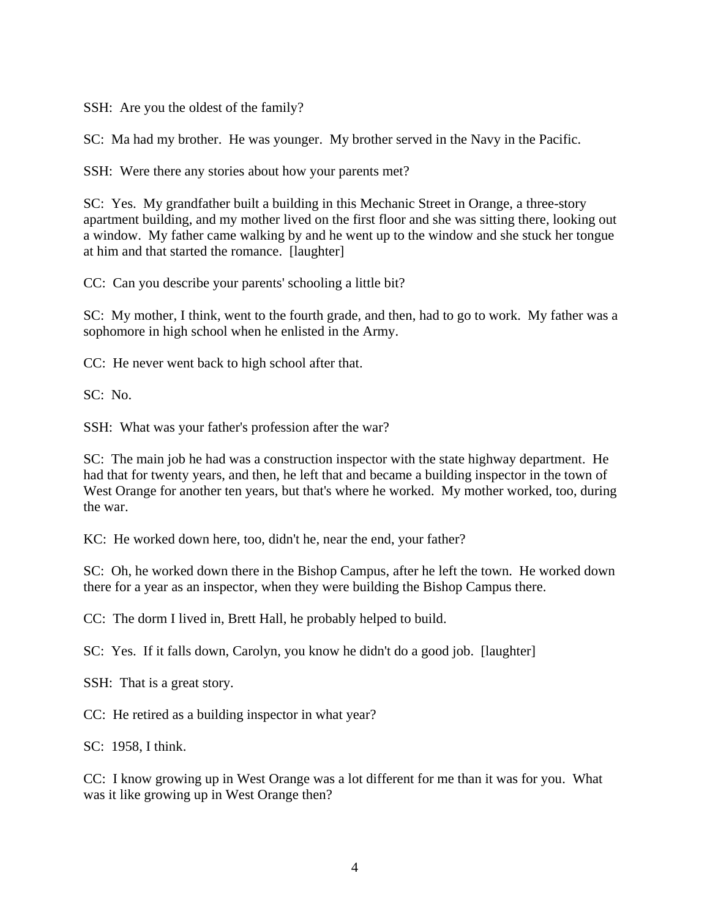SSH: Are you the oldest of the family?

SC: Ma had my brother. He was younger. My brother served in the Navy in the Pacific.

SSH: Were there any stories about how your parents met?

SC: Yes. My grandfather built a building in this Mechanic Street in Orange, a three-story apartment building, and my mother lived on the first floor and she was sitting there, looking out a window. My father came walking by and he went up to the window and she stuck her tongue at him and that started the romance. [laughter]

CC: Can you describe your parents' schooling a little bit?

SC: My mother, I think, went to the fourth grade, and then, had to go to work. My father was a sophomore in high school when he enlisted in the Army.

CC: He never went back to high school after that.

SC: No.

SSH: What was your father's profession after the war?

SC: The main job he had was a construction inspector with the state highway department. He had that for twenty years, and then, he left that and became a building inspector in the town of West Orange for another ten years, but that's where he worked. My mother worked, too, during the war.

KC: He worked down here, too, didn't he, near the end, your father?

SC: Oh, he worked down there in the Bishop Campus, after he left the town. He worked down there for a year as an inspector, when they were building the Bishop Campus there.

CC: The dorm I lived in, Brett Hall, he probably helped to build.

SC: Yes. If it falls down, Carolyn, you know he didn't do a good job. [laughter]

SSH: That is a great story.

CC: He retired as a building inspector in what year?

SC: 1958, I think.

CC: I know growing up in West Orange was a lot different for me than it was for you. What was it like growing up in West Orange then?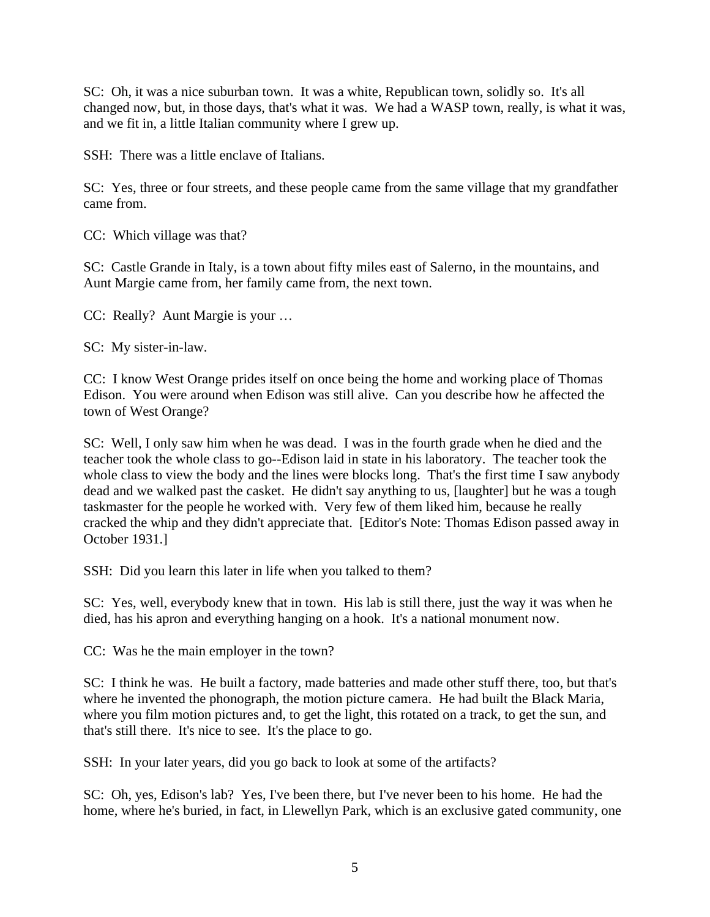SC: Oh, it was a nice suburban town. It was a white, Republican town, solidly so. It's all changed now, but, in those days, that's what it was. We had a WASP town, really, is what it was, and we fit in, a little Italian community where I grew up.

SSH: There was a little enclave of Italians.

SC: Yes, three or four streets, and these people came from the same village that my grandfather came from.

CC: Which village was that?

SC: Castle Grande in Italy, is a town about fifty miles east of Salerno, in the mountains, and Aunt Margie came from, her family came from, the next town.

CC: Really? Aunt Margie is your …

SC: My sister-in-law.

CC: I know West Orange prides itself on once being the home and working place of Thomas Edison. You were around when Edison was still alive. Can you describe how he affected the town of West Orange?

SC: Well, I only saw him when he was dead. I was in the fourth grade when he died and the teacher took the whole class to go--Edison laid in state in his laboratory. The teacher took the whole class to view the body and the lines were blocks long. That's the first time I saw anybody dead and we walked past the casket. He didn't say anything to us, [laughter] but he was a tough taskmaster for the people he worked with. Very few of them liked him, because he really cracked the whip and they didn't appreciate that. [Editor's Note: Thomas Edison passed away in October 1931.]

SSH: Did you learn this later in life when you talked to them?

SC: Yes, well, everybody knew that in town. His lab is still there, just the way it was when he died, has his apron and everything hanging on a hook. It's a national monument now.

CC: Was he the main employer in the town?

SC: I think he was. He built a factory, made batteries and made other stuff there, too, but that's where he invented the phonograph, the motion picture camera. He had built the Black Maria, where you film motion pictures and, to get the light, this rotated on a track, to get the sun, and that's still there. It's nice to see. It's the place to go.

SSH: In your later years, did you go back to look at some of the artifacts?

SC: Oh, yes, Edison's lab? Yes, I've been there, but I've never been to his home. He had the home, where he's buried, in fact, in Llewellyn Park, which is an exclusive gated community, one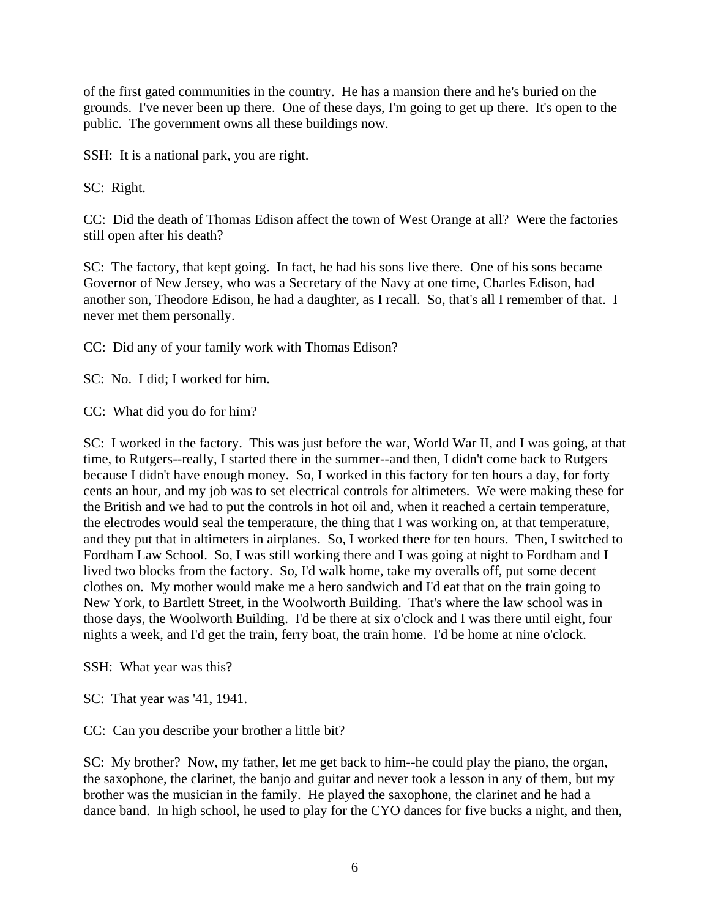of the first gated communities in the country. He has a mansion there and he's buried on the grounds. I've never been up there. One of these days, I'm going to get up there. It's open to the public. The government owns all these buildings now.

SSH: It is a national park, you are right.

SC: Right.

CC: Did the death of Thomas Edison affect the town of West Orange at all? Were the factories still open after his death?

SC: The factory, that kept going. In fact, he had his sons live there. One of his sons became Governor of New Jersey, who was a Secretary of the Navy at one time, Charles Edison, had another son, Theodore Edison, he had a daughter, as I recall. So, that's all I remember of that. I never met them personally.

CC: Did any of your family work with Thomas Edison?

SC: No. I did; I worked for him.

CC: What did you do for him?

SC: I worked in the factory. This was just before the war, World War II, and I was going, at that time, to Rutgers--really, I started there in the summer--and then, I didn't come back to Rutgers because I didn't have enough money. So, I worked in this factory for ten hours a day, for forty cents an hour, and my job was to set electrical controls for altimeters. We were making these for the British and we had to put the controls in hot oil and, when it reached a certain temperature, the electrodes would seal the temperature, the thing that I was working on, at that temperature, and they put that in altimeters in airplanes. So, I worked there for ten hours. Then, I switched to Fordham Law School. So, I was still working there and I was going at night to Fordham and I lived two blocks from the factory. So, I'd walk home, take my overalls off, put some decent clothes on. My mother would make me a hero sandwich and I'd eat that on the train going to New York, to Bartlett Street, in the Woolworth Building. That's where the law school was in those days, the Woolworth Building. I'd be there at six o'clock and I was there until eight, four nights a week, and I'd get the train, ferry boat, the train home. I'd be home at nine o'clock.

SSH: What year was this?

SC: That year was '41, 1941.

CC: Can you describe your brother a little bit?

SC: My brother? Now, my father, let me get back to him--he could play the piano, the organ, the saxophone, the clarinet, the banjo and guitar and never took a lesson in any of them, but my brother was the musician in the family. He played the saxophone, the clarinet and he had a dance band. In high school, he used to play for the CYO dances for five bucks a night, and then,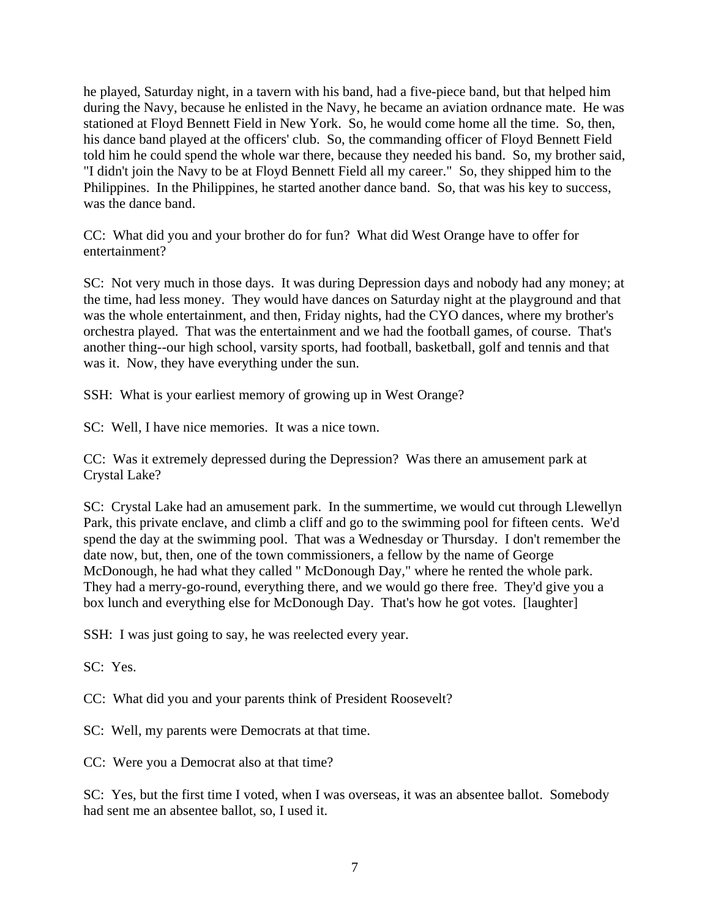he played, Saturday night, in a tavern with his band, had a five-piece band, but that helped him during the Navy, because he enlisted in the Navy, he became an aviation ordnance mate. He was stationed at Floyd Bennett Field in New York. So, he would come home all the time. So, then, his dance band played at the officers' club. So, the commanding officer of Floyd Bennett Field told him he could spend the whole war there, because they needed his band. So, my brother said, "I didn't join the Navy to be at Floyd Bennett Field all my career." So, they shipped him to the Philippines. In the Philippines, he started another dance band. So, that was his key to success, was the dance band.

CC: What did you and your brother do for fun? What did West Orange have to offer for entertainment?

SC: Not very much in those days. It was during Depression days and nobody had any money; at the time, had less money. They would have dances on Saturday night at the playground and that was the whole entertainment, and then, Friday nights, had the CYO dances, where my brother's orchestra played. That was the entertainment and we had the football games, of course. That's another thing--our high school, varsity sports, had football, basketball, golf and tennis and that was it. Now, they have everything under the sun.

SSH: What is your earliest memory of growing up in West Orange?

SC: Well, I have nice memories. It was a nice town.

CC: Was it extremely depressed during the Depression? Was there an amusement park at Crystal Lake?

SC: Crystal Lake had an amusement park. In the summertime, we would cut through Llewellyn Park, this private enclave, and climb a cliff and go to the swimming pool for fifteen cents. We'd spend the day at the swimming pool. That was a Wednesday or Thursday. I don't remember the date now, but, then, one of the town commissioners, a fellow by the name of George McDonough, he had what they called " McDonough Day," where he rented the whole park. They had a merry-go-round, everything there, and we would go there free. They'd give you a box lunch and everything else for McDonough Day. That's how he got votes. [laughter]

SSH: I was just going to say, he was reelected every year.

SC: Yes.

CC: What did you and your parents think of President Roosevelt?

SC: Well, my parents were Democrats at that time.

CC: Were you a Democrat also at that time?

SC: Yes, but the first time I voted, when I was overseas, it was an absentee ballot. Somebody had sent me an absentee ballot, so, I used it.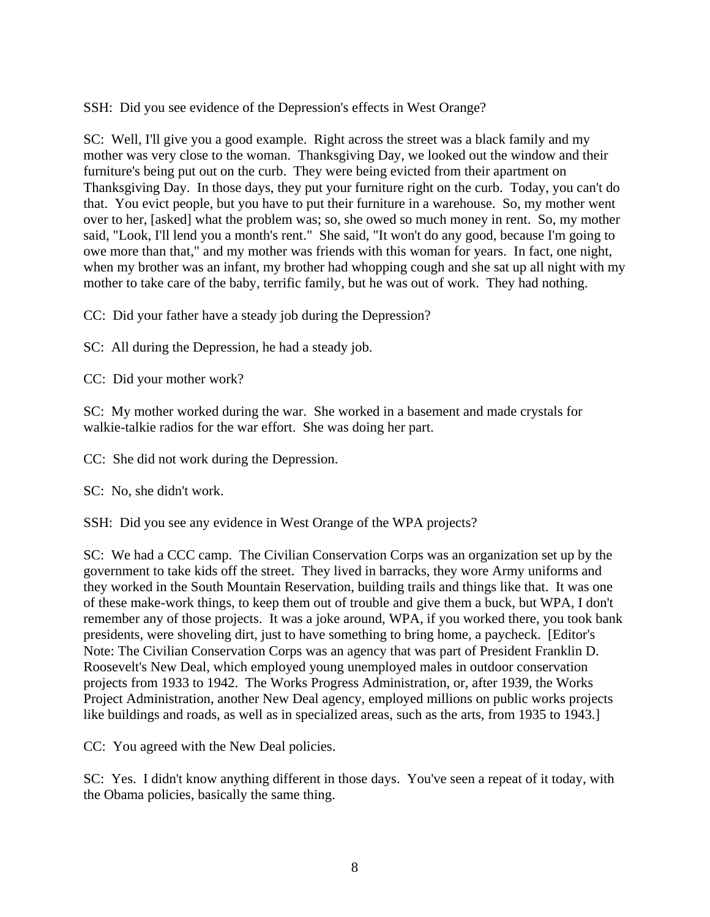SSH: Did you see evidence of the Depression's effects in West Orange?

SC: Well, I'll give you a good example. Right across the street was a black family and my mother was very close to the woman. Thanksgiving Day, we looked out the window and their furniture's being put out on the curb. They were being evicted from their apartment on Thanksgiving Day. In those days, they put your furniture right on the curb. Today, you can't do that. You evict people, but you have to put their furniture in a warehouse. So, my mother went over to her, [asked] what the problem was; so, she owed so much money in rent. So, my mother said, "Look, I'll lend you a month's rent." She said, "It won't do any good, because I'm going to owe more than that," and my mother was friends with this woman for years. In fact, one night, when my brother was an infant, my brother had whopping cough and she sat up all night with my mother to take care of the baby, terrific family, but he was out of work. They had nothing.

CC: Did your father have a steady job during the Depression?

SC: All during the Depression, he had a steady job.

CC: Did your mother work?

SC: My mother worked during the war. She worked in a basement and made crystals for walkie-talkie radios for the war effort. She was doing her part.

CC: She did not work during the Depression.

SC: No, she didn't work.

SSH: Did you see any evidence in West Orange of the WPA projects?

SC: We had a CCC camp. The Civilian Conservation Corps was an organization set up by the government to take kids off the street. They lived in barracks, they wore Army uniforms and they worked in the South Mountain Reservation, building trails and things like that. It was one of these make-work things, to keep them out of trouble and give them a buck, but WPA, I don't remember any of those projects. It was a joke around, WPA, if you worked there, you took bank presidents, were shoveling dirt, just to have something to bring home, a paycheck. [Editor's Note: The Civilian Conservation Corps was an agency that was part of President Franklin D. Roosevelt's New Deal, which employed young unemployed males in outdoor conservation projects from 1933 to 1942. The Works Progress Administration, or, after 1939, the Works Project Administration, another New Deal agency, employed millions on public works projects like buildings and roads, as well as in specialized areas, such as the arts, from 1935 to 1943.]

CC: You agreed with the New Deal policies.

SC: Yes. I didn't know anything different in those days. You've seen a repeat of it today, with the Obama policies, basically the same thing.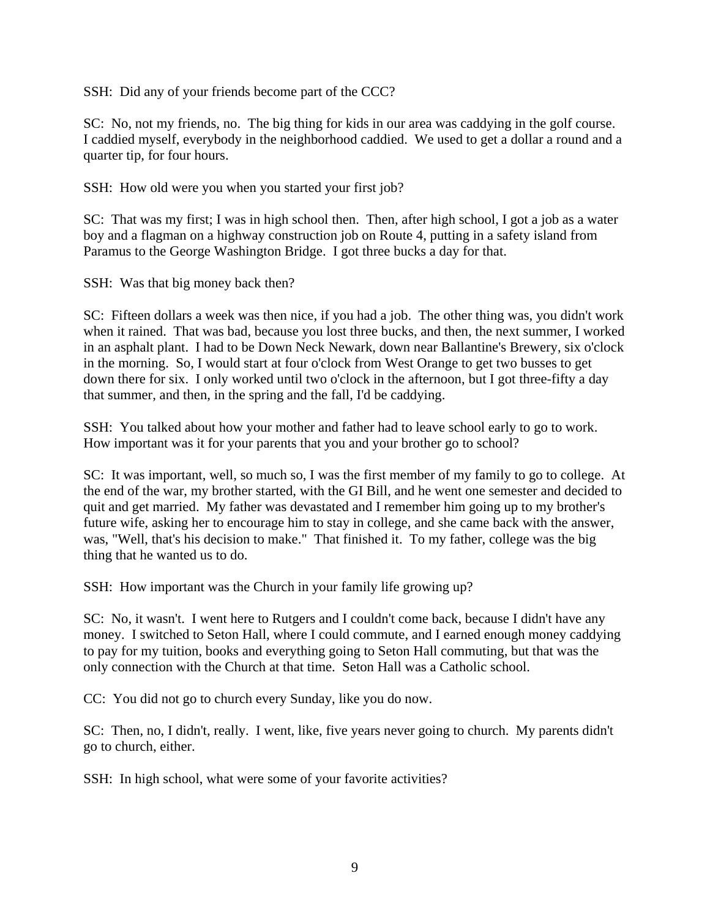SSH: Did any of your friends become part of the CCC?

SC: No, not my friends, no. The big thing for kids in our area was caddying in the golf course. I caddied myself, everybody in the neighborhood caddied. We used to get a dollar a round and a quarter tip, for four hours.

SSH: How old were you when you started your first job?

SC: That was my first; I was in high school then. Then, after high school, I got a job as a water boy and a flagman on a highway construction job on Route 4, putting in a safety island from Paramus to the George Washington Bridge. I got three bucks a day for that.

SSH: Was that big money back then?

SC: Fifteen dollars a week was then nice, if you had a job. The other thing was, you didn't work when it rained. That was bad, because you lost three bucks, and then, the next summer, I worked in an asphalt plant. I had to be Down Neck Newark, down near Ballantine's Brewery, six o'clock in the morning. So, I would start at four o'clock from West Orange to get two busses to get down there for six. I only worked until two o'clock in the afternoon, but I got three-fifty a day that summer, and then, in the spring and the fall, I'd be caddying.

SSH: You talked about how your mother and father had to leave school early to go to work. How important was it for your parents that you and your brother go to school?

SC: It was important, well, so much so, I was the first member of my family to go to college. At the end of the war, my brother started, with the GI Bill, and he went one semester and decided to quit and get married. My father was devastated and I remember him going up to my brother's future wife, asking her to encourage him to stay in college, and she came back with the answer, was, "Well, that's his decision to make." That finished it. To my father, college was the big thing that he wanted us to do.

SSH: How important was the Church in your family life growing up?

SC: No, it wasn't. I went here to Rutgers and I couldn't come back, because I didn't have any money. I switched to Seton Hall, where I could commute, and I earned enough money caddying to pay for my tuition, books and everything going to Seton Hall commuting, but that was the only connection with the Church at that time. Seton Hall was a Catholic school.

CC: You did not go to church every Sunday, like you do now.

SC: Then, no, I didn't, really. I went, like, five years never going to church. My parents didn't go to church, either.

SSH: In high school, what were some of your favorite activities?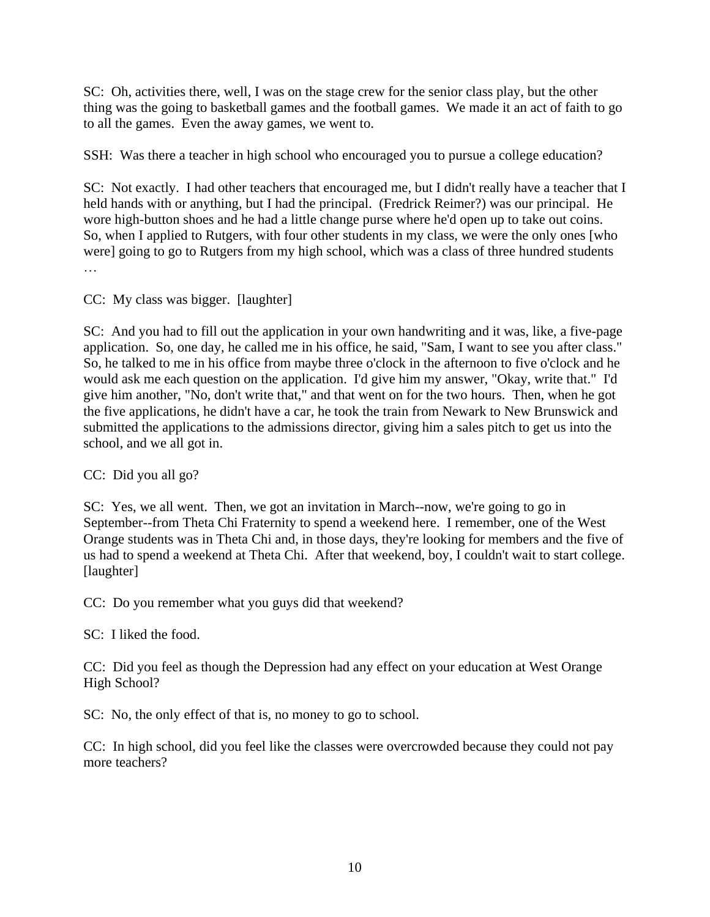SC: Oh, activities there, well, I was on the stage crew for the senior class play, but the other thing was the going to basketball games and the football games. We made it an act of faith to go to all the games. Even the away games, we went to.

SSH: Was there a teacher in high school who encouraged you to pursue a college education?

SC: Not exactly. I had other teachers that encouraged me, but I didn't really have a teacher that I held hands with or anything, but I had the principal. (Fredrick Reimer?) was our principal. He wore high-button shoes and he had a little change purse where he'd open up to take out coins. So, when I applied to Rutgers, with four other students in my class, we were the only ones [who were] going to go to Rutgers from my high school, which was a class of three hundred students …

CC: My class was bigger. [laughter]

SC: And you had to fill out the application in your own handwriting and it was, like, a five-page application. So, one day, he called me in his office, he said, "Sam, I want to see you after class." So, he talked to me in his office from maybe three o'clock in the afternoon to five o'clock and he would ask me each question on the application. I'd give him my answer, "Okay, write that." I'd give him another, "No, don't write that," and that went on for the two hours. Then, when he got the five applications, he didn't have a car, he took the train from Newark to New Brunswick and submitted the applications to the admissions director, giving him a sales pitch to get us into the school, and we all got in.

CC: Did you all go?

SC: Yes, we all went. Then, we got an invitation in March--now, we're going to go in September--from Theta Chi Fraternity to spend a weekend here. I remember, one of the West Orange students was in Theta Chi and, in those days, they're looking for members and the five of us had to spend a weekend at Theta Chi. After that weekend, boy, I couldn't wait to start college. [laughter]

CC: Do you remember what you guys did that weekend?

SC: I liked the food.

CC: Did you feel as though the Depression had any effect on your education at West Orange High School?

SC: No, the only effect of that is, no money to go to school.

CC: In high school, did you feel like the classes were overcrowded because they could not pay more teachers?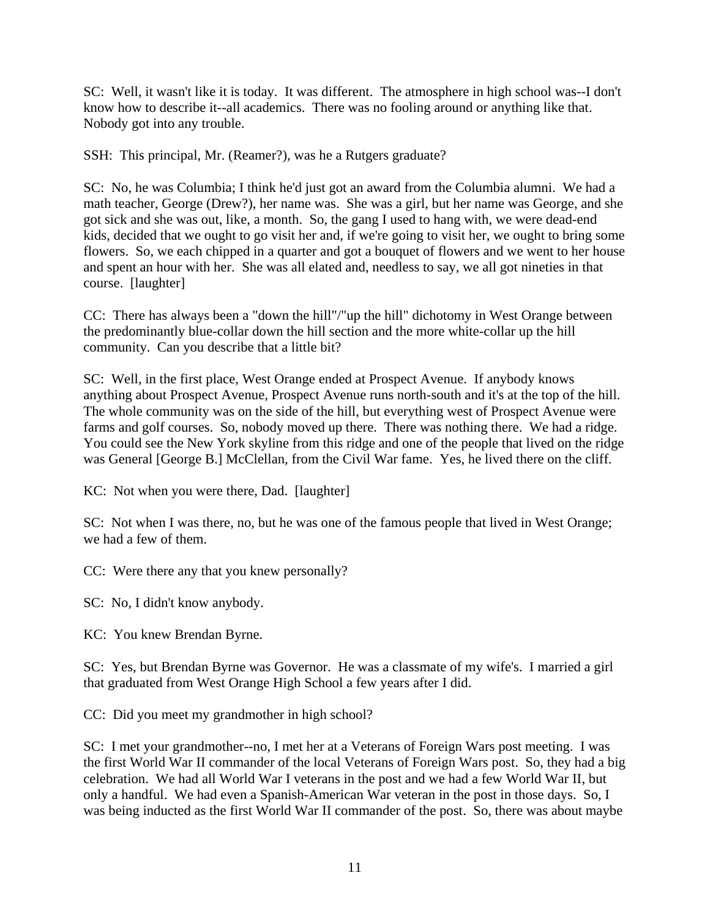SC: Well, it wasn't like it is today. It was different. The atmosphere in high school was--I don't know how to describe it--all academics. There was no fooling around or anything like that. Nobody got into any trouble.

SSH: This principal, Mr. (Reamer?), was he a Rutgers graduate?

SC: No, he was Columbia; I think he'd just got an award from the Columbia alumni. We had a math teacher, George (Drew?), her name was. She was a girl, but her name was George, and she got sick and she was out, like, a month. So, the gang I used to hang with, we were dead-end kids, decided that we ought to go visit her and, if we're going to visit her, we ought to bring some flowers. So, we each chipped in a quarter and got a bouquet of flowers and we went to her house and spent an hour with her. She was all elated and, needless to say, we all got nineties in that course. [laughter]

CC: There has always been a "down the hill"/"up the hill" dichotomy in West Orange between the predominantly blue-collar down the hill section and the more white-collar up the hill community. Can you describe that a little bit?

SC: Well, in the first place, West Orange ended at Prospect Avenue. If anybody knows anything about Prospect Avenue, Prospect Avenue runs north-south and it's at the top of the hill. The whole community was on the side of the hill, but everything west of Prospect Avenue were farms and golf courses. So, nobody moved up there. There was nothing there. We had a ridge. You could see the New York skyline from this ridge and one of the people that lived on the ridge was General [George B.] McClellan, from the Civil War fame. Yes, he lived there on the cliff.

KC: Not when you were there, Dad. [laughter]

SC: Not when I was there, no, but he was one of the famous people that lived in West Orange; we had a few of them.

CC: Were there any that you knew personally?

SC: No, I didn't know anybody.

KC: You knew Brendan Byrne.

SC: Yes, but Brendan Byrne was Governor. He was a classmate of my wife's. I married a girl that graduated from West Orange High School a few years after I did.

CC: Did you meet my grandmother in high school?

SC: I met your grandmother--no, I met her at a Veterans of Foreign Wars post meeting. I was the first World War II commander of the local Veterans of Foreign Wars post. So, they had a big celebration. We had all World War I veterans in the post and we had a few World War II, but only a handful. We had even a Spanish-American War veteran in the post in those days. So, I was being inducted as the first World War II commander of the post. So, there was about maybe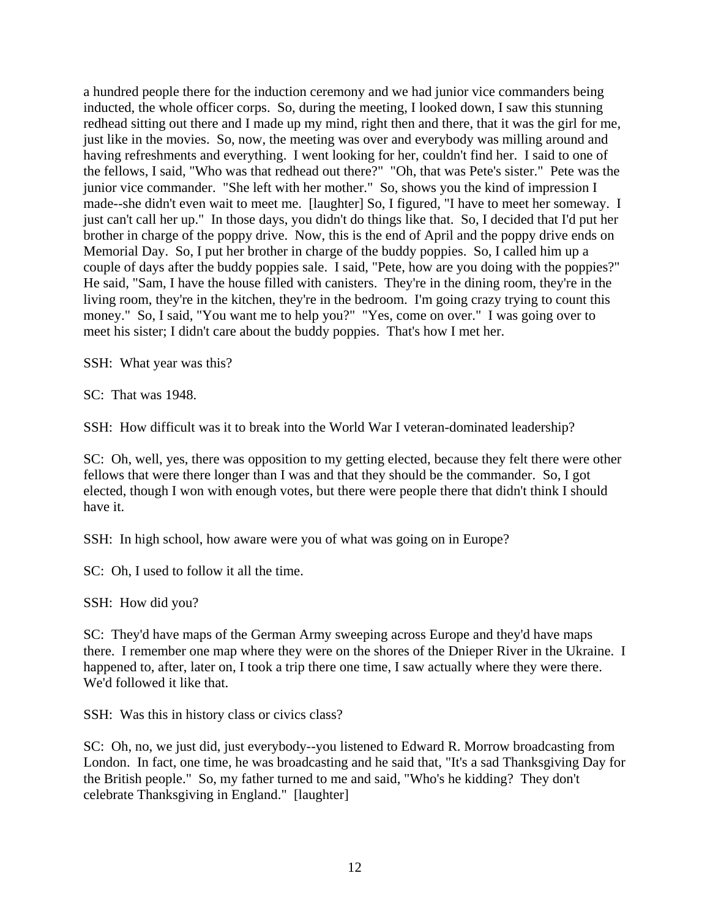a hundred people there for the induction ceremony and we had junior vice commanders being inducted, the whole officer corps. So, during the meeting, I looked down, I saw this stunning redhead sitting out there and I made up my mind, right then and there, that it was the girl for me, just like in the movies. So, now, the meeting was over and everybody was milling around and having refreshments and everything. I went looking for her, couldn't find her. I said to one of the fellows, I said, "Who was that redhead out there?" "Oh, that was Pete's sister." Pete was the junior vice commander. "She left with her mother." So, shows you the kind of impression I made--she didn't even wait to meet me. [laughter] So, I figured, "I have to meet her someway. I just can't call her up." In those days, you didn't do things like that. So, I decided that I'd put her brother in charge of the poppy drive. Now, this is the end of April and the poppy drive ends on Memorial Day. So, I put her brother in charge of the buddy poppies. So, I called him up a couple of days after the buddy poppies sale. I said, "Pete, how are you doing with the poppies?" He said, "Sam, I have the house filled with canisters. They're in the dining room, they're in the living room, they're in the kitchen, they're in the bedroom. I'm going crazy trying to count this money." So, I said, "You want me to help you?" "Yes, come on over." I was going over to meet his sister; I didn't care about the buddy poppies. That's how I met her.

SSH: What year was this?

SC: That was 1948.

SSH: How difficult was it to break into the World War I veteran-dominated leadership?

SC: Oh, well, yes, there was opposition to my getting elected, because they felt there were other fellows that were there longer than I was and that they should be the commander. So, I got elected, though I won with enough votes, but there were people there that didn't think I should have it.

SSH: In high school, how aware were you of what was going on in Europe?

SC: Oh, I used to follow it all the time.

SSH: How did you?

SC: They'd have maps of the German Army sweeping across Europe and they'd have maps there. I remember one map where they were on the shores of the Dnieper River in the Ukraine. I happened to, after, later on, I took a trip there one time, I saw actually where they were there. We'd followed it like that.

SSH: Was this in history class or civics class?

SC: Oh, no, we just did, just everybody--you listened to Edward R. Morrow broadcasting from London. In fact, one time, he was broadcasting and he said that, "It's a sad Thanksgiving Day for the British people." So, my father turned to me and said, "Who's he kidding? They don't celebrate Thanksgiving in England." [laughter]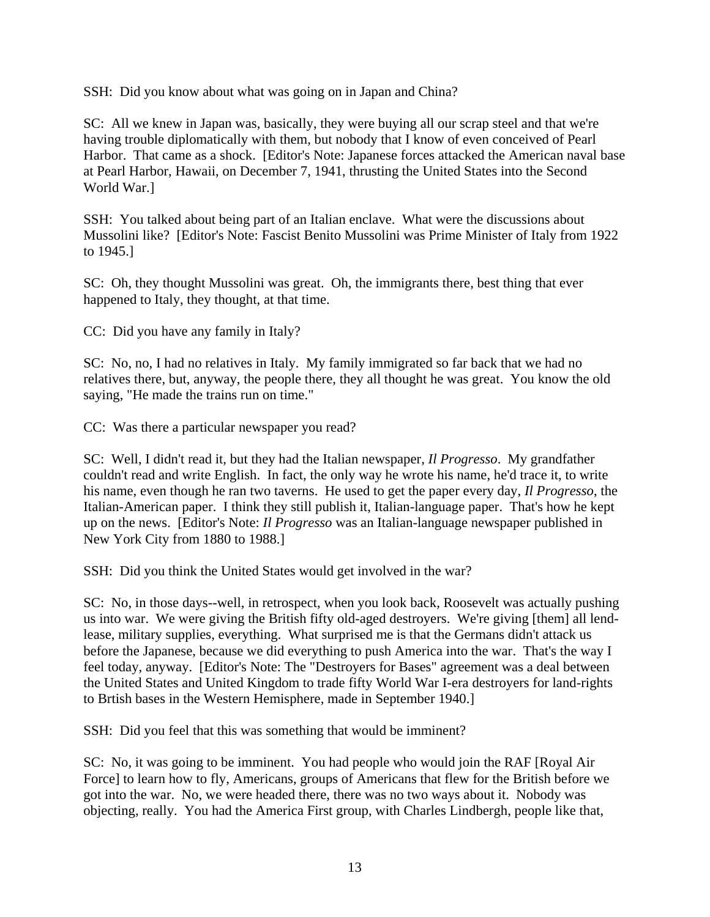SSH: Did you know about what was going on in Japan and China?

SC: All we knew in Japan was, basically, they were buying all our scrap steel and that we're having trouble diplomatically with them, but nobody that I know of even conceived of Pearl Harbor. That came as a shock. [Editor's Note: Japanese forces attacked the American naval base at Pearl Harbor, Hawaii, on December 7, 1941, thrusting the United States into the Second World War.]

SSH: You talked about being part of an Italian enclave. What were the discussions about Mussolini like? [Editor's Note: Fascist Benito Mussolini was Prime Minister of Italy from 1922 to 1945.]

SC: Oh, they thought Mussolini was great. Oh, the immigrants there, best thing that ever happened to Italy, they thought, at that time.

CC: Did you have any family in Italy?

SC: No, no, I had no relatives in Italy. My family immigrated so far back that we had no relatives there, but, anyway, the people there, they all thought he was great. You know the old saying, "He made the trains run on time."

CC: Was there a particular newspaper you read?

SC: Well, I didn't read it, but they had the Italian newspaper, *Il Progresso*. My grandfather couldn't read and write English. In fact, the only way he wrote his name, he'd trace it, to write his name, even though he ran two taverns. He used to get the paper every day, *Il Progresso*, the Italian-American paper. I think they still publish it, Italian-language paper. That's how he kept up on the news. [Editor's Note: *Il Progresso* was an Italian-language newspaper published in New York City from 1880 to 1988.]

SSH: Did you think the United States would get involved in the war?

SC: No, in those days--well, in retrospect, when you look back, Roosevelt was actually pushing us into war. We were giving the British fifty old-aged destroyers. We're giving [them] all lendlease, military supplies, everything. What surprised me is that the Germans didn't attack us before the Japanese, because we did everything to push America into the war. That's the way I feel today, anyway. [Editor's Note: The "Destroyers for Bases" agreement was a deal between the United States and United Kingdom to trade fifty World War I-era destroyers for land-rights to Brtish bases in the Western Hemisphere, made in September 1940.]

SSH: Did you feel that this was something that would be imminent?

SC: No, it was going to be imminent. You had people who would join the RAF [Royal Air Force] to learn how to fly, Americans, groups of Americans that flew for the British before we got into the war. No, we were headed there, there was no two ways about it. Nobody was objecting, really. You had the America First group, with Charles Lindbergh, people like that,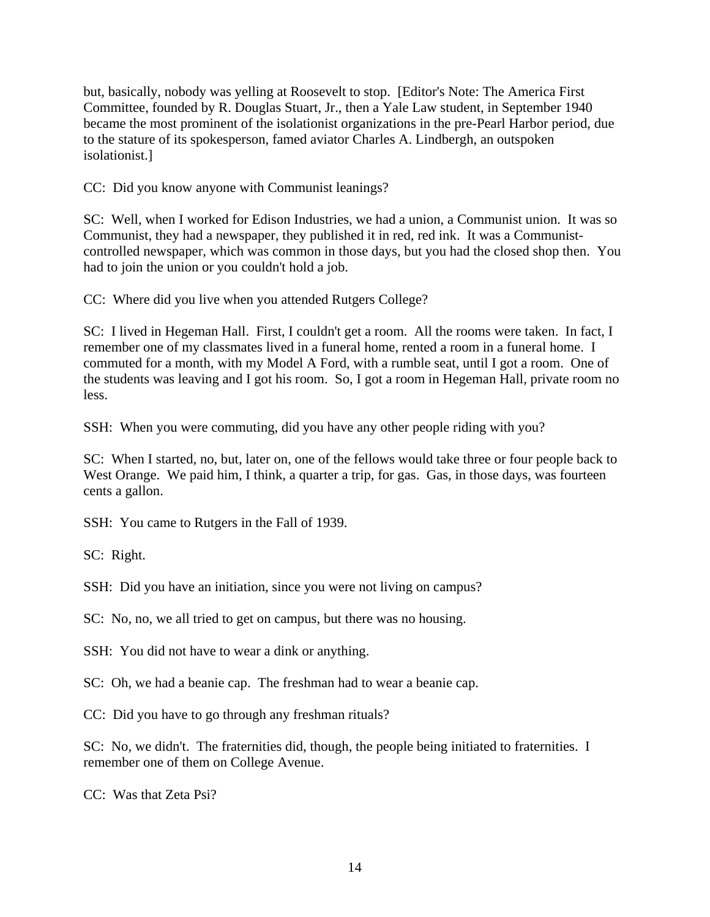but, basically, nobody was yelling at Roosevelt to stop. [Editor's Note: The America First Committee, founded by R. Douglas Stuart, Jr., then a Yale Law student, in September 1940 became the most prominent of the isolationist organizations in the pre-Pearl Harbor period, due to the stature of its spokesperson, famed aviator Charles A. Lindbergh, an outspoken isolationist.]

CC: Did you know anyone with Communist leanings?

SC: Well, when I worked for Edison Industries, we had a union, a Communist union. It was so Communist, they had a newspaper, they published it in red, red ink. It was a Communistcontrolled newspaper, which was common in those days, but you had the closed shop then. You had to join the union or you couldn't hold a job.

CC: Where did you live when you attended Rutgers College?

SC: I lived in Hegeman Hall. First, I couldn't get a room. All the rooms were taken. In fact, I remember one of my classmates lived in a funeral home, rented a room in a funeral home. I commuted for a month, with my Model A Ford, with a rumble seat, until I got a room. One of the students was leaving and I got his room. So, I got a room in Hegeman Hall, private room no less.

SSH: When you were commuting, did you have any other people riding with you?

SC: When I started, no, but, later on, one of the fellows would take three or four people back to West Orange. We paid him, I think, a quarter a trip, for gas. Gas, in those days, was fourteen cents a gallon.

SSH: You came to Rutgers in the Fall of 1939.

SC: Right.

SSH: Did you have an initiation, since you were not living on campus?

SC: No, no, we all tried to get on campus, but there was no housing.

SSH: You did not have to wear a dink or anything.

SC: Oh, we had a beanie cap. The freshman had to wear a beanie cap.

CC: Did you have to go through any freshman rituals?

SC: No, we didn't. The fraternities did, though, the people being initiated to fraternities. I remember one of them on College Avenue.

CC: Was that Zeta Psi?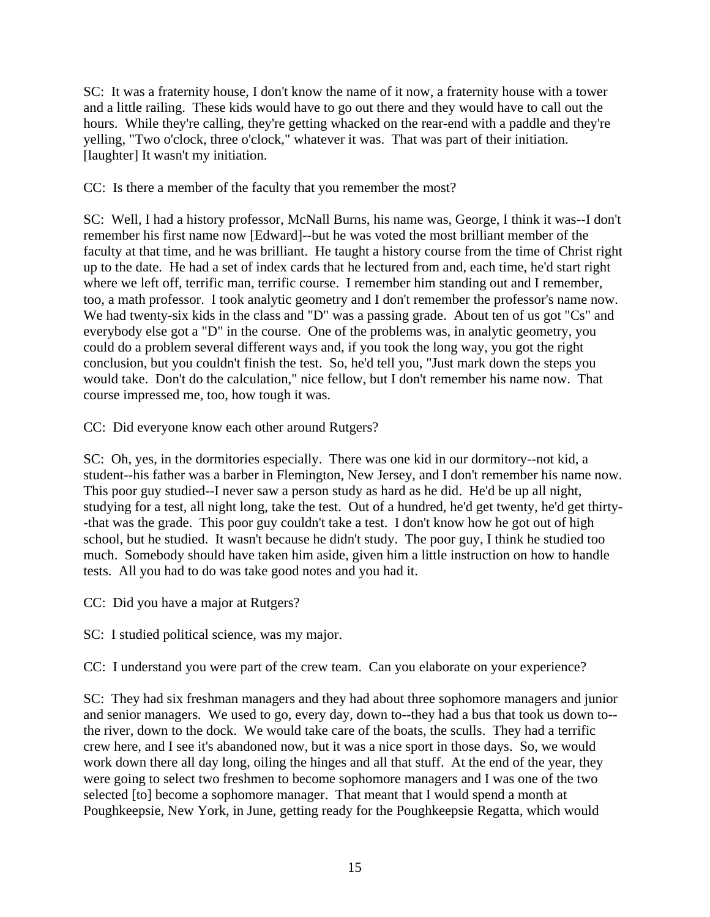SC: It was a fraternity house, I don't know the name of it now, a fraternity house with a tower and a little railing. These kids would have to go out there and they would have to call out the hours. While they're calling, they're getting whacked on the rear-end with a paddle and they're yelling, "Two o'clock, three o'clock," whatever it was. That was part of their initiation. [laughter] It wasn't my initiation.

CC: Is there a member of the faculty that you remember the most?

SC: Well, I had a history professor, McNall Burns, his name was, George, I think it was--I don't remember his first name now [Edward]--but he was voted the most brilliant member of the faculty at that time, and he was brilliant. He taught a history course from the time of Christ right up to the date. He had a set of index cards that he lectured from and, each time, he'd start right where we left off, terrific man, terrific course. I remember him standing out and I remember, too, a math professor. I took analytic geometry and I don't remember the professor's name now. We had twenty-six kids in the class and "D" was a passing grade. About ten of us got "Cs" and everybody else got a "D" in the course. One of the problems was, in analytic geometry, you could do a problem several different ways and, if you took the long way, you got the right conclusion, but you couldn't finish the test. So, he'd tell you, "Just mark down the steps you would take. Don't do the calculation," nice fellow, but I don't remember his name now. That course impressed me, too, how tough it was.

CC: Did everyone know each other around Rutgers?

SC: Oh, yes, in the dormitories especially. There was one kid in our dormitory--not kid, a student--his father was a barber in Flemington, New Jersey, and I don't remember his name now. This poor guy studied--I never saw a person study as hard as he did. He'd be up all night, studying for a test, all night long, take the test. Out of a hundred, he'd get twenty, he'd get thirty- -that was the grade. This poor guy couldn't take a test. I don't know how he got out of high school, but he studied. It wasn't because he didn't study. The poor guy, I think he studied too much. Somebody should have taken him aside, given him a little instruction on how to handle tests. All you had to do was take good notes and you had it.

CC: Did you have a major at Rutgers?

SC: I studied political science, was my major.

CC: I understand you were part of the crew team. Can you elaborate on your experience?

SC: They had six freshman managers and they had about three sophomore managers and junior and senior managers. We used to go, every day, down to--they had a bus that took us down to- the river, down to the dock. We would take care of the boats, the sculls. They had a terrific crew here, and I see it's abandoned now, but it was a nice sport in those days. So, we would work down there all day long, oiling the hinges and all that stuff. At the end of the year, they were going to select two freshmen to become sophomore managers and I was one of the two selected [to] become a sophomore manager. That meant that I would spend a month at Poughkeepsie, New York, in June, getting ready for the Poughkeepsie Regatta, which would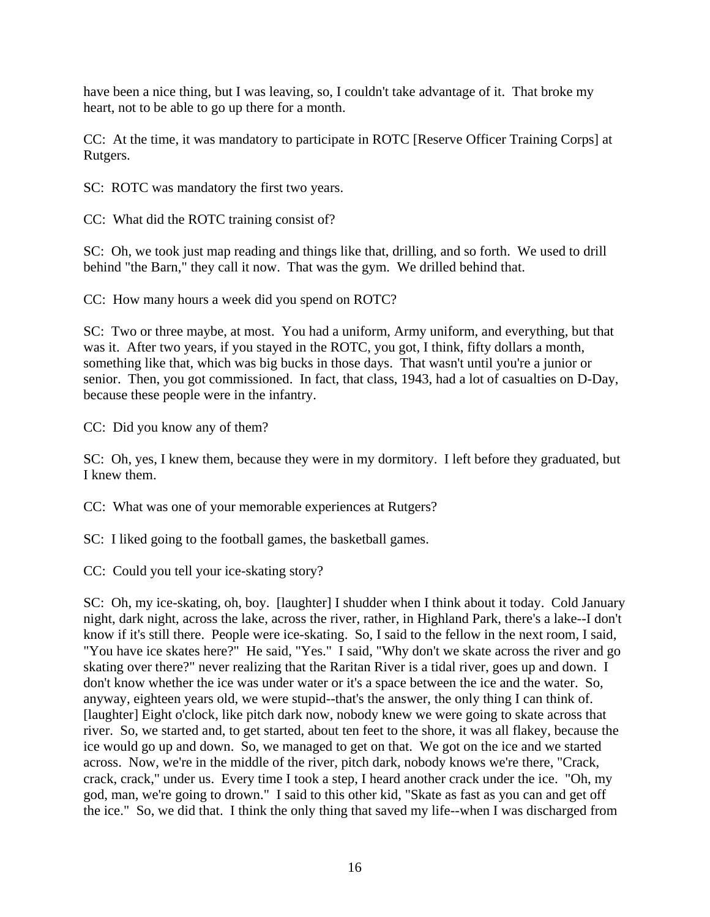have been a nice thing, but I was leaving, so, I couldn't take advantage of it. That broke my heart, not to be able to go up there for a month.

CC: At the time, it was mandatory to participate in ROTC [Reserve Officer Training Corps] at Rutgers.

SC: ROTC was mandatory the first two years.

CC: What did the ROTC training consist of?

SC: Oh, we took just map reading and things like that, drilling, and so forth. We used to drill behind "the Barn," they call it now. That was the gym. We drilled behind that.

CC: How many hours a week did you spend on ROTC?

SC: Two or three maybe, at most. You had a uniform, Army uniform, and everything, but that was it. After two years, if you stayed in the ROTC, you got, I think, fifty dollars a month, something like that, which was big bucks in those days. That wasn't until you're a junior or senior. Then, you got commissioned. In fact, that class, 1943, had a lot of casualties on D-Day, because these people were in the infantry.

CC: Did you know any of them?

SC: Oh, yes, I knew them, because they were in my dormitory. I left before they graduated, but I knew them.

CC: What was one of your memorable experiences at Rutgers?

SC: I liked going to the football games, the basketball games.

CC: Could you tell your ice-skating story?

SC: Oh, my ice-skating, oh, boy. [laughter] I shudder when I think about it today. Cold January night, dark night, across the lake, across the river, rather, in Highland Park, there's a lake--I don't know if it's still there. People were ice-skating. So, I said to the fellow in the next room, I said, "You have ice skates here?" He said, "Yes." I said, "Why don't we skate across the river and go skating over there?" never realizing that the Raritan River is a tidal river, goes up and down. I don't know whether the ice was under water or it's a space between the ice and the water. So, anyway, eighteen years old, we were stupid--that's the answer, the only thing I can think of. [laughter] Eight o'clock, like pitch dark now, nobody knew we were going to skate across that river. So, we started and, to get started, about ten feet to the shore, it was all flakey, because the ice would go up and down. So, we managed to get on that. We got on the ice and we started across. Now, we're in the middle of the river, pitch dark, nobody knows we're there, "Crack, crack, crack," under us. Every time I took a step, I heard another crack under the ice. "Oh, my god, man, we're going to drown." I said to this other kid, "Skate as fast as you can and get off the ice." So, we did that. I think the only thing that saved my life--when I was discharged from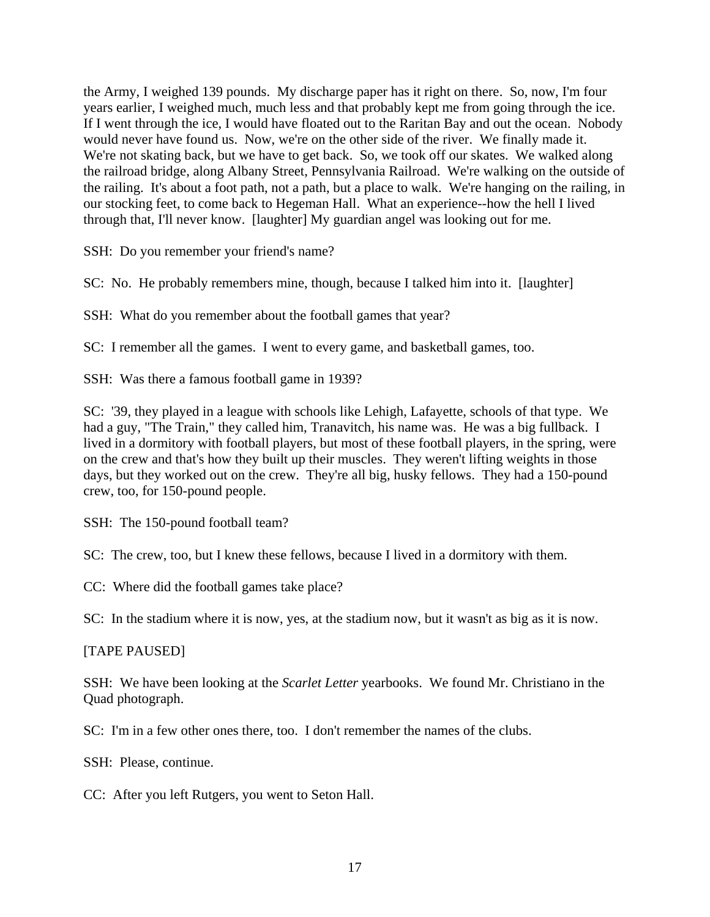the Army, I weighed 139 pounds. My discharge paper has it right on there. So, now, I'm four years earlier, I weighed much, much less and that probably kept me from going through the ice. If I went through the ice, I would have floated out to the Raritan Bay and out the ocean. Nobody would never have found us. Now, we're on the other side of the river. We finally made it. We're not skating back, but we have to get back. So, we took off our skates. We walked along the railroad bridge, along Albany Street, Pennsylvania Railroad. We're walking on the outside of the railing. It's about a foot path, not a path, but a place to walk. We're hanging on the railing, in our stocking feet, to come back to Hegeman Hall. What an experience--how the hell I lived through that, I'll never know. [laughter] My guardian angel was looking out for me.

SSH: Do you remember your friend's name?

SC: No. He probably remembers mine, though, because I talked him into it. [laughter]

SSH: What do you remember about the football games that year?

SC: I remember all the games. I went to every game, and basketball games, too.

SSH: Was there a famous football game in 1939?

SC: '39, they played in a league with schools like Lehigh, Lafayette, schools of that type. We had a guy, "The Train," they called him, Tranavitch, his name was. He was a big fullback. I lived in a dormitory with football players, but most of these football players, in the spring, were on the crew and that's how they built up their muscles. They weren't lifting weights in those days, but they worked out on the crew. They're all big, husky fellows. They had a 150-pound crew, too, for 150-pound people.

SSH: The 150-pound football team?

SC: The crew, too, but I knew these fellows, because I lived in a dormitory with them.

CC: Where did the football games take place?

SC: In the stadium where it is now, yes, at the stadium now, but it wasn't as big as it is now.

### [TAPE PAUSED]

SSH: We have been looking at the *Scarlet Letter* yearbooks. We found Mr. Christiano in the Quad photograph.

SC: I'm in a few other ones there, too. I don't remember the names of the clubs.

SSH: Please, continue.

CC: After you left Rutgers, you went to Seton Hall.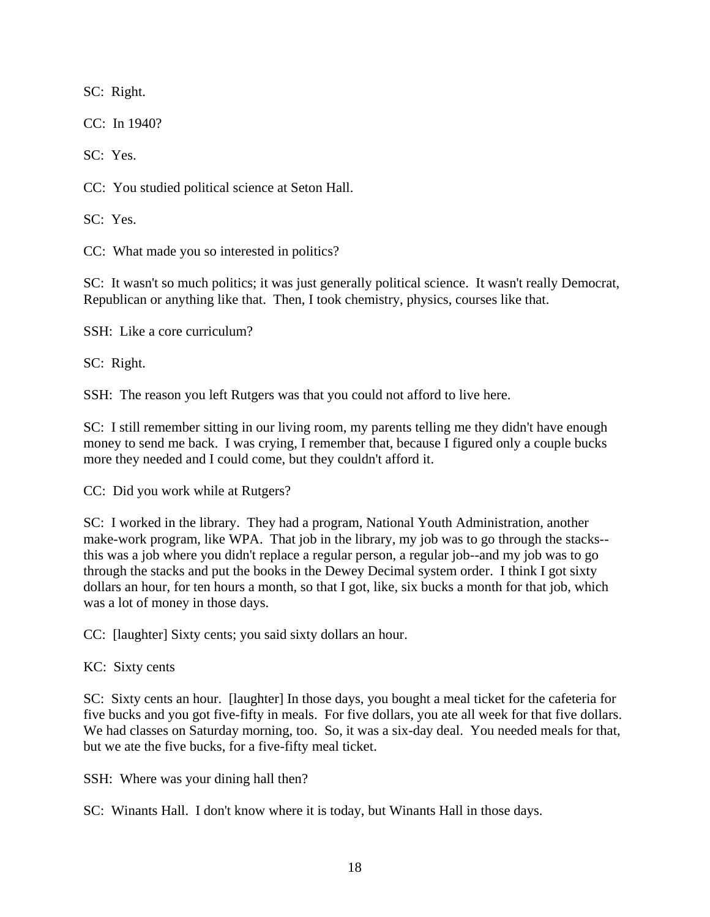SC: Right.

CC: In 1940?

SC: Yes.

CC: You studied political science at Seton Hall.

SC: Yes.

CC: What made you so interested in politics?

SC: It wasn't so much politics; it was just generally political science. It wasn't really Democrat, Republican or anything like that. Then, I took chemistry, physics, courses like that.

SSH: Like a core curriculum?

SC: Right.

SSH: The reason you left Rutgers was that you could not afford to live here.

SC: I still remember sitting in our living room, my parents telling me they didn't have enough money to send me back. I was crying, I remember that, because I figured only a couple bucks more they needed and I could come, but they couldn't afford it.

CC: Did you work while at Rutgers?

SC: I worked in the library. They had a program, National Youth Administration, another make-work program, like WPA. That job in the library, my job was to go through the stacks- this was a job where you didn't replace a regular person, a regular job--and my job was to go through the stacks and put the books in the Dewey Decimal system order. I think I got sixty dollars an hour, for ten hours a month, so that I got, like, six bucks a month for that job, which was a lot of money in those days.

CC: [laughter] Sixty cents; you said sixty dollars an hour.

KC: Sixty cents

SC: Sixty cents an hour. [laughter] In those days, you bought a meal ticket for the cafeteria for five bucks and you got five-fifty in meals. For five dollars, you ate all week for that five dollars. We had classes on Saturday morning, too. So, it was a six-day deal. You needed meals for that, but we ate the five bucks, for a five-fifty meal ticket.

SSH: Where was your dining hall then?

SC: Winants Hall. I don't know where it is today, but Winants Hall in those days.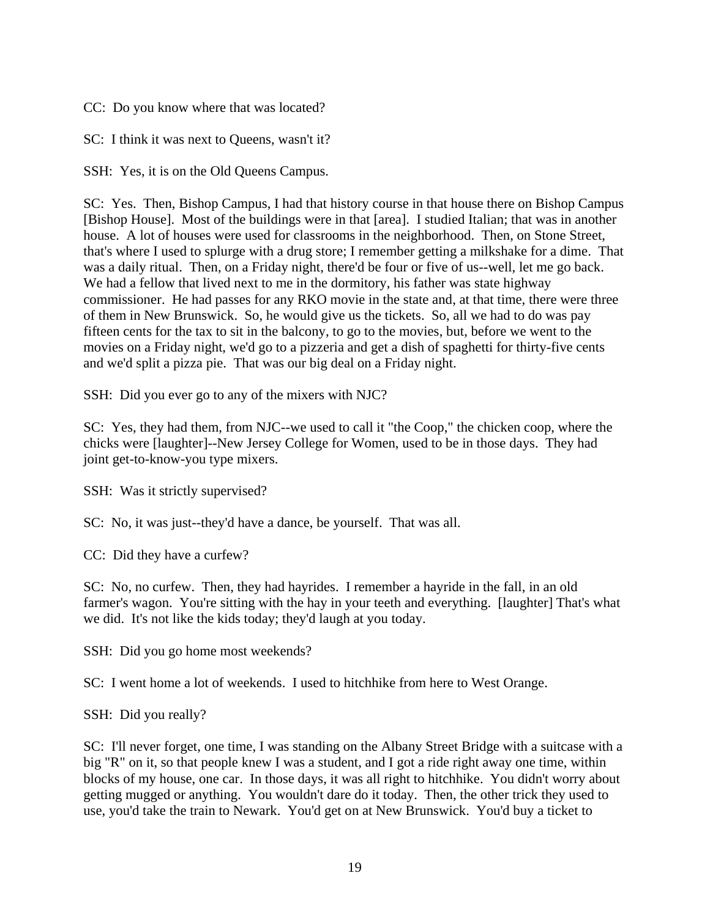CC: Do you know where that was located?

SC: I think it was next to Queens, wasn't it?

SSH: Yes, it is on the Old Queens Campus.

SC: Yes. Then, Bishop Campus, I had that history course in that house there on Bishop Campus [Bishop House]. Most of the buildings were in that [area]. I studied Italian; that was in another house. A lot of houses were used for classrooms in the neighborhood. Then, on Stone Street, that's where I used to splurge with a drug store; I remember getting a milkshake for a dime. That was a daily ritual. Then, on a Friday night, there'd be four or five of us--well, let me go back. We had a fellow that lived next to me in the dormitory, his father was state highway commissioner. He had passes for any RKO movie in the state and, at that time, there were three of them in New Brunswick. So, he would give us the tickets. So, all we had to do was pay fifteen cents for the tax to sit in the balcony, to go to the movies, but, before we went to the movies on a Friday night, we'd go to a pizzeria and get a dish of spaghetti for thirty-five cents and we'd split a pizza pie. That was our big deal on a Friday night.

SSH: Did you ever go to any of the mixers with NJC?

SC: Yes, they had them, from NJC--we used to call it "the Coop," the chicken coop, where the chicks were [laughter]--New Jersey College for Women, used to be in those days. They had joint get-to-know-you type mixers.

SSH: Was it strictly supervised?

SC: No, it was just--they'd have a dance, be yourself. That was all.

CC: Did they have a curfew?

SC: No, no curfew. Then, they had hayrides. I remember a hayride in the fall, in an old farmer's wagon. You're sitting with the hay in your teeth and everything. [laughter] That's what we did. It's not like the kids today; they'd laugh at you today.

SSH: Did you go home most weekends?

SC: I went home a lot of weekends. I used to hitchhike from here to West Orange.

SSH: Did you really?

SC: I'll never forget, one time, I was standing on the Albany Street Bridge with a suitcase with a big "R" on it, so that people knew I was a student, and I got a ride right away one time, within blocks of my house, one car. In those days, it was all right to hitchhike. You didn't worry about getting mugged or anything. You wouldn't dare do it today. Then, the other trick they used to use, you'd take the train to Newark. You'd get on at New Brunswick. You'd buy a ticket to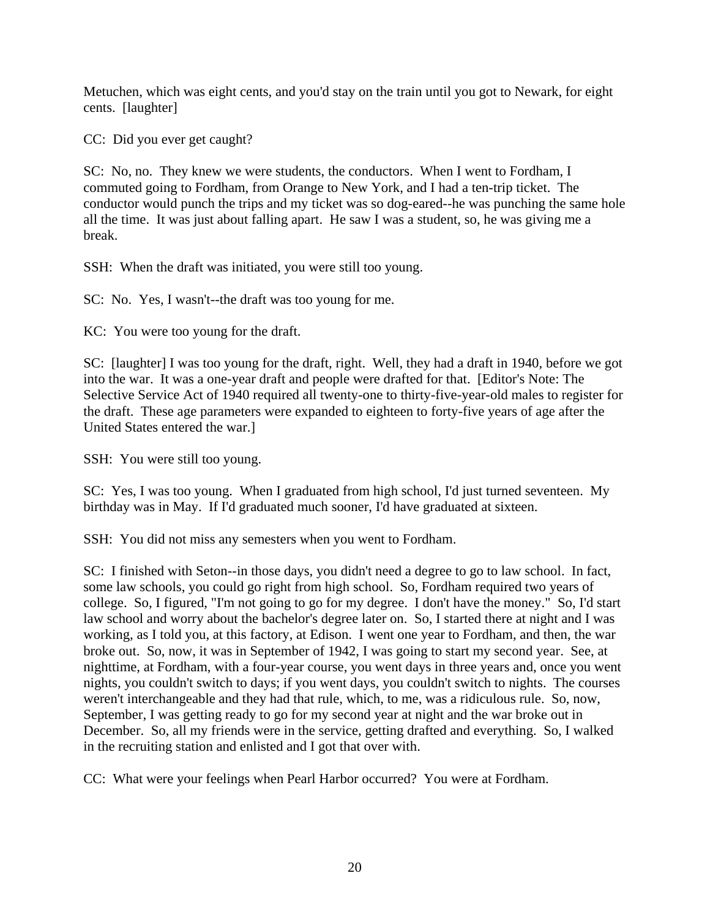Metuchen, which was eight cents, and you'd stay on the train until you got to Newark, for eight cents. [laughter]

CC: Did you ever get caught?

SC: No, no. They knew we were students, the conductors. When I went to Fordham, I commuted going to Fordham, from Orange to New York, and I had a ten-trip ticket. The conductor would punch the trips and my ticket was so dog-eared--he was punching the same hole all the time. It was just about falling apart. He saw I was a student, so, he was giving me a break.

SSH: When the draft was initiated, you were still too young.

SC: No. Yes, I wasn't--the draft was too young for me.

KC: You were too young for the draft.

SC: [laughter] I was too young for the draft, right. Well, they had a draft in 1940, before we got into the war. It was a one-year draft and people were drafted for that. [Editor's Note: The Selective Service Act of 1940 required all twenty-one to thirty-five-year-old males to register for the draft. These age parameters were expanded to eighteen to forty-five years of age after the United States entered the war.]

SSH: You were still too young.

SC: Yes, I was too young. When I graduated from high school, I'd just turned seventeen. My birthday was in May. If I'd graduated much sooner, I'd have graduated at sixteen.

SSH: You did not miss any semesters when you went to Fordham.

SC: I finished with Seton--in those days, you didn't need a degree to go to law school. In fact, some law schools, you could go right from high school. So, Fordham required two years of college. So, I figured, "I'm not going to go for my degree. I don't have the money." So, I'd start law school and worry about the bachelor's degree later on. So, I started there at night and I was working, as I told you, at this factory, at Edison. I went one year to Fordham, and then, the war broke out. So, now, it was in September of 1942, I was going to start my second year. See, at nighttime, at Fordham, with a four-year course, you went days in three years and, once you went nights, you couldn't switch to days; if you went days, you couldn't switch to nights. The courses weren't interchangeable and they had that rule, which, to me, was a ridiculous rule. So, now, September, I was getting ready to go for my second year at night and the war broke out in December. So, all my friends were in the service, getting drafted and everything. So, I walked in the recruiting station and enlisted and I got that over with.

CC: What were your feelings when Pearl Harbor occurred? You were at Fordham.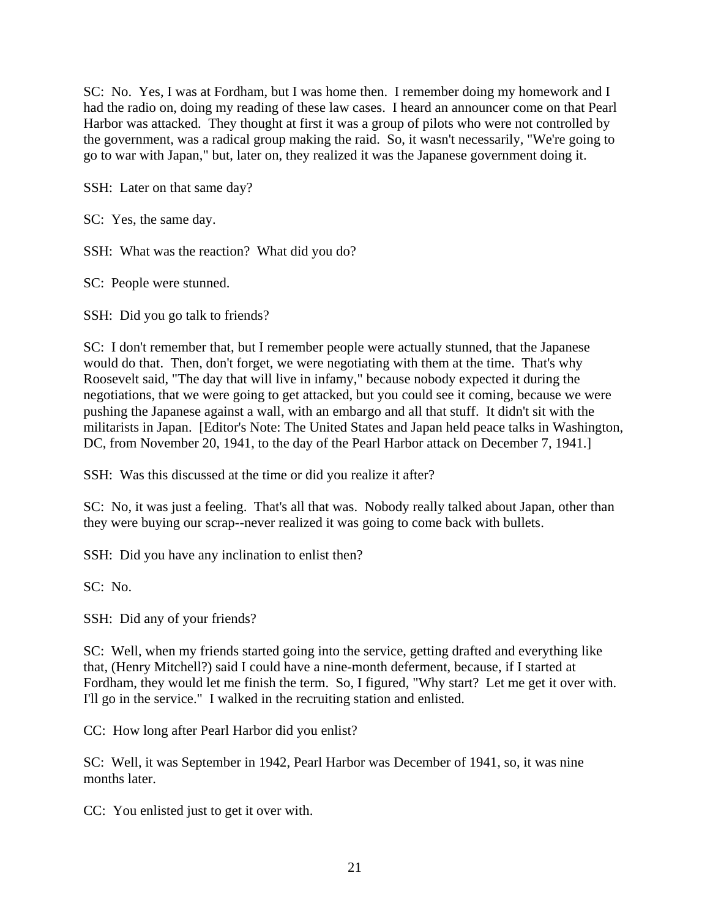SC: No. Yes, I was at Fordham, but I was home then. I remember doing my homework and I had the radio on, doing my reading of these law cases. I heard an announcer come on that Pearl Harbor was attacked. They thought at first it was a group of pilots who were not controlled by the government, was a radical group making the raid. So, it wasn't necessarily, "We're going to go to war with Japan," but, later on, they realized it was the Japanese government doing it.

SSH: Later on that same day?

SC: Yes, the same day.

SSH: What was the reaction? What did you do?

SC: People were stunned.

SSH: Did you go talk to friends?

SC: I don't remember that, but I remember people were actually stunned, that the Japanese would do that. Then, don't forget, we were negotiating with them at the time. That's why Roosevelt said, "The day that will live in infamy," because nobody expected it during the negotiations, that we were going to get attacked, but you could see it coming, because we were pushing the Japanese against a wall, with an embargo and all that stuff. It didn't sit with the militarists in Japan. [Editor's Note: The United States and Japan held peace talks in Washington, DC, from November 20, 1941, to the day of the Pearl Harbor attack on December 7, 1941.

SSH: Was this discussed at the time or did you realize it after?

SC: No, it was just a feeling. That's all that was. Nobody really talked about Japan, other than they were buying our scrap--never realized it was going to come back with bullets.

SSH: Did you have any inclination to enlist then?

SC: No.

SSH: Did any of your friends?

SC: Well, when my friends started going into the service, getting drafted and everything like that, (Henry Mitchell?) said I could have a nine-month deferment, because, if I started at Fordham, they would let me finish the term. So, I figured, "Why start? Let me get it over with. I'll go in the service." I walked in the recruiting station and enlisted.

CC: How long after Pearl Harbor did you enlist?

SC: Well, it was September in 1942, Pearl Harbor was December of 1941, so, it was nine months later.

CC: You enlisted just to get it over with.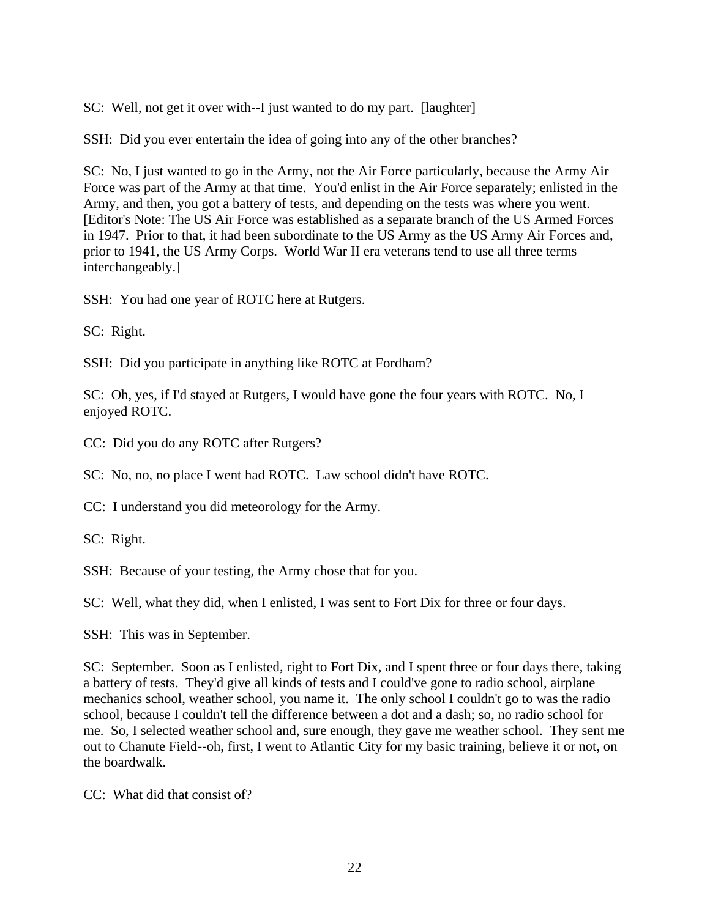SC: Well, not get it over with--I just wanted to do my part. [laughter]

SSH: Did you ever entertain the idea of going into any of the other branches?

SC: No, I just wanted to go in the Army, not the Air Force particularly, because the Army Air Force was part of the Army at that time. You'd enlist in the Air Force separately; enlisted in the Army, and then, you got a battery of tests, and depending on the tests was where you went. [Editor's Note: The US Air Force was established as a separate branch of the US Armed Forces in 1947. Prior to that, it had been subordinate to the US Army as the US Army Air Forces and, prior to 1941, the US Army Corps. World War II era veterans tend to use all three terms interchangeably.]

SSH: You had one year of ROTC here at Rutgers.

SC: Right.

SSH: Did you participate in anything like ROTC at Fordham?

SC: Oh, yes, if I'd stayed at Rutgers, I would have gone the four years with ROTC. No, I enjoyed ROTC.

CC: Did you do any ROTC after Rutgers?

SC: No, no, no place I went had ROTC. Law school didn't have ROTC.

CC: I understand you did meteorology for the Army.

SC: Right.

SSH: Because of your testing, the Army chose that for you.

SC: Well, what they did, when I enlisted, I was sent to Fort Dix for three or four days.

SSH: This was in September.

SC: September. Soon as I enlisted, right to Fort Dix, and I spent three or four days there, taking a battery of tests. They'd give all kinds of tests and I could've gone to radio school, airplane mechanics school, weather school, you name it. The only school I couldn't go to was the radio school, because I couldn't tell the difference between a dot and a dash; so, no radio school for me. So, I selected weather school and, sure enough, they gave me weather school. They sent me out to Chanute Field--oh, first, I went to Atlantic City for my basic training, believe it or not, on the boardwalk.

CC: What did that consist of?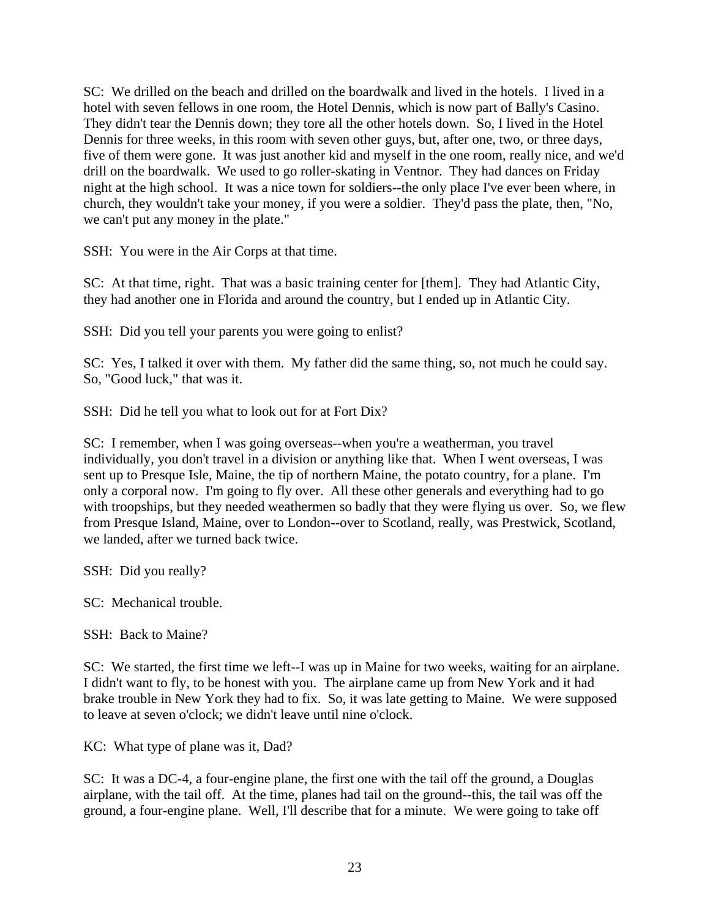SC: We drilled on the beach and drilled on the boardwalk and lived in the hotels. I lived in a hotel with seven fellows in one room, the Hotel Dennis, which is now part of Bally's Casino. They didn't tear the Dennis down; they tore all the other hotels down. So, I lived in the Hotel Dennis for three weeks, in this room with seven other guys, but, after one, two, or three days, five of them were gone. It was just another kid and myself in the one room, really nice, and we'd drill on the boardwalk. We used to go roller-skating in Ventnor. They had dances on Friday night at the high school. It was a nice town for soldiers--the only place I've ever been where, in church, they wouldn't take your money, if you were a soldier. They'd pass the plate, then, "No, we can't put any money in the plate."

SSH: You were in the Air Corps at that time.

SC: At that time, right. That was a basic training center for [them]. They had Atlantic City, they had another one in Florida and around the country, but I ended up in Atlantic City.

SSH: Did you tell your parents you were going to enlist?

SC: Yes, I talked it over with them. My father did the same thing, so, not much he could say. So, "Good luck," that was it.

SSH: Did he tell you what to look out for at Fort Dix?

SC: I remember, when I was going overseas--when you're a weatherman, you travel individually, you don't travel in a division or anything like that. When I went overseas, I was sent up to Presque Isle, Maine, the tip of northern Maine, the potato country, for a plane. I'm only a corporal now. I'm going to fly over. All these other generals and everything had to go with troopships, but they needed weathermen so badly that they were flying us over. So, we flew from Presque Island, Maine, over to London--over to Scotland, really, was Prestwick, Scotland, we landed, after we turned back twice.

SSH: Did you really?

SC: Mechanical trouble.

SSH: Back to Maine?

SC: We started, the first time we left--I was up in Maine for two weeks, waiting for an airplane. I didn't want to fly, to be honest with you. The airplane came up from New York and it had brake trouble in New York they had to fix. So, it was late getting to Maine. We were supposed to leave at seven o'clock; we didn't leave until nine o'clock.

KC: What type of plane was it, Dad?

SC: It was a DC-4, a four-engine plane, the first one with the tail off the ground, a Douglas airplane, with the tail off. At the time, planes had tail on the ground--this, the tail was off the ground, a four-engine plane. Well, I'll describe that for a minute. We were going to take off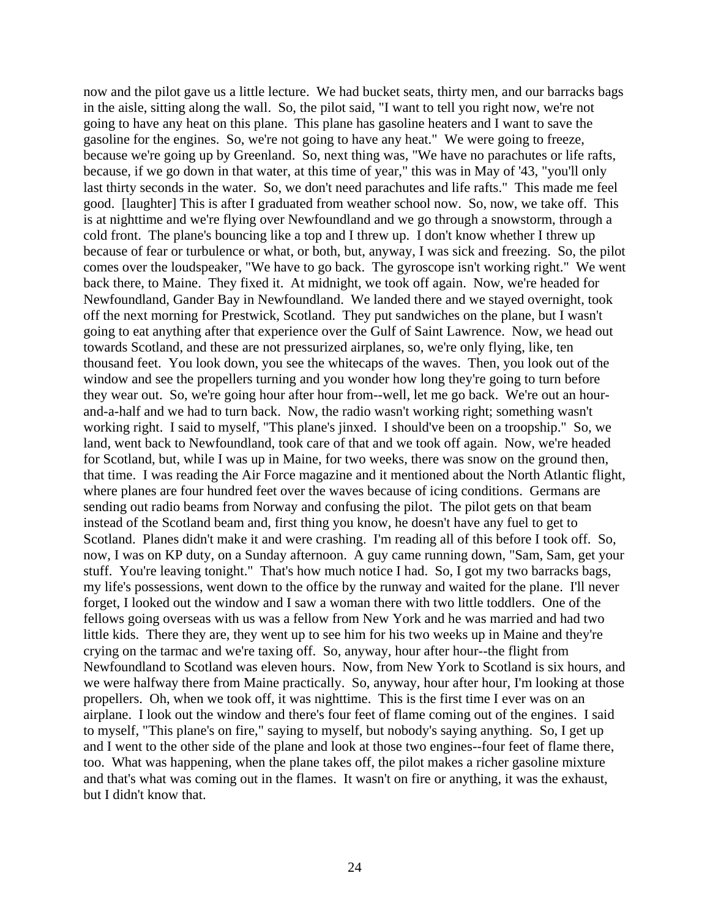now and the pilot gave us a little lecture. We had bucket seats, thirty men, and our barracks bags in the aisle, sitting along the wall. So, the pilot said, "I want to tell you right now, we're not going to have any heat on this plane. This plane has gasoline heaters and I want to save the gasoline for the engines. So, we're not going to have any heat." We were going to freeze, because we're going up by Greenland. So, next thing was, "We have no parachutes or life rafts, because, if we go down in that water, at this time of year," this was in May of '43, "you'll only last thirty seconds in the water. So, we don't need parachutes and life rafts." This made me feel good. [laughter] This is after I graduated from weather school now. So, now, we take off. This is at nighttime and we're flying over Newfoundland and we go through a snowstorm, through a cold front. The plane's bouncing like a top and I threw up. I don't know whether I threw up because of fear or turbulence or what, or both, but, anyway, I was sick and freezing. So, the pilot comes over the loudspeaker, "We have to go back. The gyroscope isn't working right." We went back there, to Maine. They fixed it. At midnight, we took off again. Now, we're headed for Newfoundland, Gander Bay in Newfoundland. We landed there and we stayed overnight, took off the next morning for Prestwick, Scotland. They put sandwiches on the plane, but I wasn't going to eat anything after that experience over the Gulf of Saint Lawrence. Now, we head out towards Scotland, and these are not pressurized airplanes, so, we're only flying, like, ten thousand feet. You look down, you see the whitecaps of the waves. Then, you look out of the window and see the propellers turning and you wonder how long they're going to turn before they wear out. So, we're going hour after hour from--well, let me go back. We're out an hourand-a-half and we had to turn back. Now, the radio wasn't working right; something wasn't working right. I said to myself, "This plane's jinxed. I should've been on a troopship." So, we land, went back to Newfoundland, took care of that and we took off again. Now, we're headed for Scotland, but, while I was up in Maine, for two weeks, there was snow on the ground then, that time. I was reading the Air Force magazine and it mentioned about the North Atlantic flight, where planes are four hundred feet over the waves because of icing conditions. Germans are sending out radio beams from Norway and confusing the pilot. The pilot gets on that beam instead of the Scotland beam and, first thing you know, he doesn't have any fuel to get to Scotland. Planes didn't make it and were crashing. I'm reading all of this before I took off. So, now, I was on KP duty, on a Sunday afternoon. A guy came running down, "Sam, Sam, get your stuff. You're leaving tonight." That's how much notice I had. So, I got my two barracks bags, my life's possessions, went down to the office by the runway and waited for the plane. I'll never forget, I looked out the window and I saw a woman there with two little toddlers. One of the fellows going overseas with us was a fellow from New York and he was married and had two little kids. There they are, they went up to see him for his two weeks up in Maine and they're crying on the tarmac and we're taxing off. So, anyway, hour after hour--the flight from Newfoundland to Scotland was eleven hours. Now, from New York to Scotland is six hours, and we were halfway there from Maine practically. So, anyway, hour after hour, I'm looking at those propellers. Oh, when we took off, it was nighttime. This is the first time I ever was on an airplane. I look out the window and there's four feet of flame coming out of the engines. I said to myself, "This plane's on fire," saying to myself, but nobody's saying anything. So, I get up and I went to the other side of the plane and look at those two engines--four feet of flame there, too. What was happening, when the plane takes off, the pilot makes a richer gasoline mixture and that's what was coming out in the flames. It wasn't on fire or anything, it was the exhaust, but I didn't know that.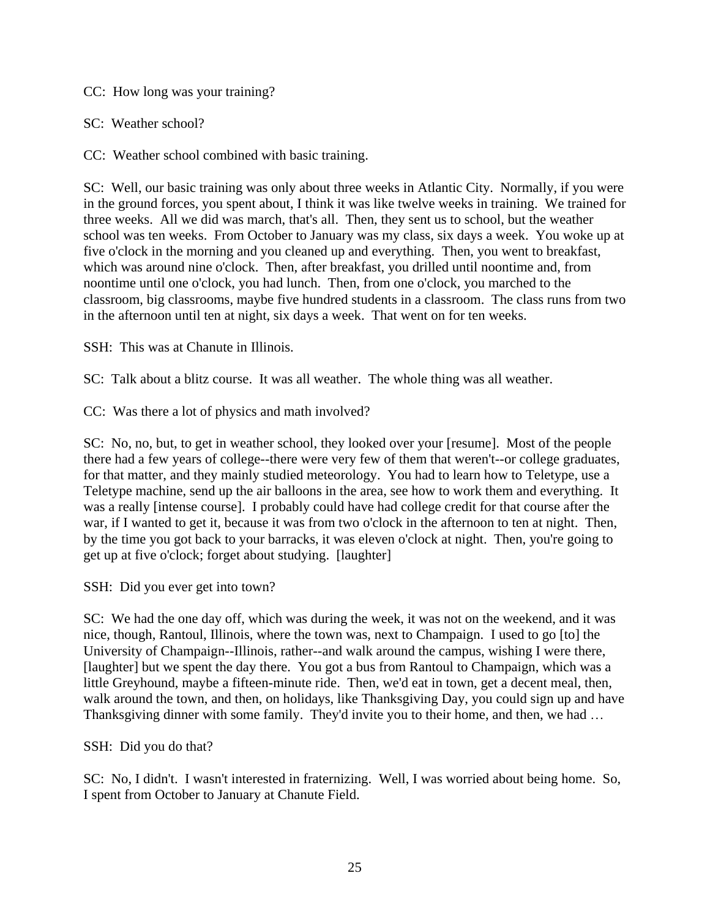CC: How long was your training?

SC: Weather school?

CC: Weather school combined with basic training.

SC: Well, our basic training was only about three weeks in Atlantic City. Normally, if you were in the ground forces, you spent about, I think it was like twelve weeks in training. We trained for three weeks. All we did was march, that's all. Then, they sent us to school, but the weather school was ten weeks. From October to January was my class, six days a week. You woke up at five o'clock in the morning and you cleaned up and everything. Then, you went to breakfast, which was around nine o'clock. Then, after breakfast, you drilled until noontime and, from noontime until one o'clock, you had lunch. Then, from one o'clock, you marched to the classroom, big classrooms, maybe five hundred students in a classroom. The class runs from two in the afternoon until ten at night, six days a week. That went on for ten weeks.

SSH: This was at Chanute in Illinois.

SC: Talk about a blitz course. It was all weather. The whole thing was all weather.

CC: Was there a lot of physics and math involved?

SC: No, no, but, to get in weather school, they looked over your [resume]. Most of the people there had a few years of college--there were very few of them that weren't--or college graduates, for that matter, and they mainly studied meteorology. You had to learn how to Teletype, use a Teletype machine, send up the air balloons in the area, see how to work them and everything. It was a really [intense course]. I probably could have had college credit for that course after the war, if I wanted to get it, because it was from two o'clock in the afternoon to ten at night. Then, by the time you got back to your barracks, it was eleven o'clock at night. Then, you're going to get up at five o'clock; forget about studying. [laughter]

SSH: Did you ever get into town?

SC: We had the one day off, which was during the week, it was not on the weekend, and it was nice, though, Rantoul, Illinois, where the town was, next to Champaign. I used to go [to] the University of Champaign--Illinois, rather--and walk around the campus, wishing I were there, [laughter] but we spent the day there. You got a bus from Rantoul to Champaign, which was a little Greyhound, maybe a fifteen-minute ride. Then, we'd eat in town, get a decent meal, then, walk around the town, and then, on holidays, like Thanksgiving Day, you could sign up and have Thanksgiving dinner with some family. They'd invite you to their home, and then, we had …

SSH: Did you do that?

SC: No, I didn't. I wasn't interested in fraternizing. Well, I was worried about being home. So, I spent from October to January at Chanute Field.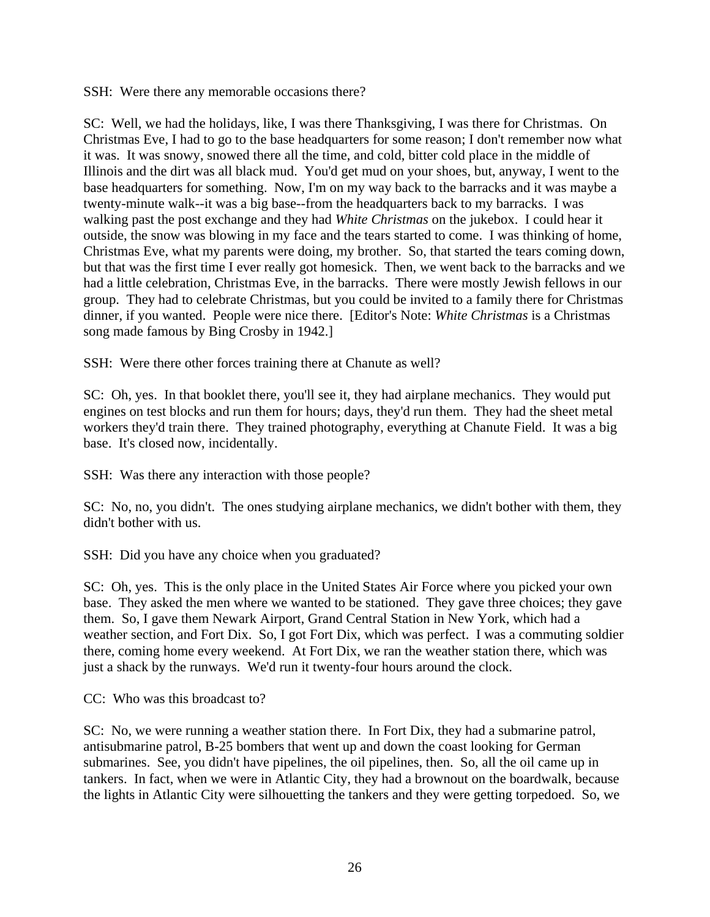SSH: Were there any memorable occasions there?

SC: Well, we had the holidays, like, I was there Thanksgiving, I was there for Christmas. On Christmas Eve, I had to go to the base headquarters for some reason; I don't remember now what it was. It was snowy, snowed there all the time, and cold, bitter cold place in the middle of Illinois and the dirt was all black mud. You'd get mud on your shoes, but, anyway, I went to the base headquarters for something. Now, I'm on my way back to the barracks and it was maybe a twenty-minute walk--it was a big base--from the headquarters back to my barracks. I was walking past the post exchange and they had *White Christmas* on the jukebox. I could hear it outside, the snow was blowing in my face and the tears started to come. I was thinking of home, Christmas Eve, what my parents were doing, my brother. So, that started the tears coming down, but that was the first time I ever really got homesick. Then, we went back to the barracks and we had a little celebration, Christmas Eve, in the barracks. There were mostly Jewish fellows in our group. They had to celebrate Christmas, but you could be invited to a family there for Christmas dinner, if you wanted. People were nice there. [Editor's Note: *White Christmas* is a Christmas song made famous by Bing Crosby in 1942.]

SSH: Were there other forces training there at Chanute as well?

SC: Oh, yes. In that booklet there, you'll see it, they had airplane mechanics. They would put engines on test blocks and run them for hours; days, they'd run them. They had the sheet metal workers they'd train there. They trained photography, everything at Chanute Field. It was a big base. It's closed now, incidentally.

SSH: Was there any interaction with those people?

SC: No, no, you didn't. The ones studying airplane mechanics, we didn't bother with them, they didn't bother with us.

SSH: Did you have any choice when you graduated?

SC: Oh, yes. This is the only place in the United States Air Force where you picked your own base. They asked the men where we wanted to be stationed. They gave three choices; they gave them. So, I gave them Newark Airport, Grand Central Station in New York, which had a weather section, and Fort Dix. So, I got Fort Dix, which was perfect. I was a commuting soldier there, coming home every weekend. At Fort Dix, we ran the weather station there, which was just a shack by the runways. We'd run it twenty-four hours around the clock.

CC: Who was this broadcast to?

SC: No, we were running a weather station there. In Fort Dix, they had a submarine patrol, antisubmarine patrol, B-25 bombers that went up and down the coast looking for German submarines. See, you didn't have pipelines, the oil pipelines, then. So, all the oil came up in tankers. In fact, when we were in Atlantic City, they had a brownout on the boardwalk, because the lights in Atlantic City were silhouetting the tankers and they were getting torpedoed. So, we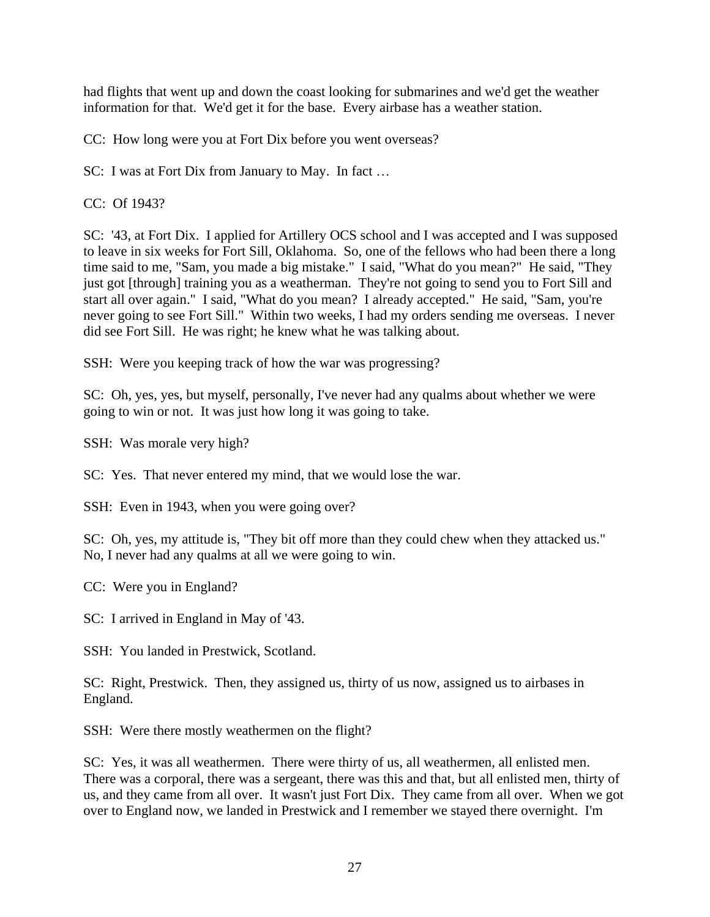had flights that went up and down the coast looking for submarines and we'd get the weather information for that. We'd get it for the base. Every airbase has a weather station.

CC: How long were you at Fort Dix before you went overseas?

SC: I was at Fort Dix from January to May. In fact …

CC: Of 1943?

SC: '43, at Fort Dix. I applied for Artillery OCS school and I was accepted and I was supposed to leave in six weeks for Fort Sill, Oklahoma. So, one of the fellows who had been there a long time said to me, "Sam, you made a big mistake." I said, "What do you mean?" He said, "They just got [through] training you as a weatherman. They're not going to send you to Fort Sill and start all over again." I said, "What do you mean? I already accepted." He said, "Sam, you're never going to see Fort Sill." Within two weeks, I had my orders sending me overseas. I never did see Fort Sill. He was right; he knew what he was talking about.

SSH: Were you keeping track of how the war was progressing?

SC: Oh, yes, yes, but myself, personally, I've never had any qualms about whether we were going to win or not. It was just how long it was going to take.

SSH: Was morale very high?

SC: Yes. That never entered my mind, that we would lose the war.

SSH: Even in 1943, when you were going over?

SC: Oh, yes, my attitude is, "They bit off more than they could chew when they attacked us." No, I never had any qualms at all we were going to win.

CC: Were you in England?

SC: I arrived in England in May of '43.

SSH: You landed in Prestwick, Scotland.

SC: Right, Prestwick. Then, they assigned us, thirty of us now, assigned us to airbases in England.

SSH: Were there mostly weathermen on the flight?

SC: Yes, it was all weathermen. There were thirty of us, all weathermen, all enlisted men. There was a corporal, there was a sergeant, there was this and that, but all enlisted men, thirty of us, and they came from all over. It wasn't just Fort Dix. They came from all over. When we got over to England now, we landed in Prestwick and I remember we stayed there overnight. I'm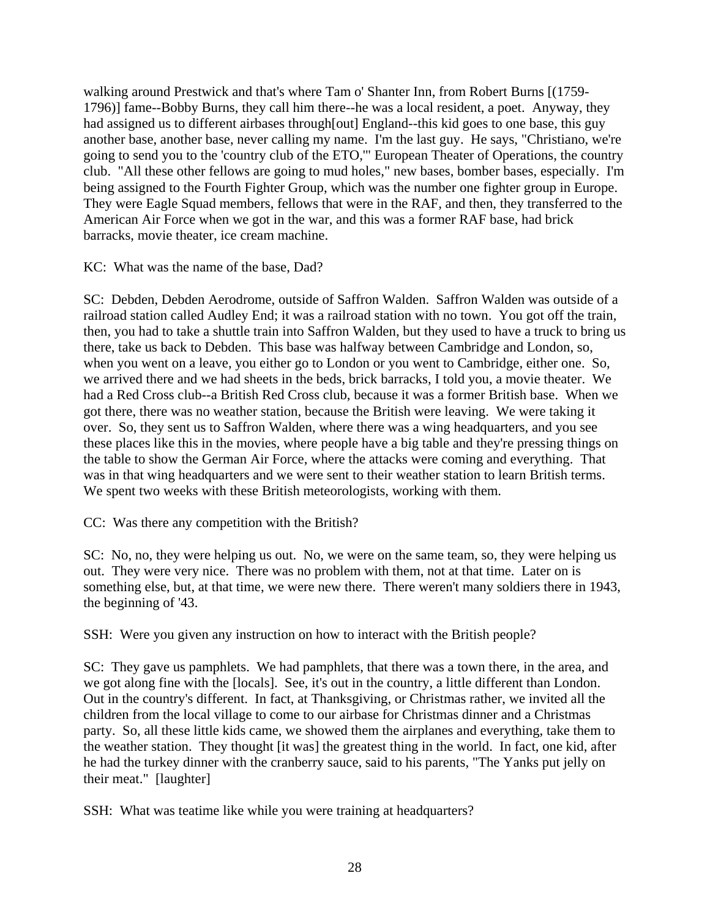walking around Prestwick and that's where Tam o' Shanter Inn, from Robert Burns [(1759- 1796)] fame--Bobby Burns, they call him there--he was a local resident, a poet. Anyway, they had assigned us to different airbases through[out] England--this kid goes to one base, this guy another base, another base, never calling my name. I'm the last guy. He says, "Christiano, we're going to send you to the 'country club of the ETO,'" European Theater of Operations, the country club. "All these other fellows are going to mud holes," new bases, bomber bases, especially. I'm being assigned to the Fourth Fighter Group, which was the number one fighter group in Europe. They were Eagle Squad members, fellows that were in the RAF, and then, they transferred to the American Air Force when we got in the war, and this was a former RAF base, had brick barracks, movie theater, ice cream machine.

KC: What was the name of the base, Dad?

SC: Debden, Debden Aerodrome, outside of Saffron Walden. Saffron Walden was outside of a railroad station called Audley End; it was a railroad station with no town. You got off the train, then, you had to take a shuttle train into Saffron Walden, but they used to have a truck to bring us there, take us back to Debden. This base was halfway between Cambridge and London, so, when you went on a leave, you either go to London or you went to Cambridge, either one. So, we arrived there and we had sheets in the beds, brick barracks, I told you, a movie theater. We had a Red Cross club--a British Red Cross club, because it was a former British base. When we got there, there was no weather station, because the British were leaving. We were taking it over. So, they sent us to Saffron Walden, where there was a wing headquarters, and you see these places like this in the movies, where people have a big table and they're pressing things on the table to show the German Air Force, where the attacks were coming and everything. That was in that wing headquarters and we were sent to their weather station to learn British terms. We spent two weeks with these British meteorologists, working with them.

CC: Was there any competition with the British?

SC: No, no, they were helping us out. No, we were on the same team, so, they were helping us out. They were very nice. There was no problem with them, not at that time. Later on is something else, but, at that time, we were new there. There weren't many soldiers there in 1943, the beginning of '43.

SSH: Were you given any instruction on how to interact with the British people?

SC: They gave us pamphlets. We had pamphlets, that there was a town there, in the area, and we got along fine with the [locals]. See, it's out in the country, a little different than London. Out in the country's different. In fact, at Thanksgiving, or Christmas rather, we invited all the children from the local village to come to our airbase for Christmas dinner and a Christmas party. So, all these little kids came, we showed them the airplanes and everything, take them to the weather station. They thought [it was] the greatest thing in the world. In fact, one kid, after he had the turkey dinner with the cranberry sauce, said to his parents, "The Yanks put jelly on their meat." [laughter]

SSH: What was teatime like while you were training at headquarters?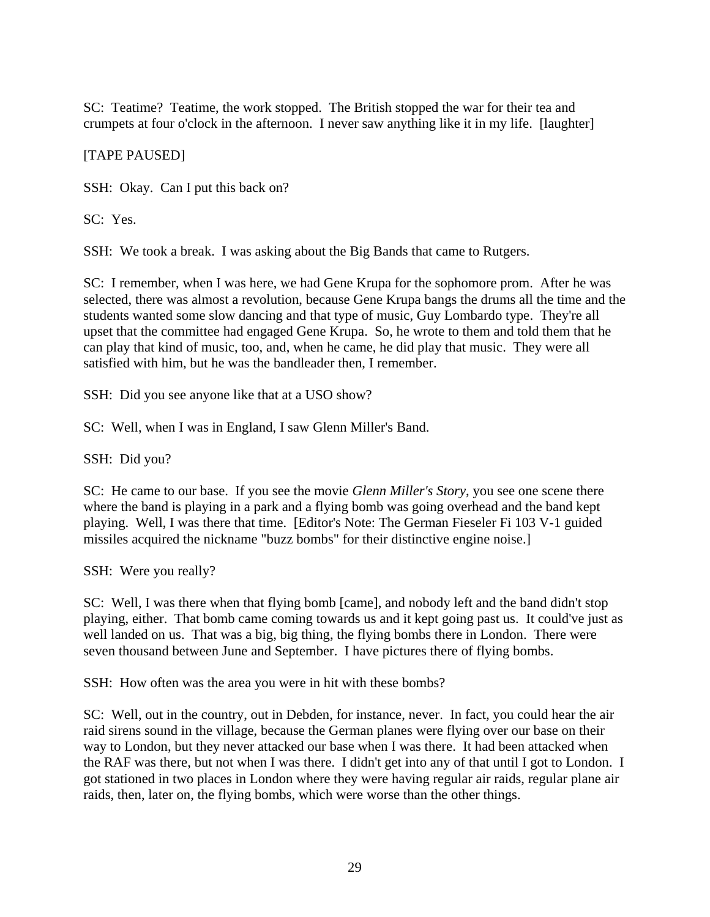SC: Teatime? Teatime, the work stopped. The British stopped the war for their tea and crumpets at four o'clock in the afternoon. I never saw anything like it in my life. [laughter]

### [TAPE PAUSED]

SSH: Okay. Can I put this back on?

SC: Yes.

SSH: We took a break. I was asking about the Big Bands that came to Rutgers.

SC: I remember, when I was here, we had Gene Krupa for the sophomore prom. After he was selected, there was almost a revolution, because Gene Krupa bangs the drums all the time and the students wanted some slow dancing and that type of music, Guy Lombardo type. They're all upset that the committee had engaged Gene Krupa. So, he wrote to them and told them that he can play that kind of music, too, and, when he came, he did play that music. They were all satisfied with him, but he was the bandleader then, I remember.

SSH: Did you see anyone like that at a USO show?

SC: Well, when I was in England, I saw Glenn Miller's Band.

SSH: Did you?

SC: He came to our base. If you see the movie *Glenn Miller's Story*, you see one scene there where the band is playing in a park and a flying bomb was going overhead and the band kept playing. Well, I was there that time. [Editor's Note: The German Fieseler Fi 103 V-1 guided missiles acquired the nickname "buzz bombs" for their distinctive engine noise.]

SSH: Were you really?

SC: Well, I was there when that flying bomb [came], and nobody left and the band didn't stop playing, either. That bomb came coming towards us and it kept going past us. It could've just as well landed on us. That was a big, big thing, the flying bombs there in London. There were seven thousand between June and September. I have pictures there of flying bombs.

SSH: How often was the area you were in hit with these bombs?

SC: Well, out in the country, out in Debden, for instance, never. In fact, you could hear the air raid sirens sound in the village, because the German planes were flying over our base on their way to London, but they never attacked our base when I was there. It had been attacked when the RAF was there, but not when I was there. I didn't get into any of that until I got to London. I got stationed in two places in London where they were having regular air raids, regular plane air raids, then, later on, the flying bombs, which were worse than the other things.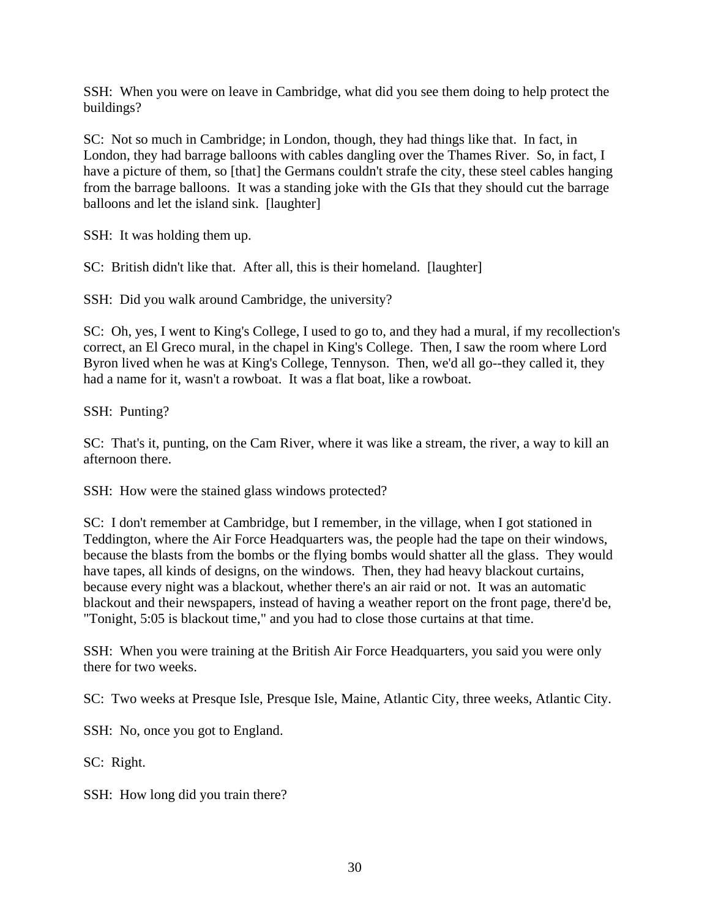SSH: When you were on leave in Cambridge, what did you see them doing to help protect the buildings?

SC: Not so much in Cambridge; in London, though, they had things like that. In fact, in London, they had barrage balloons with cables dangling over the Thames River. So, in fact, I have a picture of them, so [that] the Germans couldn't strafe the city, these steel cables hanging from the barrage balloons. It was a standing joke with the GIs that they should cut the barrage balloons and let the island sink. [laughter]

SSH: It was holding them up.

SC: British didn't like that. After all, this is their homeland. [laughter]

SSH: Did you walk around Cambridge, the university?

SC: Oh, yes, I went to King's College, I used to go to, and they had a mural, if my recollection's correct, an El Greco mural, in the chapel in King's College. Then, I saw the room where Lord Byron lived when he was at King's College, Tennyson. Then, we'd all go--they called it, they had a name for it, wasn't a rowboat. It was a flat boat, like a rowboat.

SSH: Punting?

SC: That's it, punting, on the Cam River, where it was like a stream, the river, a way to kill an afternoon there.

SSH: How were the stained glass windows protected?

SC: I don't remember at Cambridge, but I remember, in the village, when I got stationed in Teddington, where the Air Force Headquarters was, the people had the tape on their windows, because the blasts from the bombs or the flying bombs would shatter all the glass. They would have tapes, all kinds of designs, on the windows. Then, they had heavy blackout curtains, because every night was a blackout, whether there's an air raid or not. It was an automatic blackout and their newspapers, instead of having a weather report on the front page, there'd be, "Tonight, 5:05 is blackout time," and you had to close those curtains at that time.

SSH: When you were training at the British Air Force Headquarters, you said you were only there for two weeks.

SC: Two weeks at Presque Isle, Presque Isle, Maine, Atlantic City, three weeks, Atlantic City.

SSH: No, once you got to England.

SC: Right.

SSH: How long did you train there?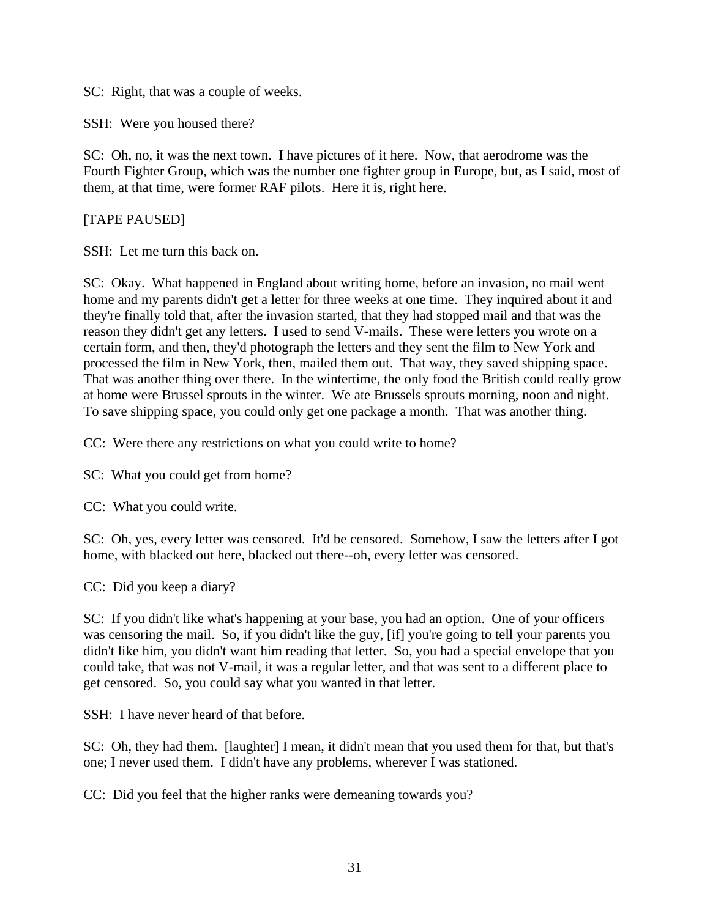SC: Right, that was a couple of weeks.

SSH: Were you housed there?

SC: Oh, no, it was the next town. I have pictures of it here. Now, that aerodrome was the Fourth Fighter Group, which was the number one fighter group in Europe, but, as I said, most of them, at that time, were former RAF pilots. Here it is, right here.

[TAPE PAUSED]

SSH: Let me turn this back on.

SC: Okay. What happened in England about writing home, before an invasion, no mail went home and my parents didn't get a letter for three weeks at one time. They inquired about it and they're finally told that, after the invasion started, that they had stopped mail and that was the reason they didn't get any letters. I used to send V-mails. These were letters you wrote on a certain form, and then, they'd photograph the letters and they sent the film to New York and processed the film in New York, then, mailed them out. That way, they saved shipping space. That was another thing over there. In the wintertime, the only food the British could really grow at home were Brussel sprouts in the winter. We ate Brussels sprouts morning, noon and night. To save shipping space, you could only get one package a month. That was another thing.

CC: Were there any restrictions on what you could write to home?

SC: What you could get from home?

CC: What you could write.

SC: Oh, yes, every letter was censored. It'd be censored. Somehow, I saw the letters after I got home, with blacked out here, blacked out there--oh, every letter was censored.

CC: Did you keep a diary?

SC: If you didn't like what's happening at your base, you had an option. One of your officers was censoring the mail. So, if you didn't like the guy, [if] you're going to tell your parents you didn't like him, you didn't want him reading that letter. So, you had a special envelope that you could take, that was not V-mail, it was a regular letter, and that was sent to a different place to get censored. So, you could say what you wanted in that letter.

SSH: I have never heard of that before.

SC: Oh, they had them. [laughter] I mean, it didn't mean that you used them for that, but that's one; I never used them. I didn't have any problems, wherever I was stationed.

CC: Did you feel that the higher ranks were demeaning towards you?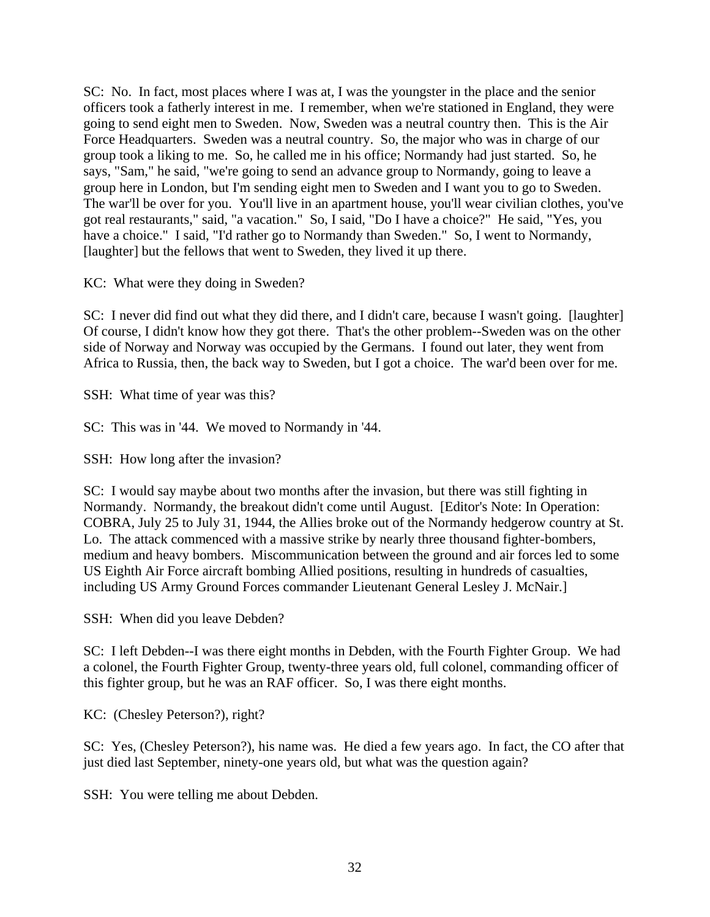SC: No. In fact, most places where I was at, I was the youngster in the place and the senior officers took a fatherly interest in me. I remember, when we're stationed in England, they were going to send eight men to Sweden. Now, Sweden was a neutral country then. This is the Air Force Headquarters. Sweden was a neutral country. So, the major who was in charge of our group took a liking to me. So, he called me in his office; Normandy had just started. So, he says, "Sam," he said, "we're going to send an advance group to Normandy, going to leave a group here in London, but I'm sending eight men to Sweden and I want you to go to Sweden. The war'll be over for you. You'll live in an apartment house, you'll wear civilian clothes, you've got real restaurants," said, "a vacation." So, I said, "Do I have a choice?" He said, "Yes, you have a choice." I said, "I'd rather go to Normandy than Sweden." So, I went to Normandy, [laughter] but the fellows that went to Sweden, they lived it up there.

KC: What were they doing in Sweden?

SC: I never did find out what they did there, and I didn't care, because I wasn't going. [laughter] Of course, I didn't know how they got there. That's the other problem--Sweden was on the other side of Norway and Norway was occupied by the Germans. I found out later, they went from Africa to Russia, then, the back way to Sweden, but I got a choice. The war'd been over for me.

SSH: What time of year was this?

SC: This was in '44. We moved to Normandy in '44.

SSH: How long after the invasion?

SC: I would say maybe about two months after the invasion, but there was still fighting in Normandy. Normandy, the breakout didn't come until August. [Editor's Note: In Operation: COBRA, July 25 to July 31, 1944, the Allies broke out of the Normandy hedgerow country at St. Lo. The attack commenced with a massive strike by nearly three thousand fighter-bombers, medium and heavy bombers. Miscommunication between the ground and air forces led to some US Eighth Air Force aircraft bombing Allied positions, resulting in hundreds of casualties, including US Army Ground Forces commander Lieutenant General Lesley J. McNair.]

SSH: When did you leave Debden?

SC: I left Debden--I was there eight months in Debden, with the Fourth Fighter Group. We had a colonel, the Fourth Fighter Group, twenty-three years old, full colonel, commanding officer of this fighter group, but he was an RAF officer. So, I was there eight months.

KC: (Chesley Peterson?), right?

SC: Yes, (Chesley Peterson?), his name was. He died a few years ago. In fact, the CO after that just died last September, ninety-one years old, but what was the question again?

SSH: You were telling me about Debden.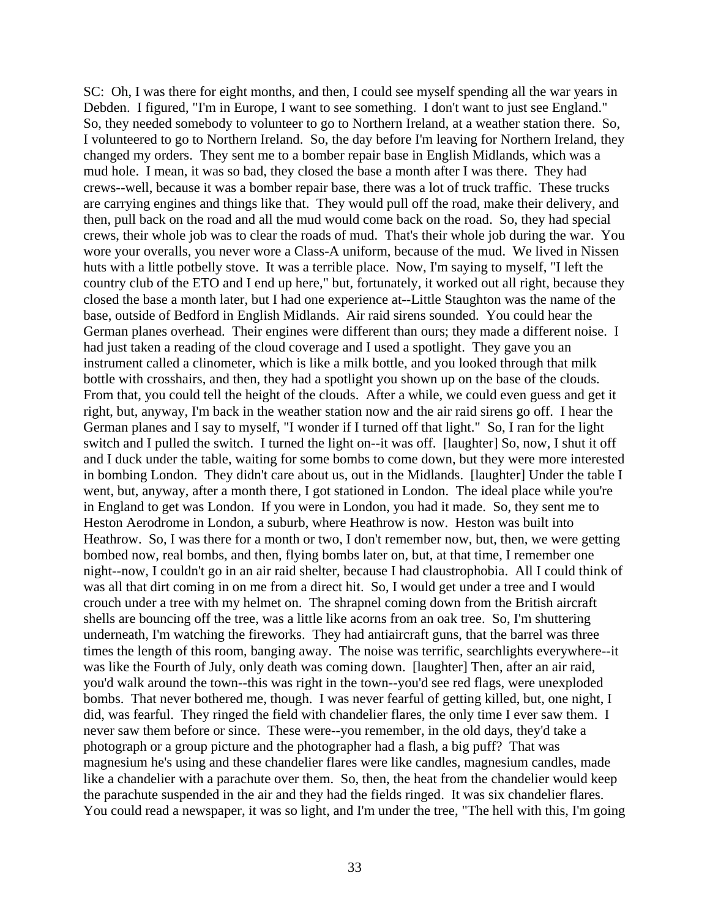SC: Oh, I was there for eight months, and then, I could see myself spending all the war years in Debden. I figured, "I'm in Europe, I want to see something. I don't want to just see England." So, they needed somebody to volunteer to go to Northern Ireland, at a weather station there. So, I volunteered to go to Northern Ireland. So, the day before I'm leaving for Northern Ireland, they changed my orders. They sent me to a bomber repair base in English Midlands, which was a mud hole. I mean, it was so bad, they closed the base a month after I was there. They had crews--well, because it was a bomber repair base, there was a lot of truck traffic. These trucks are carrying engines and things like that. They would pull off the road, make their delivery, and then, pull back on the road and all the mud would come back on the road. So, they had special crews, their whole job was to clear the roads of mud. That's their whole job during the war. You wore your overalls, you never wore a Class-A uniform, because of the mud. We lived in Nissen huts with a little potbelly stove. It was a terrible place. Now, I'm saying to myself, "I left the country club of the ETO and I end up here," but, fortunately, it worked out all right, because they closed the base a month later, but I had one experience at--Little Staughton was the name of the base, outside of Bedford in English Midlands. Air raid sirens sounded. You could hear the German planes overhead. Their engines were different than ours; they made a different noise. I had just taken a reading of the cloud coverage and I used a spotlight. They gave you an instrument called a clinometer, which is like a milk bottle, and you looked through that milk bottle with crosshairs, and then, they had a spotlight you shown up on the base of the clouds. From that, you could tell the height of the clouds. After a while, we could even guess and get it right, but, anyway, I'm back in the weather station now and the air raid sirens go off. I hear the German planes and I say to myself, "I wonder if I turned off that light." So, I ran for the light switch and I pulled the switch. I turned the light on--it was off. [laughter] So, now, I shut it off and I duck under the table, waiting for some bombs to come down, but they were more interested in bombing London. They didn't care about us, out in the Midlands. [laughter] Under the table I went, but, anyway, after a month there, I got stationed in London. The ideal place while you're in England to get was London. If you were in London, you had it made. So, they sent me to Heston Aerodrome in London, a suburb, where Heathrow is now. Heston was built into Heathrow. So, I was there for a month or two, I don't remember now, but, then, we were getting bombed now, real bombs, and then, flying bombs later on, but, at that time, I remember one night--now, I couldn't go in an air raid shelter, because I had claustrophobia. All I could think of was all that dirt coming in on me from a direct hit. So, I would get under a tree and I would crouch under a tree with my helmet on. The shrapnel coming down from the British aircraft shells are bouncing off the tree, was a little like acorns from an oak tree. So, I'm shuttering underneath, I'm watching the fireworks. They had antiaircraft guns, that the barrel was three times the length of this room, banging away. The noise was terrific, searchlights everywhere--it was like the Fourth of July, only death was coming down. [laughter] Then, after an air raid, you'd walk around the town--this was right in the town--you'd see red flags, were unexploded bombs. That never bothered me, though. I was never fearful of getting killed, but, one night, I did, was fearful. They ringed the field with chandelier flares, the only time I ever saw them. I never saw them before or since. These were--you remember, in the old days, they'd take a photograph or a group picture and the photographer had a flash, a big puff? That was magnesium he's using and these chandelier flares were like candles, magnesium candles, made like a chandelier with a parachute over them. So, then, the heat from the chandelier would keep the parachute suspended in the air and they had the fields ringed. It was six chandelier flares. You could read a newspaper, it was so light, and I'm under the tree, "The hell with this, I'm going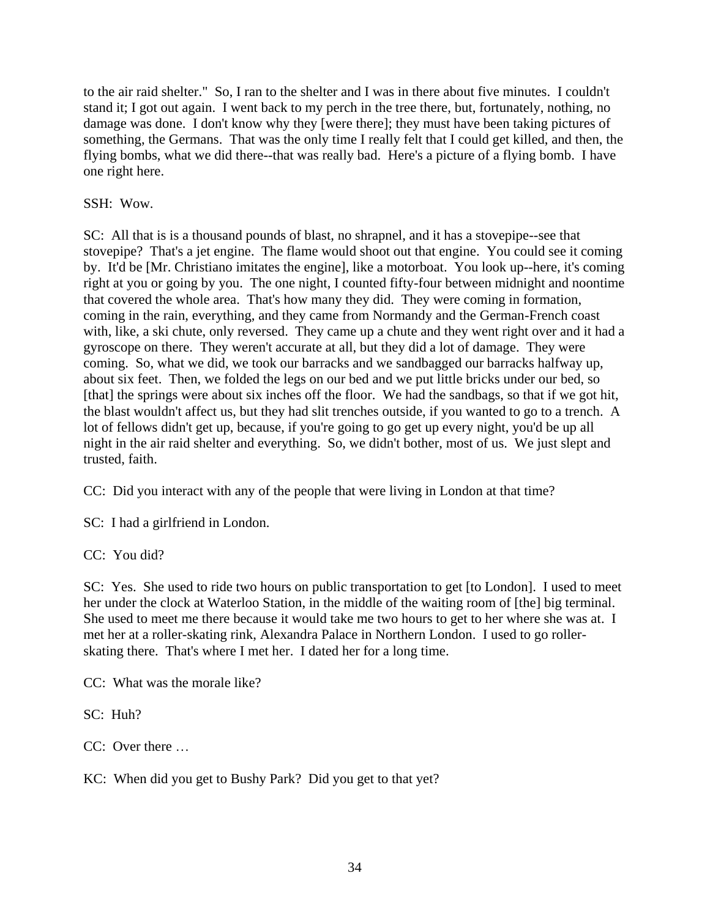to the air raid shelter." So, I ran to the shelter and I was in there about five minutes. I couldn't stand it; I got out again. I went back to my perch in the tree there, but, fortunately, nothing, no damage was done. I don't know why they [were there]; they must have been taking pictures of something, the Germans. That was the only time I really felt that I could get killed, and then, the flying bombs, what we did there--that was really bad. Here's a picture of a flying bomb. I have one right here.

SSH: Wow.

SC: All that is is a thousand pounds of blast, no shrapnel, and it has a stovepipe--see that stovepipe? That's a jet engine. The flame would shoot out that engine. You could see it coming by. It'd be [Mr. Christiano imitates the engine], like a motorboat. You look up--here, it's coming right at you or going by you. The one night, I counted fifty-four between midnight and noontime that covered the whole area. That's how many they did. They were coming in formation, coming in the rain, everything, and they came from Normandy and the German-French coast with, like, a ski chute, only reversed. They came up a chute and they went right over and it had a gyroscope on there. They weren't accurate at all, but they did a lot of damage. They were coming. So, what we did, we took our barracks and we sandbagged our barracks halfway up, about six feet. Then, we folded the legs on our bed and we put little bricks under our bed, so [that] the springs were about six inches off the floor. We had the sandbags, so that if we got hit, the blast wouldn't affect us, but they had slit trenches outside, if you wanted to go to a trench. A lot of fellows didn't get up, because, if you're going to go get up every night, you'd be up all night in the air raid shelter and everything. So, we didn't bother, most of us. We just slept and trusted, faith.

CC: Did you interact with any of the people that were living in London at that time?

SC: I had a girlfriend in London.

CC: You did?

SC: Yes. She used to ride two hours on public transportation to get [to London]. I used to meet her under the clock at Waterloo Station, in the middle of the waiting room of [the] big terminal. She used to meet me there because it would take me two hours to get to her where she was at. I met her at a roller-skating rink, Alexandra Palace in Northern London. I used to go rollerskating there. That's where I met her. I dated her for a long time.

CC: What was the morale like?

SC: Huh?

CC: Over there …

KC: When did you get to Bushy Park? Did you get to that yet?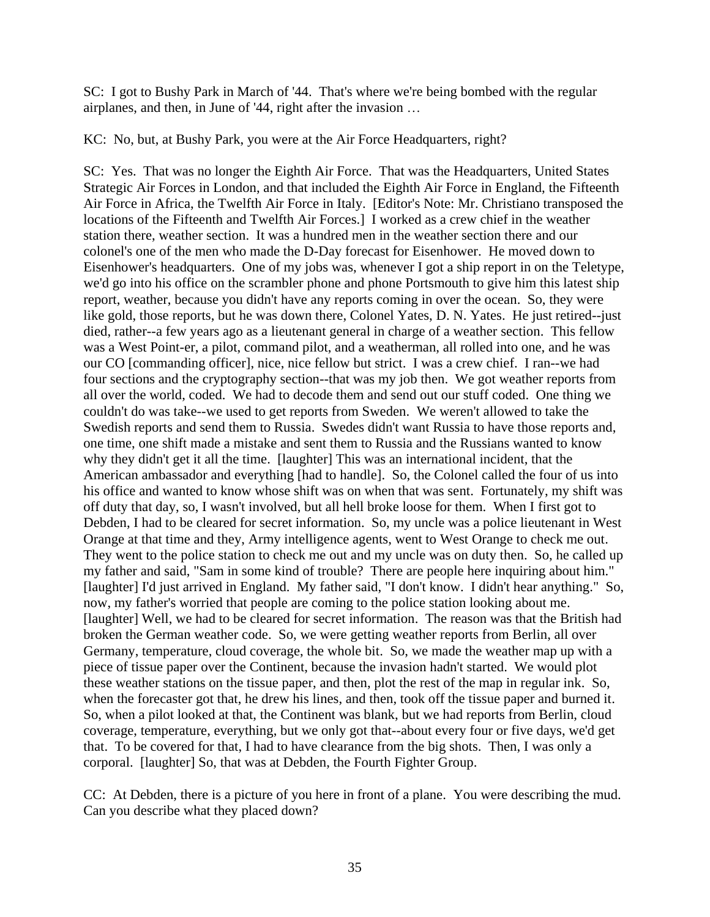SC: I got to Bushy Park in March of '44. That's where we're being bombed with the regular airplanes, and then, in June of '44, right after the invasion …

KC: No, but, at Bushy Park, you were at the Air Force Headquarters, right?

SC: Yes. That was no longer the Eighth Air Force. That was the Headquarters, United States Strategic Air Forces in London, and that included the Eighth Air Force in England, the Fifteenth Air Force in Africa, the Twelfth Air Force in Italy. [Editor's Note: Mr. Christiano transposed the locations of the Fifteenth and Twelfth Air Forces.] I worked as a crew chief in the weather station there, weather section. It was a hundred men in the weather section there and our colonel's one of the men who made the D-Day forecast for Eisenhower. He moved down to Eisenhower's headquarters. One of my jobs was, whenever I got a ship report in on the Teletype, we'd go into his office on the scrambler phone and phone Portsmouth to give him this latest ship report, weather, because you didn't have any reports coming in over the ocean. So, they were like gold, those reports, but he was down there, Colonel Yates, D. N. Yates. He just retired--just died, rather--a few years ago as a lieutenant general in charge of a weather section. This fellow was a West Point-er, a pilot, command pilot, and a weatherman, all rolled into one, and he was our CO [commanding officer], nice, nice fellow but strict. I was a crew chief. I ran--we had four sections and the cryptography section--that was my job then. We got weather reports from all over the world, coded. We had to decode them and send out our stuff coded. One thing we couldn't do was take--we used to get reports from Sweden. We weren't allowed to take the Swedish reports and send them to Russia. Swedes didn't want Russia to have those reports and, one time, one shift made a mistake and sent them to Russia and the Russians wanted to know why they didn't get it all the time. [laughter] This was an international incident, that the American ambassador and everything [had to handle]. So, the Colonel called the four of us into his office and wanted to know whose shift was on when that was sent. Fortunately, my shift was off duty that day, so, I wasn't involved, but all hell broke loose for them. When I first got to Debden, I had to be cleared for secret information. So, my uncle was a police lieutenant in West Orange at that time and they, Army intelligence agents, went to West Orange to check me out. They went to the police station to check me out and my uncle was on duty then. So, he called up my father and said, "Sam in some kind of trouble? There are people here inquiring about him." [laughter] I'd just arrived in England. My father said, "I don't know. I didn't hear anything." So, now, my father's worried that people are coming to the police station looking about me. [laughter] Well, we had to be cleared for secret information. The reason was that the British had broken the German weather code. So, we were getting weather reports from Berlin, all over Germany, temperature, cloud coverage, the whole bit. So, we made the weather map up with a piece of tissue paper over the Continent, because the invasion hadn't started. We would plot these weather stations on the tissue paper, and then, plot the rest of the map in regular ink. So, when the forecaster got that, he drew his lines, and then, took off the tissue paper and burned it. So, when a pilot looked at that, the Continent was blank, but we had reports from Berlin, cloud coverage, temperature, everything, but we only got that--about every four or five days, we'd get that. To be covered for that, I had to have clearance from the big shots. Then, I was only a corporal. [laughter] So, that was at Debden, the Fourth Fighter Group.

CC: At Debden, there is a picture of you here in front of a plane. You were describing the mud. Can you describe what they placed down?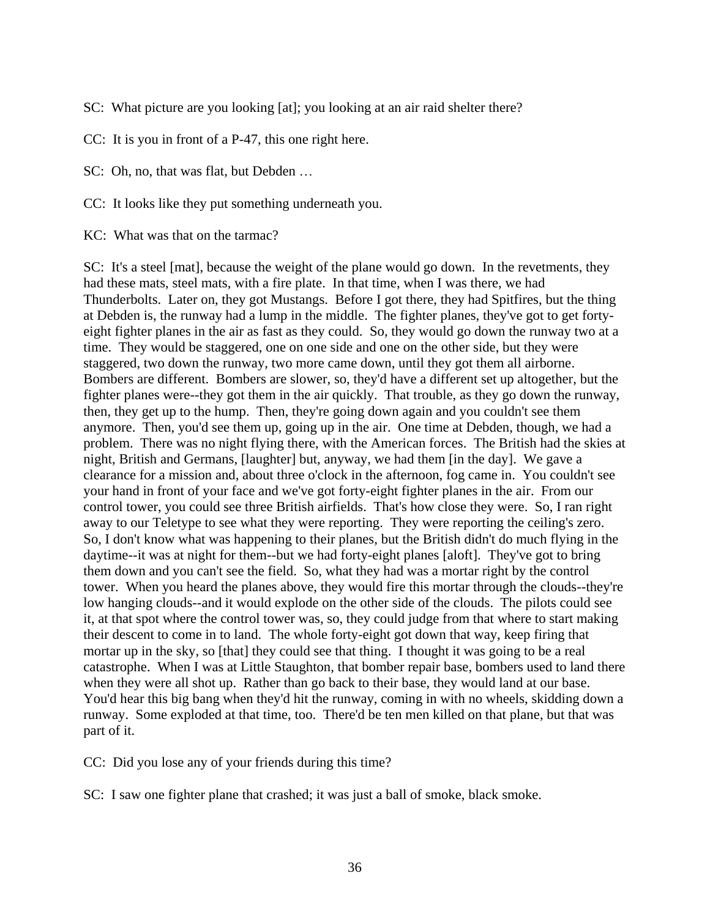SC: What picture are you looking [at]; you looking at an air raid shelter there?

CC: It is you in front of a P-47, this one right here.

SC: Oh, no, that was flat, but Debden …

CC: It looks like they put something underneath you.

KC: What was that on the tarmac?

SC: It's a steel [mat], because the weight of the plane would go down. In the revetments, they had these mats, steel mats, with a fire plate. In that time, when I was there, we had Thunderbolts. Later on, they got Mustangs. Before I got there, they had Spitfires, but the thing at Debden is, the runway had a lump in the middle. The fighter planes, they've got to get fortyeight fighter planes in the air as fast as they could. So, they would go down the runway two at a time. They would be staggered, one on one side and one on the other side, but they were staggered, two down the runway, two more came down, until they got them all airborne. Bombers are different. Bombers are slower, so, they'd have a different set up altogether, but the fighter planes were--they got them in the air quickly. That trouble, as they go down the runway, then, they get up to the hump. Then, they're going down again and you couldn't see them anymore. Then, you'd see them up, going up in the air. One time at Debden, though, we had a problem. There was no night flying there, with the American forces. The British had the skies at night, British and Germans, [laughter] but, anyway, we had them [in the day]. We gave a clearance for a mission and, about three o'clock in the afternoon, fog came in. You couldn't see your hand in front of your face and we've got forty-eight fighter planes in the air. From our control tower, you could see three British airfields. That's how close they were. So, I ran right away to our Teletype to see what they were reporting. They were reporting the ceiling's zero. So, I don't know what was happening to their planes, but the British didn't do much flying in the daytime--it was at night for them--but we had forty-eight planes [aloft]. They've got to bring them down and you can't see the field. So, what they had was a mortar right by the control tower. When you heard the planes above, they would fire this mortar through the clouds--they're low hanging clouds--and it would explode on the other side of the clouds. The pilots could see it, at that spot where the control tower was, so, they could judge from that where to start making their descent to come in to land. The whole forty-eight got down that way, keep firing that mortar up in the sky, so [that] they could see that thing. I thought it was going to be a real catastrophe. When I was at Little Staughton, that bomber repair base, bombers used to land there when they were all shot up. Rather than go back to their base, they would land at our base. You'd hear this big bang when they'd hit the runway, coming in with no wheels, skidding down a runway. Some exploded at that time, too. There'd be ten men killed on that plane, but that was part of it.

CC: Did you lose any of your friends during this time?

SC: I saw one fighter plane that crashed; it was just a ball of smoke, black smoke.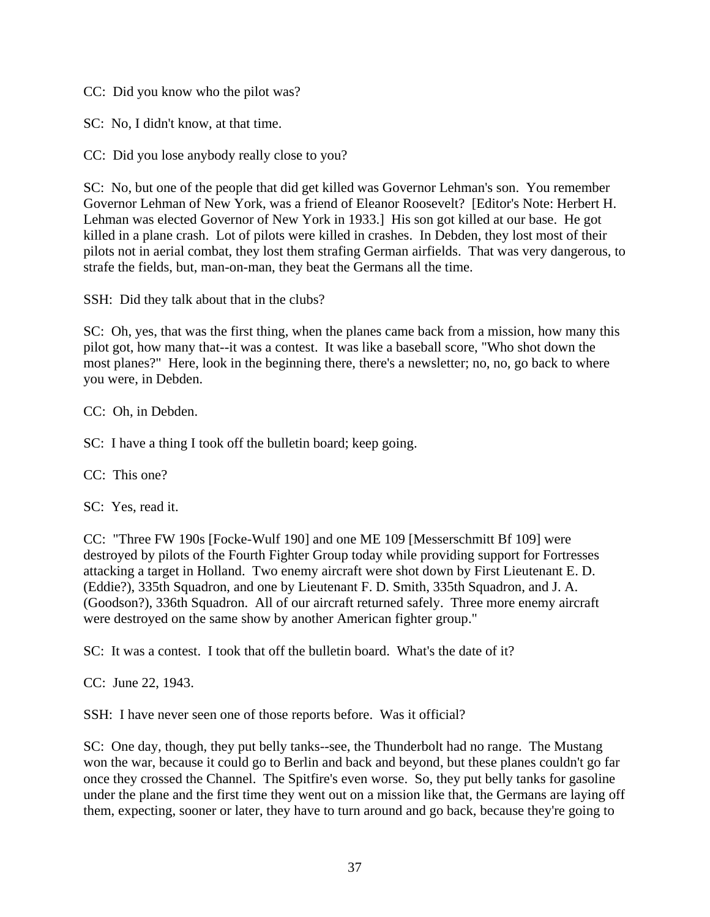CC: Did you know who the pilot was?

SC: No, I didn't know, at that time.

CC: Did you lose anybody really close to you?

SC: No, but one of the people that did get killed was Governor Lehman's son. You remember Governor Lehman of New York, was a friend of Eleanor Roosevelt? [Editor's Note: Herbert H. Lehman was elected Governor of New York in 1933.] His son got killed at our base. He got killed in a plane crash. Lot of pilots were killed in crashes. In Debden, they lost most of their pilots not in aerial combat, they lost them strafing German airfields. That was very dangerous, to strafe the fields, but, man-on-man, they beat the Germans all the time.

SSH: Did they talk about that in the clubs?

SC: Oh, yes, that was the first thing, when the planes came back from a mission, how many this pilot got, how many that--it was a contest. It was like a baseball score, "Who shot down the most planes?" Here, look in the beginning there, there's a newsletter; no, no, go back to where you were, in Debden.

CC: Oh, in Debden.

SC: I have a thing I took off the bulletin board; keep going.

CC: This one?

SC: Yes, read it.

CC: "Three FW 190s [Focke-Wulf 190] and one ME 109 [Messerschmitt Bf 109] were destroyed by pilots of the Fourth Fighter Group today while providing support for Fortresses attacking a target in Holland. Two enemy aircraft were shot down by First Lieutenant E. D. (Eddie?), 335th Squadron, and one by Lieutenant F. D. Smith, 335th Squadron, and J. A. (Goodson?), 336th Squadron. All of our aircraft returned safely. Three more enemy aircraft were destroyed on the same show by another American fighter group."

SC: It was a contest. I took that off the bulletin board. What's the date of it?

CC: June 22, 1943.

SSH: I have never seen one of those reports before. Was it official?

SC: One day, though, they put belly tanks--see, the Thunderbolt had no range. The Mustang won the war, because it could go to Berlin and back and beyond, but these planes couldn't go far once they crossed the Channel. The Spitfire's even worse. So, they put belly tanks for gasoline under the plane and the first time they went out on a mission like that, the Germans are laying off them, expecting, sooner or later, they have to turn around and go back, because they're going to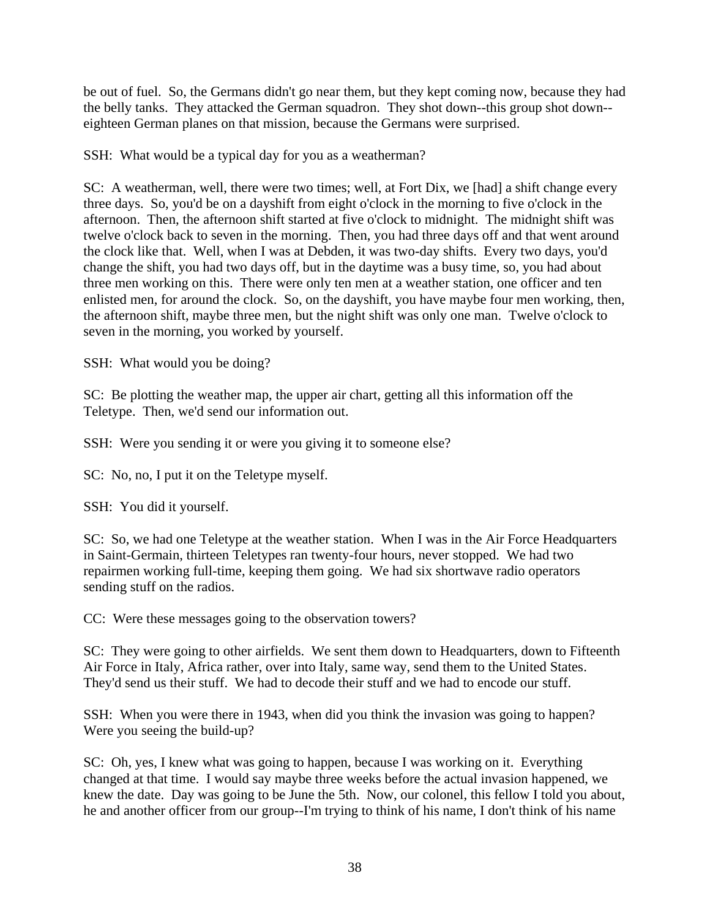be out of fuel. So, the Germans didn't go near them, but they kept coming now, because they had the belly tanks. They attacked the German squadron. They shot down--this group shot down- eighteen German planes on that mission, because the Germans were surprised.

SSH: What would be a typical day for you as a weatherman?

SC: A weatherman, well, there were two times; well, at Fort Dix, we [had] a shift change every three days. So, you'd be on a dayshift from eight o'clock in the morning to five o'clock in the afternoon. Then, the afternoon shift started at five o'clock to midnight. The midnight shift was twelve o'clock back to seven in the morning. Then, you had three days off and that went around the clock like that. Well, when I was at Debden, it was two-day shifts. Every two days, you'd change the shift, you had two days off, but in the daytime was a busy time, so, you had about three men working on this. There were only ten men at a weather station, one officer and ten enlisted men, for around the clock. So, on the dayshift, you have maybe four men working, then, the afternoon shift, maybe three men, but the night shift was only one man. Twelve o'clock to seven in the morning, you worked by yourself.

SSH: What would you be doing?

SC: Be plotting the weather map, the upper air chart, getting all this information off the Teletype. Then, we'd send our information out.

SSH: Were you sending it or were you giving it to someone else?

SC: No, no, I put it on the Teletype myself.

SSH: You did it yourself.

SC: So, we had one Teletype at the weather station. When I was in the Air Force Headquarters in Saint-Germain, thirteen Teletypes ran twenty-four hours, never stopped. We had two repairmen working full-time, keeping them going. We had six shortwave radio operators sending stuff on the radios.

CC: Were these messages going to the observation towers?

SC: They were going to other airfields. We sent them down to Headquarters, down to Fifteenth Air Force in Italy, Africa rather, over into Italy, same way, send them to the United States. They'd send us their stuff. We had to decode their stuff and we had to encode our stuff.

SSH: When you were there in 1943, when did you think the invasion was going to happen? Were you seeing the build-up?

SC: Oh, yes, I knew what was going to happen, because I was working on it. Everything changed at that time. I would say maybe three weeks before the actual invasion happened, we knew the date. Day was going to be June the 5th. Now, our colonel, this fellow I told you about, he and another officer from our group--I'm trying to think of his name, I don't think of his name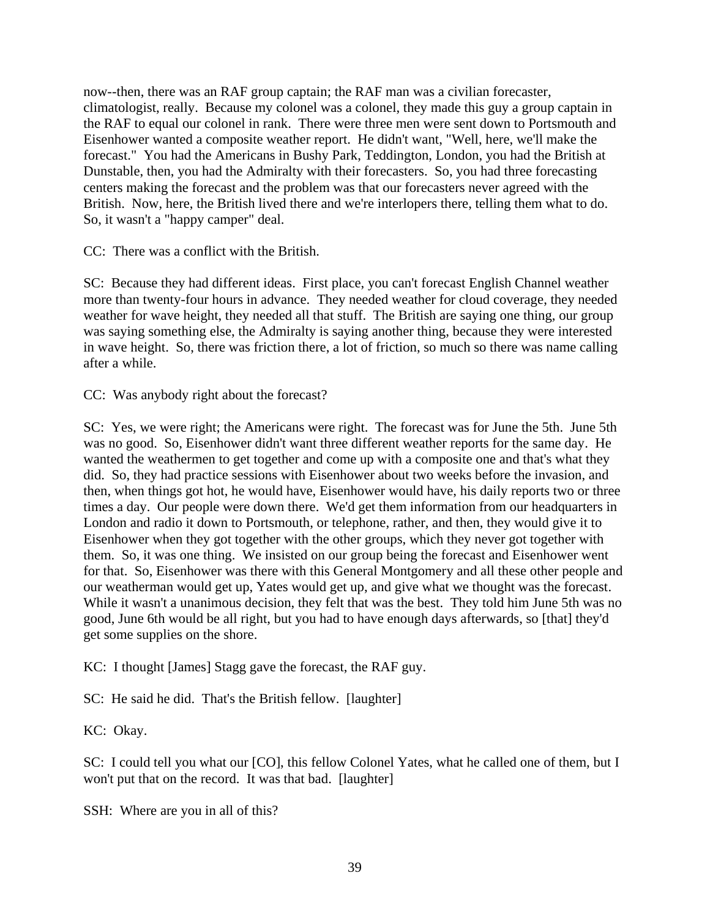now--then, there was an RAF group captain; the RAF man was a civilian forecaster, climatologist, really. Because my colonel was a colonel, they made this guy a group captain in the RAF to equal our colonel in rank. There were three men were sent down to Portsmouth and Eisenhower wanted a composite weather report. He didn't want, "Well, here, we'll make the forecast." You had the Americans in Bushy Park, Teddington, London, you had the British at Dunstable, then, you had the Admiralty with their forecasters. So, you had three forecasting centers making the forecast and the problem was that our forecasters never agreed with the British. Now, here, the British lived there and we're interlopers there, telling them what to do. So, it wasn't a "happy camper" deal.

CC: There was a conflict with the British.

SC: Because they had different ideas. First place, you can't forecast English Channel weather more than twenty-four hours in advance. They needed weather for cloud coverage, they needed weather for wave height, they needed all that stuff. The British are saying one thing, our group was saying something else, the Admiralty is saying another thing, because they were interested in wave height. So, there was friction there, a lot of friction, so much so there was name calling after a while.

CC: Was anybody right about the forecast?

SC: Yes, we were right; the Americans were right. The forecast was for June the 5th. June 5th was no good. So, Eisenhower didn't want three different weather reports for the same day. He wanted the weathermen to get together and come up with a composite one and that's what they did. So, they had practice sessions with Eisenhower about two weeks before the invasion, and then, when things got hot, he would have, Eisenhower would have, his daily reports two or three times a day. Our people were down there. We'd get them information from our headquarters in London and radio it down to Portsmouth, or telephone, rather, and then, they would give it to Eisenhower when they got together with the other groups, which they never got together with them. So, it was one thing. We insisted on our group being the forecast and Eisenhower went for that. So, Eisenhower was there with this General Montgomery and all these other people and our weatherman would get up, Yates would get up, and give what we thought was the forecast. While it wasn't a unanimous decision, they felt that was the best. They told him June 5th was no good, June 6th would be all right, but you had to have enough days afterwards, so [that] they'd get some supplies on the shore.

KC: I thought [James] Stagg gave the forecast, the RAF guy.

SC: He said he did. That's the British fellow. [laughter]

KC: Okay.

SC: I could tell you what our [CO], this fellow Colonel Yates, what he called one of them, but I won't put that on the record. It was that bad. [laughter]

SSH: Where are you in all of this?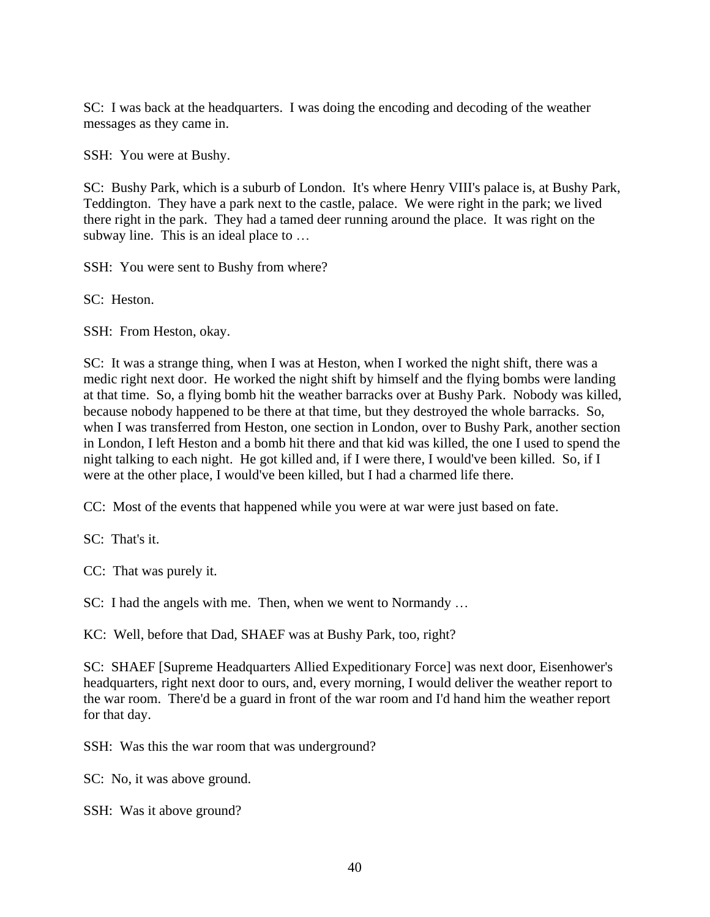SC: I was back at the headquarters. I was doing the encoding and decoding of the weather messages as they came in.

SSH: You were at Bushy.

SC: Bushy Park, which is a suburb of London. It's where Henry VIII's palace is, at Bushy Park, Teddington. They have a park next to the castle, palace. We were right in the park; we lived there right in the park. They had a tamed deer running around the place. It was right on the subway line. This is an ideal place to …

SSH: You were sent to Bushy from where?

SC: Heston.

SSH: From Heston, okay.

SC: It was a strange thing, when I was at Heston, when I worked the night shift, there was a medic right next door. He worked the night shift by himself and the flying bombs were landing at that time. So, a flying bomb hit the weather barracks over at Bushy Park. Nobody was killed, because nobody happened to be there at that time, but they destroyed the whole barracks. So, when I was transferred from Heston, one section in London, over to Bushy Park, another section in London, I left Heston and a bomb hit there and that kid was killed, the one I used to spend the night talking to each night. He got killed and, if I were there, I would've been killed. So, if I were at the other place, I would've been killed, but I had a charmed life there.

CC: Most of the events that happened while you were at war were just based on fate.

SC: That's it.

CC: That was purely it.

SC: I had the angels with me. Then, when we went to Normandy …

KC: Well, before that Dad, SHAEF was at Bushy Park, too, right?

SC: SHAEF [Supreme Headquarters Allied Expeditionary Force] was next door, Eisenhower's headquarters, right next door to ours, and, every morning, I would deliver the weather report to the war room. There'd be a guard in front of the war room and I'd hand him the weather report for that day.

SSH: Was this the war room that was underground?

SC: No, it was above ground.

SSH: Was it above ground?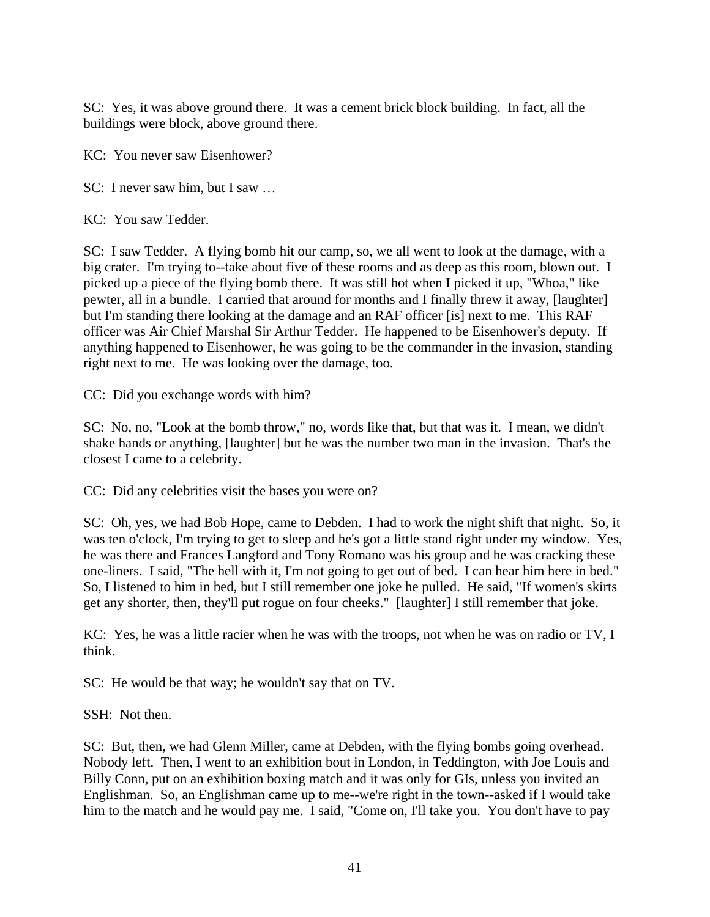SC: Yes, it was above ground there. It was a cement brick block building. In fact, all the buildings were block, above ground there.

KC: You never saw Eisenhower?

SC: I never saw him, but I saw …

KC: You saw Tedder.

SC: I saw Tedder. A flying bomb hit our camp, so, we all went to look at the damage, with a big crater. I'm trying to--take about five of these rooms and as deep as this room, blown out. I picked up a piece of the flying bomb there. It was still hot when I picked it up, "Whoa," like pewter, all in a bundle. I carried that around for months and I finally threw it away, [laughter] but I'm standing there looking at the damage and an RAF officer [is] next to me. This RAF officer was Air Chief Marshal Sir Arthur Tedder. He happened to be Eisenhower's deputy. If anything happened to Eisenhower, he was going to be the commander in the invasion, standing right next to me. He was looking over the damage, too.

CC: Did you exchange words with him?

SC: No, no, "Look at the bomb throw," no, words like that, but that was it. I mean, we didn't shake hands or anything, [laughter] but he was the number two man in the invasion. That's the closest I came to a celebrity.

CC: Did any celebrities visit the bases you were on?

SC: Oh, yes, we had Bob Hope, came to Debden. I had to work the night shift that night. So, it was ten o'clock, I'm trying to get to sleep and he's got a little stand right under my window. Yes, he was there and Frances Langford and Tony Romano was his group and he was cracking these one-liners. I said, "The hell with it, I'm not going to get out of bed. I can hear him here in bed." So, I listened to him in bed, but I still remember one joke he pulled. He said, "If women's skirts get any shorter, then, they'll put rogue on four cheeks." [laughter] I still remember that joke.

KC: Yes, he was a little racier when he was with the troops, not when he was on radio or TV, I think.

SC: He would be that way; he wouldn't say that on TV.

SSH: Not then.

SC: But, then, we had Glenn Miller, came at Debden, with the flying bombs going overhead. Nobody left. Then, I went to an exhibition bout in London, in Teddington, with Joe Louis and Billy Conn, put on an exhibition boxing match and it was only for GIs, unless you invited an Englishman. So, an Englishman came up to me--we're right in the town--asked if I would take him to the match and he would pay me. I said, "Come on, I'll take you. You don't have to pay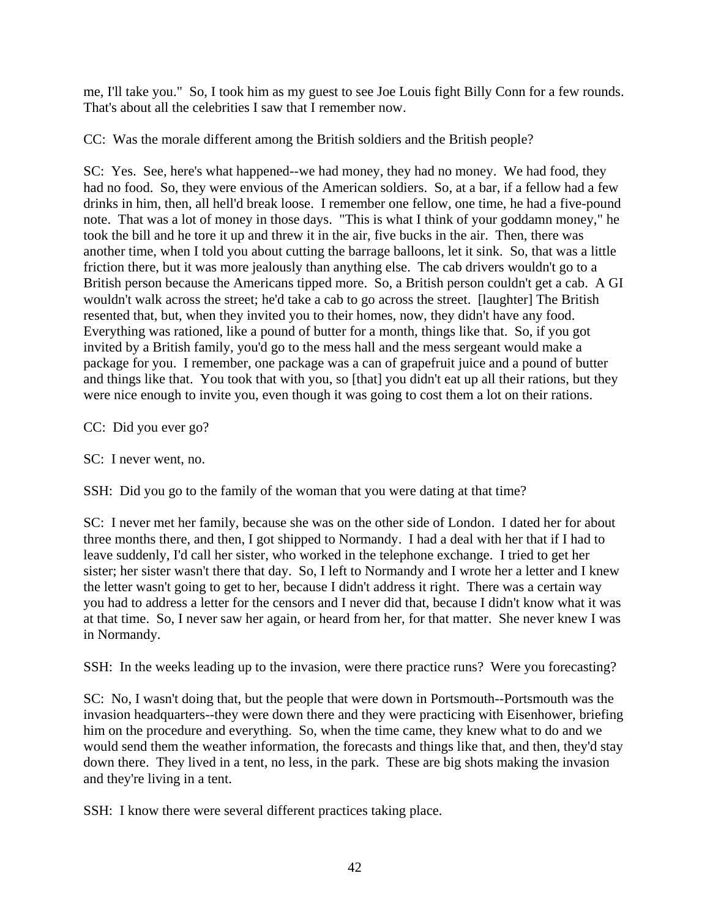me, I'll take you." So, I took him as my guest to see Joe Louis fight Billy Conn for a few rounds. That's about all the celebrities I saw that I remember now.

CC: Was the morale different among the British soldiers and the British people?

SC: Yes. See, here's what happened--we had money, they had no money. We had food, they had no food. So, they were envious of the American soldiers. So, at a bar, if a fellow had a few drinks in him, then, all hell'd break loose. I remember one fellow, one time, he had a five-pound note. That was a lot of money in those days. "This is what I think of your goddamn money," he took the bill and he tore it up and threw it in the air, five bucks in the air. Then, there was another time, when I told you about cutting the barrage balloons, let it sink. So, that was a little friction there, but it was more jealously than anything else. The cab drivers wouldn't go to a British person because the Americans tipped more. So, a British person couldn't get a cab. A GI wouldn't walk across the street; he'd take a cab to go across the street. [laughter] The British resented that, but, when they invited you to their homes, now, they didn't have any food. Everything was rationed, like a pound of butter for a month, things like that. So, if you got invited by a British family, you'd go to the mess hall and the mess sergeant would make a package for you. I remember, one package was a can of grapefruit juice and a pound of butter and things like that. You took that with you, so [that] you didn't eat up all their rations, but they were nice enough to invite you, even though it was going to cost them a lot on their rations.

CC: Did you ever go?

SC: I never went, no.

SSH: Did you go to the family of the woman that you were dating at that time?

SC: I never met her family, because she was on the other side of London. I dated her for about three months there, and then, I got shipped to Normandy. I had a deal with her that if I had to leave suddenly, I'd call her sister, who worked in the telephone exchange. I tried to get her sister; her sister wasn't there that day. So, I left to Normandy and I wrote her a letter and I knew the letter wasn't going to get to her, because I didn't address it right. There was a certain way you had to address a letter for the censors and I never did that, because I didn't know what it was at that time. So, I never saw her again, or heard from her, for that matter. She never knew I was in Normandy.

SSH: In the weeks leading up to the invasion, were there practice runs? Were you forecasting?

SC: No, I wasn't doing that, but the people that were down in Portsmouth--Portsmouth was the invasion headquarters--they were down there and they were practicing with Eisenhower, briefing him on the procedure and everything. So, when the time came, they knew what to do and we would send them the weather information, the forecasts and things like that, and then, they'd stay down there. They lived in a tent, no less, in the park. These are big shots making the invasion and they're living in a tent.

SSH: I know there were several different practices taking place.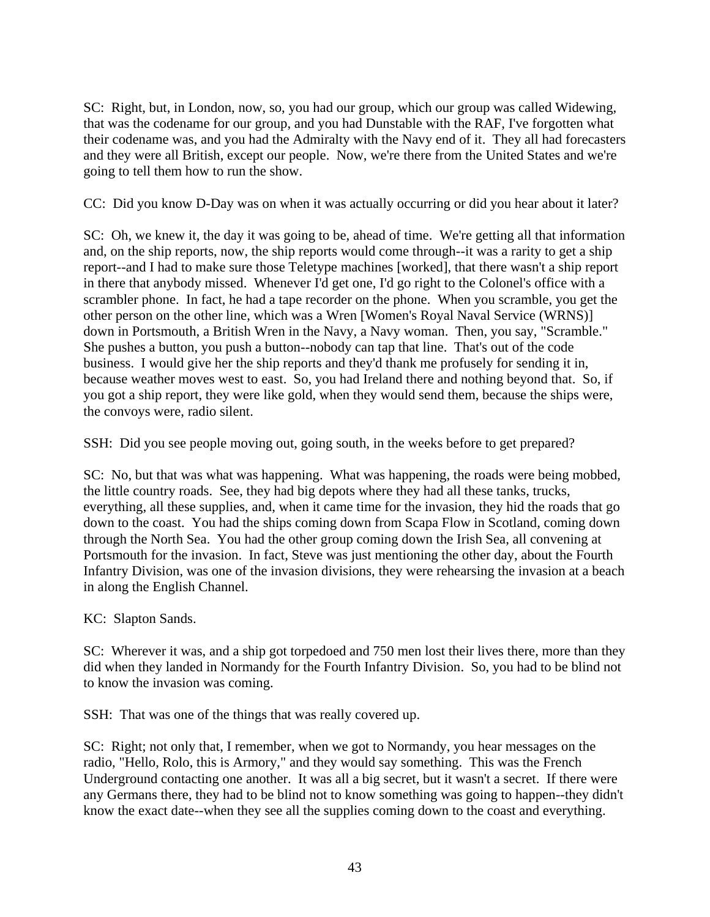SC: Right, but, in London, now, so, you had our group, which our group was called Widewing, that was the codename for our group, and you had Dunstable with the RAF, I've forgotten what their codename was, and you had the Admiralty with the Navy end of it. They all had forecasters and they were all British, except our people. Now, we're there from the United States and we're going to tell them how to run the show.

CC: Did you know D-Day was on when it was actually occurring or did you hear about it later?

SC: Oh, we knew it, the day it was going to be, ahead of time. We're getting all that information and, on the ship reports, now, the ship reports would come through--it was a rarity to get a ship report--and I had to make sure those Teletype machines [worked], that there wasn't a ship report in there that anybody missed. Whenever I'd get one, I'd go right to the Colonel's office with a scrambler phone. In fact, he had a tape recorder on the phone. When you scramble, you get the other person on the other line, which was a Wren [Women's Royal Naval Service (WRNS)] down in Portsmouth, a British Wren in the Navy, a Navy woman. Then, you say, "Scramble." She pushes a button, you push a button--nobody can tap that line. That's out of the code business. I would give her the ship reports and they'd thank me profusely for sending it in, because weather moves west to east. So, you had Ireland there and nothing beyond that. So, if you got a ship report, they were like gold, when they would send them, because the ships were, the convoys were, radio silent.

SSH: Did you see people moving out, going south, in the weeks before to get prepared?

SC: No, but that was what was happening. What was happening, the roads were being mobbed, the little country roads. See, they had big depots where they had all these tanks, trucks, everything, all these supplies, and, when it came time for the invasion, they hid the roads that go down to the coast. You had the ships coming down from Scapa Flow in Scotland, coming down through the North Sea. You had the other group coming down the Irish Sea, all convening at Portsmouth for the invasion. In fact, Steve was just mentioning the other day, about the Fourth Infantry Division, was one of the invasion divisions, they were rehearsing the invasion at a beach in along the English Channel.

KC: Slapton Sands.

SC: Wherever it was, and a ship got torpedoed and 750 men lost their lives there, more than they did when they landed in Normandy for the Fourth Infantry Division. So, you had to be blind not to know the invasion was coming.

SSH: That was one of the things that was really covered up.

SC: Right; not only that, I remember, when we got to Normandy, you hear messages on the radio, "Hello, Rolo, this is Armory," and they would say something. This was the French Underground contacting one another. It was all a big secret, but it wasn't a secret. If there were any Germans there, they had to be blind not to know something was going to happen--they didn't know the exact date--when they see all the supplies coming down to the coast and everything.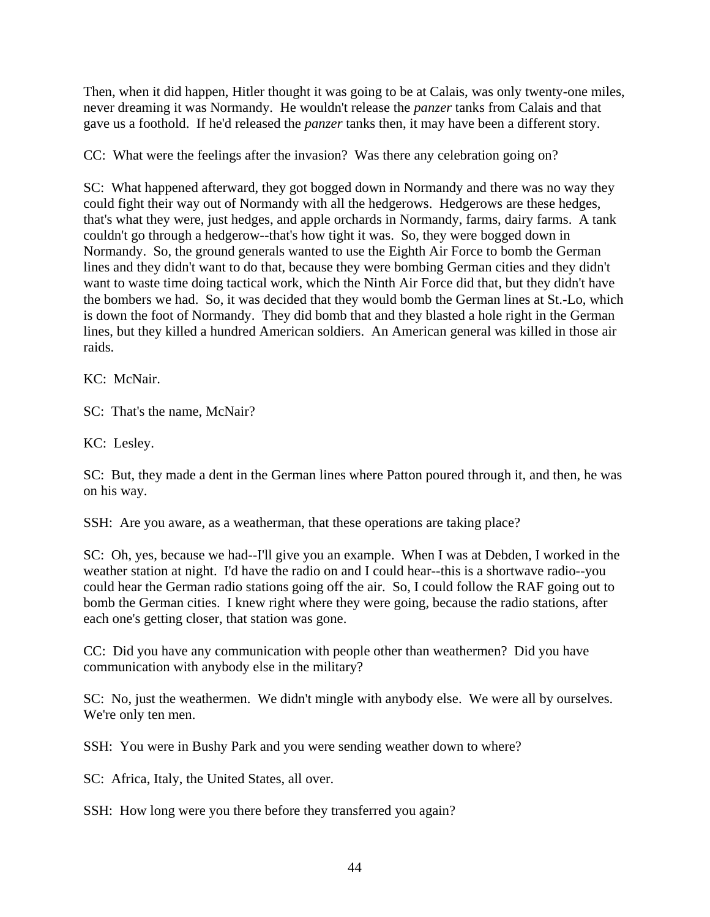Then, when it did happen, Hitler thought it was going to be at Calais, was only twenty-one miles, never dreaming it was Normandy. He wouldn't release the *panzer* tanks from Calais and that gave us a foothold. If he'd released the *panzer* tanks then, it may have been a different story.

CC: What were the feelings after the invasion? Was there any celebration going on?

SC: What happened afterward, they got bogged down in Normandy and there was no way they could fight their way out of Normandy with all the hedgerows. Hedgerows are these hedges, that's what they were, just hedges, and apple orchards in Normandy, farms, dairy farms. A tank couldn't go through a hedgerow--that's how tight it was. So, they were bogged down in Normandy. So, the ground generals wanted to use the Eighth Air Force to bomb the German lines and they didn't want to do that, because they were bombing German cities and they didn't want to waste time doing tactical work, which the Ninth Air Force did that, but they didn't have the bombers we had. So, it was decided that they would bomb the German lines at St.-Lo, which is down the foot of Normandy. They did bomb that and they blasted a hole right in the German lines, but they killed a hundred American soldiers. An American general was killed in those air raids.

KC: McNair.

SC: That's the name, McNair?

KC: Lesley.

SC: But, they made a dent in the German lines where Patton poured through it, and then, he was on his way.

SSH: Are you aware, as a weatherman, that these operations are taking place?

SC: Oh, yes, because we had--I'll give you an example. When I was at Debden, I worked in the weather station at night. I'd have the radio on and I could hear--this is a shortwave radio--you could hear the German radio stations going off the air. So, I could follow the RAF going out to bomb the German cities. I knew right where they were going, because the radio stations, after each one's getting closer, that station was gone.

CC: Did you have any communication with people other than weathermen? Did you have communication with anybody else in the military?

SC: No, just the weathermen. We didn't mingle with anybody else. We were all by ourselves. We're only ten men.

SSH: You were in Bushy Park and you were sending weather down to where?

SC: Africa, Italy, the United States, all over.

SSH: How long were you there before they transferred you again?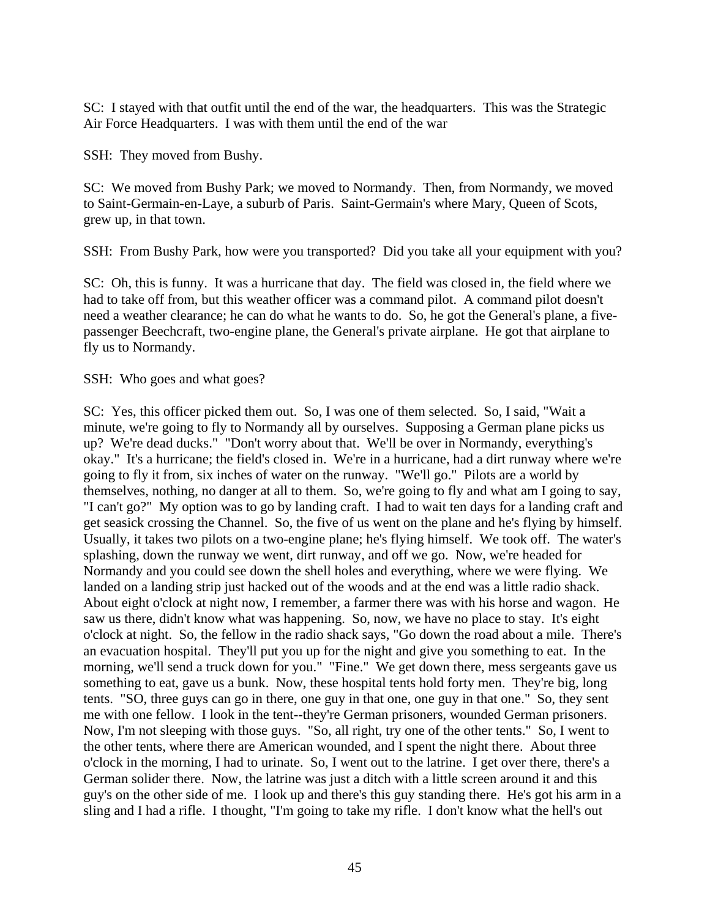SC: I stayed with that outfit until the end of the war, the headquarters. This was the Strategic Air Force Headquarters. I was with them until the end of the war

SSH: They moved from Bushy.

SC: We moved from Bushy Park; we moved to Normandy. Then, from Normandy, we moved to Saint-Germain-en-Laye, a suburb of Paris. Saint-Germain's where Mary, Queen of Scots, grew up, in that town.

SSH: From Bushy Park, how were you transported? Did you take all your equipment with you?

SC: Oh, this is funny. It was a hurricane that day. The field was closed in, the field where we had to take off from, but this weather officer was a command pilot. A command pilot doesn't need a weather clearance; he can do what he wants to do. So, he got the General's plane, a fivepassenger Beechcraft, two-engine plane, the General's private airplane. He got that airplane to fly us to Normandy.

SSH: Who goes and what goes?

SC: Yes, this officer picked them out. So, I was one of them selected. So, I said, "Wait a minute, we're going to fly to Normandy all by ourselves. Supposing a German plane picks us up? We're dead ducks." "Don't worry about that. We'll be over in Normandy, everything's okay." It's a hurricane; the field's closed in. We're in a hurricane, had a dirt runway where we're going to fly it from, six inches of water on the runway. "We'll go." Pilots are a world by themselves, nothing, no danger at all to them. So, we're going to fly and what am I going to say, "I can't go?" My option was to go by landing craft. I had to wait ten days for a landing craft and get seasick crossing the Channel. So, the five of us went on the plane and he's flying by himself. Usually, it takes two pilots on a two-engine plane; he's flying himself. We took off. The water's splashing, down the runway we went, dirt runway, and off we go. Now, we're headed for Normandy and you could see down the shell holes and everything, where we were flying. We landed on a landing strip just hacked out of the woods and at the end was a little radio shack. About eight o'clock at night now, I remember, a farmer there was with his horse and wagon. He saw us there, didn't know what was happening. So, now, we have no place to stay. It's eight o'clock at night. So, the fellow in the radio shack says, "Go down the road about a mile. There's an evacuation hospital. They'll put you up for the night and give you something to eat. In the morning, we'll send a truck down for you." "Fine." We get down there, mess sergeants gave us something to eat, gave us a bunk. Now, these hospital tents hold forty men. They're big, long tents. "SO, three guys can go in there, one guy in that one, one guy in that one." So, they sent me with one fellow. I look in the tent--they're German prisoners, wounded German prisoners. Now, I'm not sleeping with those guys. "So, all right, try one of the other tents." So, I went to the other tents, where there are American wounded, and I spent the night there. About three o'clock in the morning, I had to urinate. So, I went out to the latrine. I get over there, there's a German solider there. Now, the latrine was just a ditch with a little screen around it and this guy's on the other side of me. I look up and there's this guy standing there. He's got his arm in a sling and I had a rifle. I thought, "I'm going to take my rifle. I don't know what the hell's out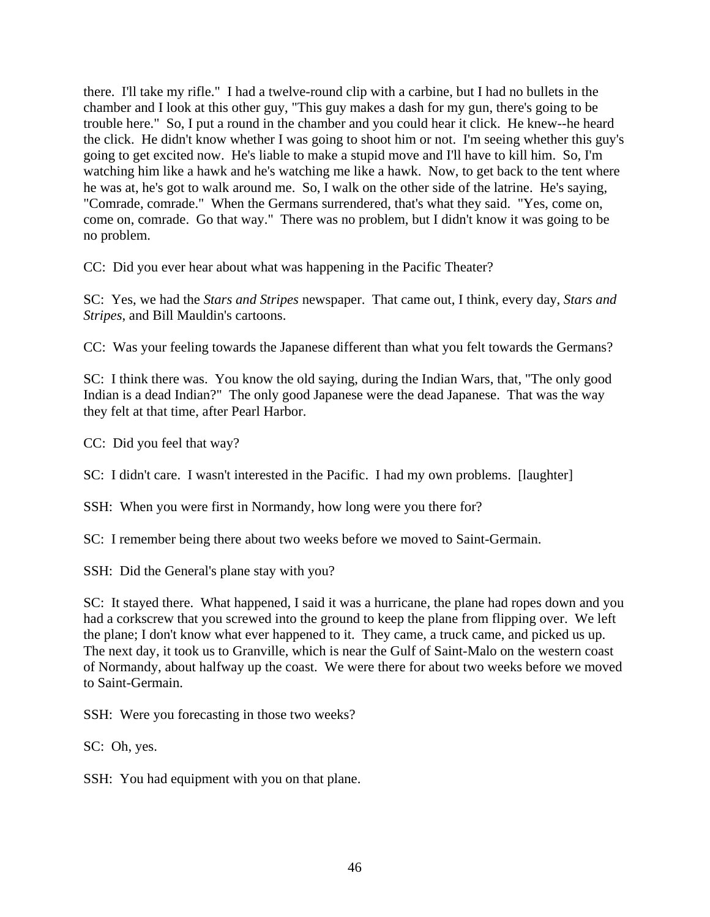there. I'll take my rifle." I had a twelve-round clip with a carbine, but I had no bullets in the chamber and I look at this other guy, "This guy makes a dash for my gun, there's going to be trouble here." So, I put a round in the chamber and you could hear it click. He knew--he heard the click. He didn't know whether I was going to shoot him or not. I'm seeing whether this guy's going to get excited now. He's liable to make a stupid move and I'll have to kill him. So, I'm watching him like a hawk and he's watching me like a hawk. Now, to get back to the tent where he was at, he's got to walk around me. So, I walk on the other side of the latrine. He's saying, "Comrade, comrade." When the Germans surrendered, that's what they said. "Yes, come on, come on, comrade. Go that way." There was no problem, but I didn't know it was going to be no problem.

CC: Did you ever hear about what was happening in the Pacific Theater?

SC: Yes, we had the *Stars and Stripes* newspaper. That came out, I think, every day, *Stars and Stripes*, and Bill Mauldin's cartoons.

CC: Was your feeling towards the Japanese different than what you felt towards the Germans?

SC: I think there was. You know the old saying, during the Indian Wars, that, "The only good Indian is a dead Indian?" The only good Japanese were the dead Japanese. That was the way they felt at that time, after Pearl Harbor.

CC: Did you feel that way?

SC: I didn't care. I wasn't interested in the Pacific. I had my own problems. [laughter]

SSH: When you were first in Normandy, how long were you there for?

SC: I remember being there about two weeks before we moved to Saint-Germain.

SSH: Did the General's plane stay with you?

SC: It stayed there. What happened, I said it was a hurricane, the plane had ropes down and you had a corkscrew that you screwed into the ground to keep the plane from flipping over. We left the plane; I don't know what ever happened to it. They came, a truck came, and picked us up. The next day, it took us to Granville, which is near the Gulf of Saint-Malo on the western coast of Normandy, about halfway up the coast. We were there for about two weeks before we moved to Saint-Germain.

SSH: Were you forecasting in those two weeks?

SC: Oh, yes.

SSH: You had equipment with you on that plane.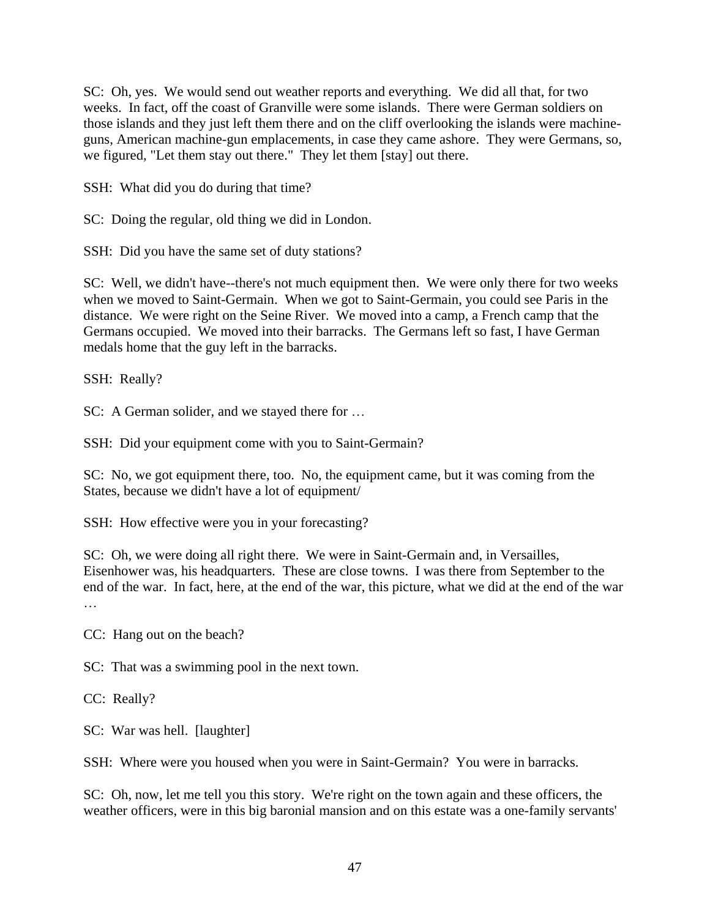SC: Oh, yes. We would send out weather reports and everything. We did all that, for two weeks. In fact, off the coast of Granville were some islands. There were German soldiers on those islands and they just left them there and on the cliff overlooking the islands were machineguns, American machine-gun emplacements, in case they came ashore. They were Germans, so, we figured, "Let them stay out there." They let them [stay] out there.

SSH: What did you do during that time?

SC: Doing the regular, old thing we did in London.

SSH: Did you have the same set of duty stations?

SC: Well, we didn't have--there's not much equipment then. We were only there for two weeks when we moved to Saint-Germain. When we got to Saint-Germain, you could see Paris in the distance. We were right on the Seine River. We moved into a camp, a French camp that the Germans occupied. We moved into their barracks. The Germans left so fast, I have German medals home that the guy left in the barracks.

SSH: Really?

SC: A German solider, and we stayed there for …

SSH: Did your equipment come with you to Saint-Germain?

SC: No, we got equipment there, too. No, the equipment came, but it was coming from the States, because we didn't have a lot of equipment/

SSH: How effective were you in your forecasting?

SC: Oh, we were doing all right there. We were in Saint-Germain and, in Versailles, Eisenhower was, his headquarters. These are close towns. I was there from September to the end of the war. In fact, here, at the end of the war, this picture, what we did at the end of the war …

CC: Hang out on the beach?

SC: That was a swimming pool in the next town.

CC: Really?

SC: War was hell. [laughter]

SSH: Where were you housed when you were in Saint-Germain? You were in barracks.

SC: Oh, now, let me tell you this story. We're right on the town again and these officers, the weather officers, were in this big baronial mansion and on this estate was a one-family servants'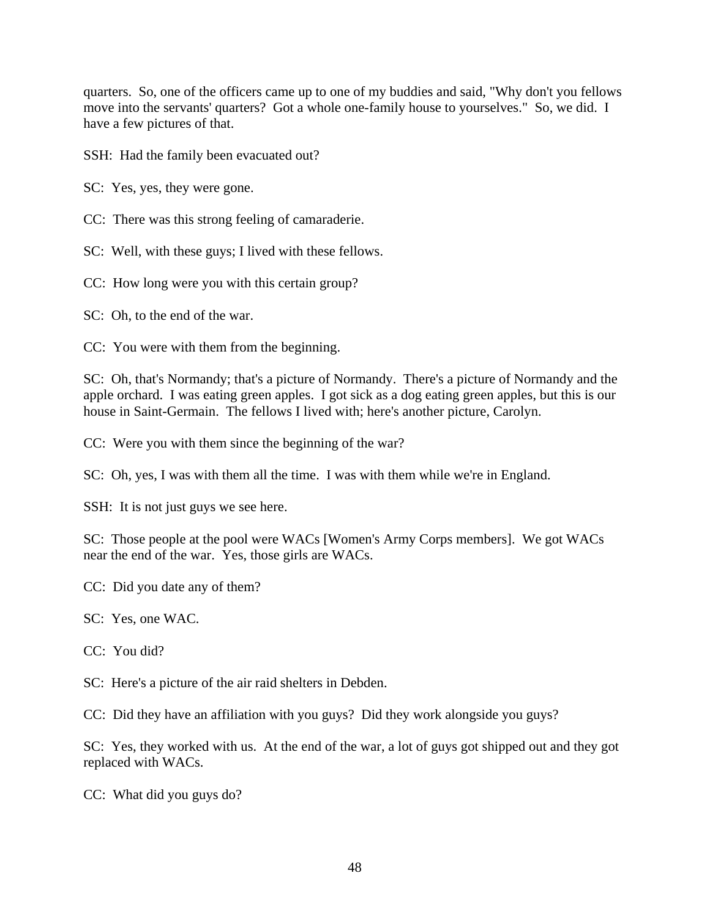quarters. So, one of the officers came up to one of my buddies and said, "Why don't you fellows move into the servants' quarters? Got a whole one-family house to yourselves." So, we did. I have a few pictures of that.

SSH: Had the family been evacuated out?

SC: Yes, yes, they were gone.

CC: There was this strong feeling of camaraderie.

SC: Well, with these guys; I lived with these fellows.

CC: How long were you with this certain group?

SC: Oh, to the end of the war.

CC: You were with them from the beginning.

SC: Oh, that's Normandy; that's a picture of Normandy. There's a picture of Normandy and the apple orchard. I was eating green apples. I got sick as a dog eating green apples, but this is our house in Saint-Germain. The fellows I lived with; here's another picture, Carolyn.

CC: Were you with them since the beginning of the war?

SC: Oh, yes, I was with them all the time. I was with them while we're in England.

SSH: It is not just guys we see here.

SC: Those people at the pool were WACs [Women's Army Corps members]. We got WACs near the end of the war. Yes, those girls are WACs.

CC: Did you date any of them?

SC: Yes, one WAC.

CC: You did?

SC: Here's a picture of the air raid shelters in Debden.

CC: Did they have an affiliation with you guys? Did they work alongside you guys?

SC: Yes, they worked with us. At the end of the war, a lot of guys got shipped out and they got replaced with WACs.

CC: What did you guys do?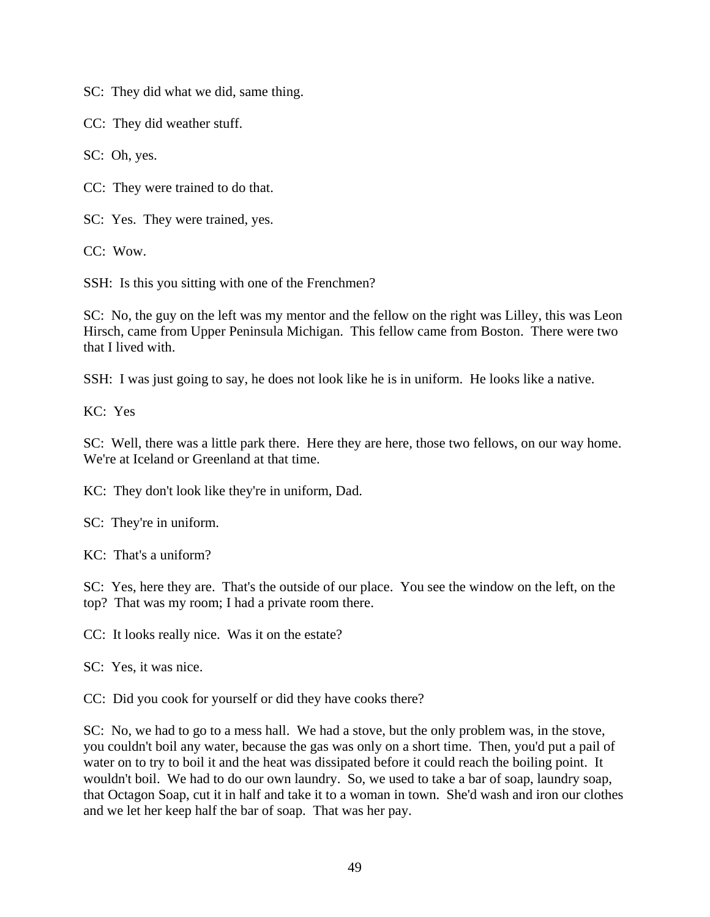SC: They did what we did, same thing.

CC: They did weather stuff.

SC: Oh, yes.

CC: They were trained to do that.

SC: Yes. They were trained, yes.

CC: Wow.

SSH: Is this you sitting with one of the Frenchmen?

SC: No, the guy on the left was my mentor and the fellow on the right was Lilley, this was Leon Hirsch, came from Upper Peninsula Michigan. This fellow came from Boston. There were two that I lived with.

SSH: I was just going to say, he does not look like he is in uniform. He looks like a native.

KC: Yes

SC: Well, there was a little park there. Here they are here, those two fellows, on our way home. We're at Iceland or Greenland at that time.

KC: They don't look like they're in uniform, Dad.

SC: They're in uniform.

KC: That's a uniform?

SC: Yes, here they are. That's the outside of our place. You see the window on the left, on the top? That was my room; I had a private room there.

CC: It looks really nice. Was it on the estate?

SC: Yes, it was nice.

CC: Did you cook for yourself or did they have cooks there?

SC: No, we had to go to a mess hall. We had a stove, but the only problem was, in the stove, you couldn't boil any water, because the gas was only on a short time. Then, you'd put a pail of water on to try to boil it and the heat was dissipated before it could reach the boiling point. It wouldn't boil. We had to do our own laundry. So, we used to take a bar of soap, laundry soap, that Octagon Soap, cut it in half and take it to a woman in town. She'd wash and iron our clothes and we let her keep half the bar of soap. That was her pay.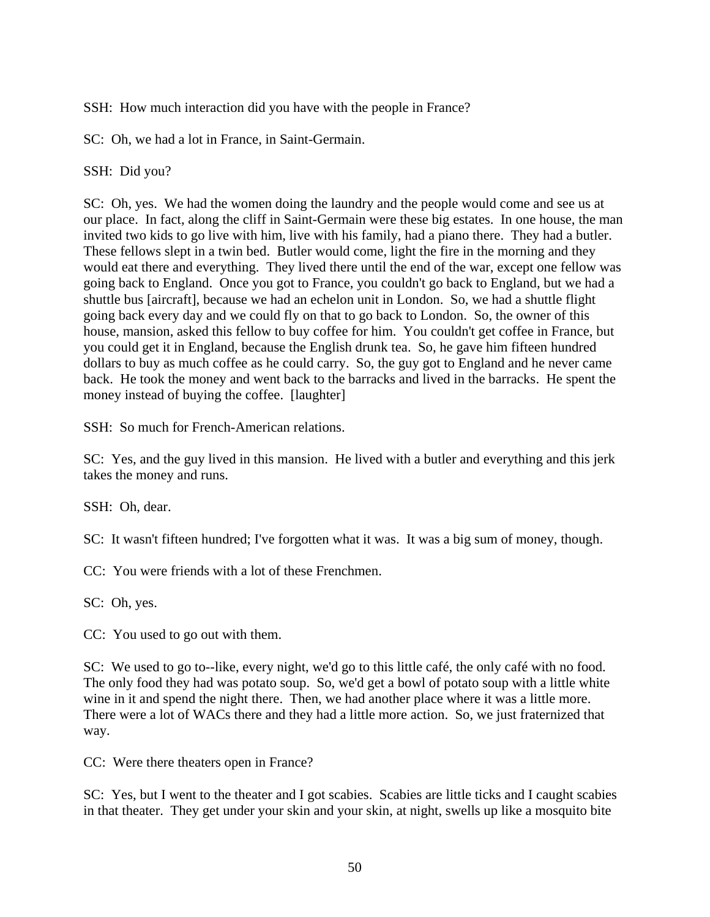SSH: How much interaction did you have with the people in France?

SC: Oh, we had a lot in France, in Saint-Germain.

SSH: Did you?

SC: Oh, yes. We had the women doing the laundry and the people would come and see us at our place. In fact, along the cliff in Saint-Germain were these big estates. In one house, the man invited two kids to go live with him, live with his family, had a piano there. They had a butler. These fellows slept in a twin bed. Butler would come, light the fire in the morning and they would eat there and everything. They lived there until the end of the war, except one fellow was going back to England. Once you got to France, you couldn't go back to England, but we had a shuttle bus [aircraft], because we had an echelon unit in London. So, we had a shuttle flight going back every day and we could fly on that to go back to London. So, the owner of this house, mansion, asked this fellow to buy coffee for him. You couldn't get coffee in France, but you could get it in England, because the English drunk tea. So, he gave him fifteen hundred dollars to buy as much coffee as he could carry. So, the guy got to England and he never came back. He took the money and went back to the barracks and lived in the barracks. He spent the money instead of buying the coffee. [laughter]

SSH: So much for French-American relations.

SC: Yes, and the guy lived in this mansion. He lived with a butler and everything and this jerk takes the money and runs.

SSH: Oh, dear.

SC: It wasn't fifteen hundred; I've forgotten what it was. It was a big sum of money, though.

CC: You were friends with a lot of these Frenchmen.

SC: Oh, yes.

CC: You used to go out with them.

SC: We used to go to--like, every night, we'd go to this little café, the only café with no food. The only food they had was potato soup. So, we'd get a bowl of potato soup with a little white wine in it and spend the night there. Then, we had another place where it was a little more. There were a lot of WACs there and they had a little more action. So, we just fraternized that way.

CC: Were there theaters open in France?

SC: Yes, but I went to the theater and I got scabies. Scabies are little ticks and I caught scabies in that theater. They get under your skin and your skin, at night, swells up like a mosquito bite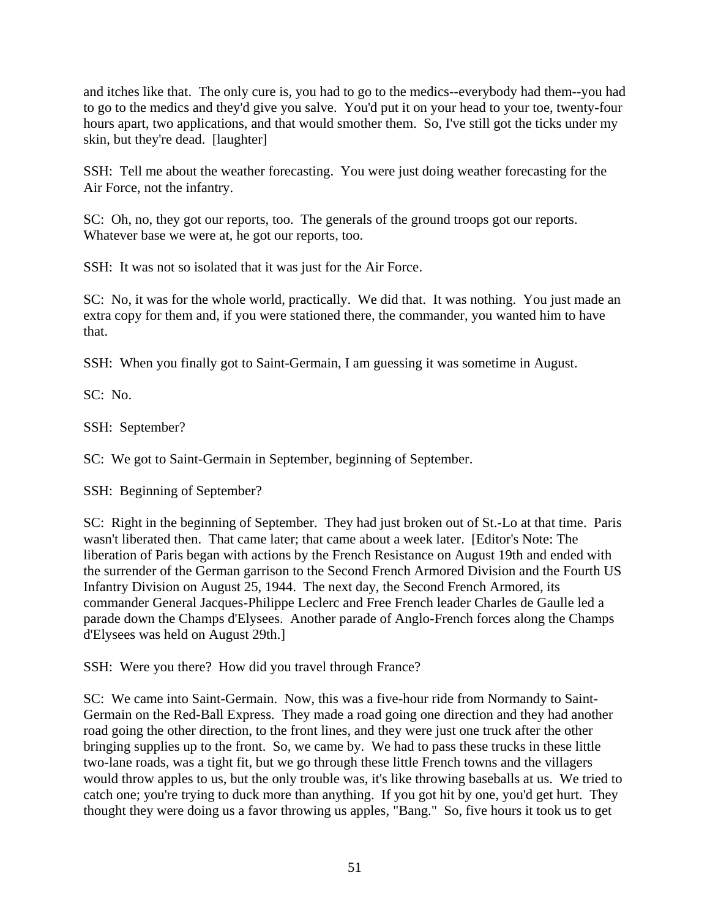and itches like that. The only cure is, you had to go to the medics--everybody had them--you had to go to the medics and they'd give you salve. You'd put it on your head to your toe, twenty-four hours apart, two applications, and that would smother them. So, I've still got the ticks under my skin, but they're dead. [laughter]

SSH: Tell me about the weather forecasting. You were just doing weather forecasting for the Air Force, not the infantry.

SC: Oh, no, they got our reports, too. The generals of the ground troops got our reports. Whatever base we were at, he got our reports, too.

SSH: It was not so isolated that it was just for the Air Force.

SC: No, it was for the whole world, practically. We did that. It was nothing. You just made an extra copy for them and, if you were stationed there, the commander, you wanted him to have that.

SSH: When you finally got to Saint-Germain, I am guessing it was sometime in August.

SC: No.

SSH: September?

SC: We got to Saint-Germain in September, beginning of September.

SSH: Beginning of September?

SC: Right in the beginning of September. They had just broken out of St.-Lo at that time. Paris wasn't liberated then. That came later; that came about a week later. [Editor's Note: The liberation of Paris began with actions by the French Resistance on August 19th and ended with the surrender of the German garrison to the Second French Armored Division and the Fourth US Infantry Division on August 25, 1944. The next day, the Second French Armored, its commander General Jacques-Philippe Leclerc and Free French leader Charles de Gaulle led a parade down the Champs d'Elysees. Another parade of Anglo-French forces along the Champs d'Elysees was held on August 29th.]

SSH: Were you there? How did you travel through France?

SC: We came into Saint-Germain. Now, this was a five-hour ride from Normandy to Saint-Germain on the Red-Ball Express. They made a road going one direction and they had another road going the other direction, to the front lines, and they were just one truck after the other bringing supplies up to the front. So, we came by. We had to pass these trucks in these little two-lane roads, was a tight fit, but we go through these little French towns and the villagers would throw apples to us, but the only trouble was, it's like throwing baseballs at us. We tried to catch one; you're trying to duck more than anything. If you got hit by one, you'd get hurt. They thought they were doing us a favor throwing us apples, "Bang." So, five hours it took us to get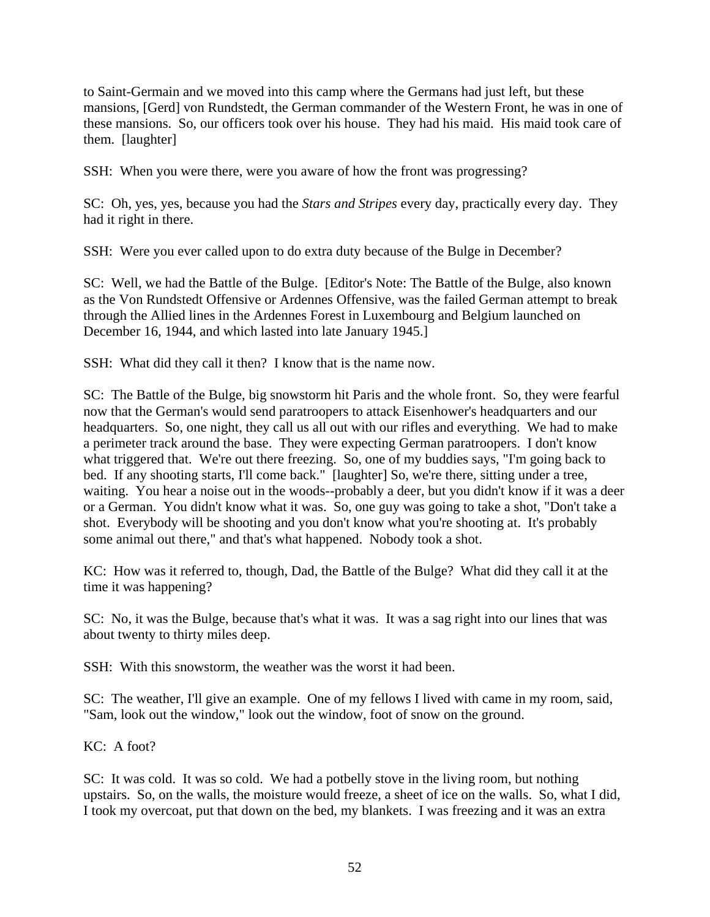to Saint-Germain and we moved into this camp where the Germans had just left, but these mansions, [Gerd] von Rundstedt, the German commander of the Western Front, he was in one of these mansions. So, our officers took over his house. They had his maid. His maid took care of them. [laughter]

SSH: When you were there, were you aware of how the front was progressing?

SC: Oh, yes, yes, because you had the *Stars and Stripes* every day, practically every day. They had it right in there.

SSH: Were you ever called upon to do extra duty because of the Bulge in December?

SC: Well, we had the Battle of the Bulge. [Editor's Note: The Battle of the Bulge, also known as the Von Rundstedt Offensive or Ardennes Offensive, was the failed German attempt to break through the Allied lines in the Ardennes Forest in Luxembourg and Belgium launched on December 16, 1944, and which lasted into late January 1945.]

SSH: What did they call it then? I know that is the name now.

SC: The Battle of the Bulge, big snowstorm hit Paris and the whole front. So, they were fearful now that the German's would send paratroopers to attack Eisenhower's headquarters and our headquarters. So, one night, they call us all out with our rifles and everything. We had to make a perimeter track around the base. They were expecting German paratroopers. I don't know what triggered that. We're out there freezing. So, one of my buddies says, "I'm going back to bed. If any shooting starts, I'll come back." [laughter] So, we're there, sitting under a tree, waiting. You hear a noise out in the woods--probably a deer, but you didn't know if it was a deer or a German. You didn't know what it was. So, one guy was going to take a shot, "Don't take a shot. Everybody will be shooting and you don't know what you're shooting at. It's probably some animal out there," and that's what happened. Nobody took a shot.

KC: How was it referred to, though, Dad, the Battle of the Bulge? What did they call it at the time it was happening?

SC: No, it was the Bulge, because that's what it was. It was a sag right into our lines that was about twenty to thirty miles deep.

SSH: With this snowstorm, the weather was the worst it had been.

SC: The weather, I'll give an example. One of my fellows I lived with came in my room, said, "Sam, look out the window," look out the window, foot of snow on the ground.

KC: A foot?

SC: It was cold. It was so cold. We had a potbelly stove in the living room, but nothing upstairs. So, on the walls, the moisture would freeze, a sheet of ice on the walls. So, what I did, I took my overcoat, put that down on the bed, my blankets. I was freezing and it was an extra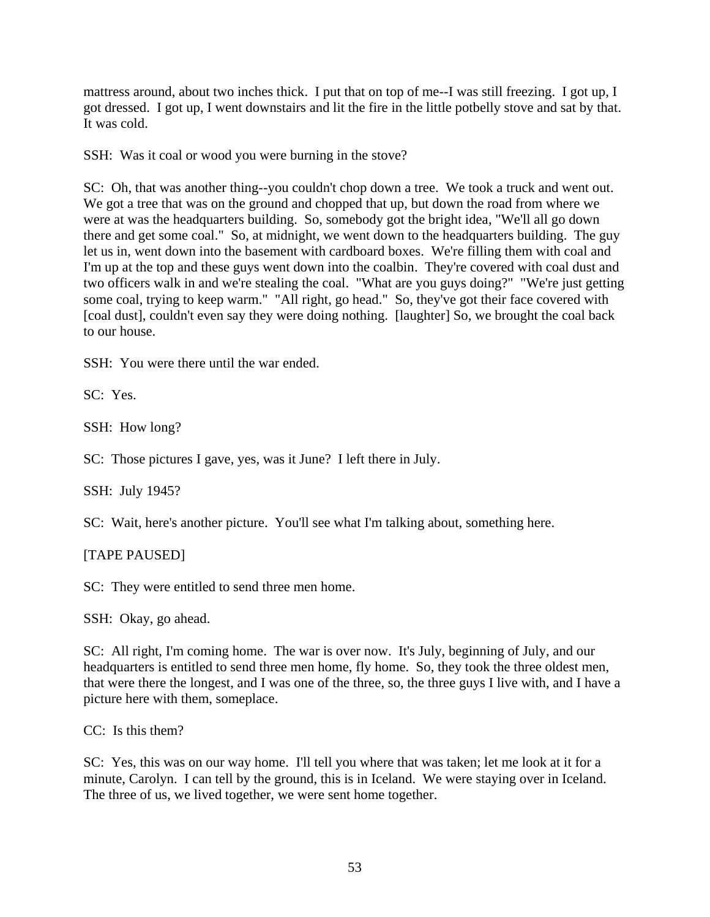mattress around, about two inches thick. I put that on top of me--I was still freezing. I got up, I got dressed. I got up, I went downstairs and lit the fire in the little potbelly stove and sat by that. It was cold.

SSH: Was it coal or wood you were burning in the stove?

SC: Oh, that was another thing--you couldn't chop down a tree. We took a truck and went out. We got a tree that was on the ground and chopped that up, but down the road from where we were at was the headquarters building. So, somebody got the bright idea, "We'll all go down there and get some coal." So, at midnight, we went down to the headquarters building. The guy let us in, went down into the basement with cardboard boxes. We're filling them with coal and I'm up at the top and these guys went down into the coalbin. They're covered with coal dust and two officers walk in and we're stealing the coal. "What are you guys doing?" "We're just getting some coal, trying to keep warm." "All right, go head." So, they've got their face covered with [coal dust], couldn't even say they were doing nothing. [laughter] So, we brought the coal back to our house.

SSH: You were there until the war ended.

SC: Yes.

SSH: How long?

SC: Those pictures I gave, yes, was it June? I left there in July.

SSH: July 1945?

SC: Wait, here's another picture. You'll see what I'm talking about, something here.

[TAPE PAUSED]

SC: They were entitled to send three men home.

SSH: Okay, go ahead.

SC: All right, I'm coming home. The war is over now. It's July, beginning of July, and our headquarters is entitled to send three men home, fly home. So, they took the three oldest men, that were there the longest, and I was one of the three, so, the three guys I live with, and I have a picture here with them, someplace.

CC: Is this them?

SC: Yes, this was on our way home. I'll tell you where that was taken; let me look at it for a minute, Carolyn. I can tell by the ground, this is in Iceland. We were staying over in Iceland. The three of us, we lived together, we were sent home together.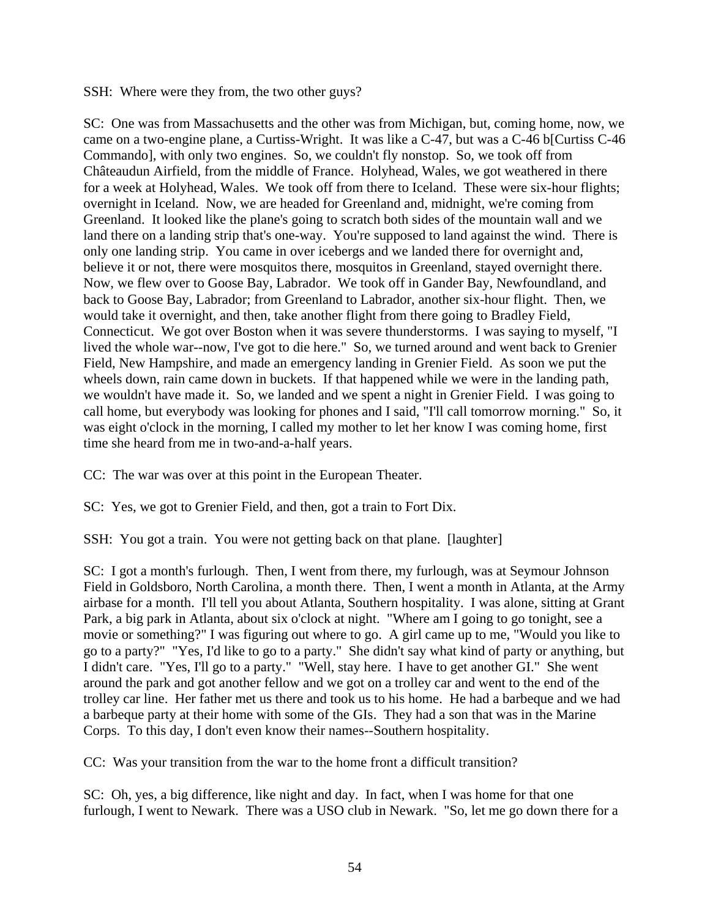SSH: Where were they from, the two other guys?

SC: One was from Massachusetts and the other was from Michigan, but, coming home, now, we came on a two-engine plane, a Curtiss-Wright. It was like a C-47, but was a C-46 b[Curtiss C-46 Commando], with only two engines. So, we couldn't fly nonstop. So, we took off from Châteaudun Airfield, from the middle of France. Holyhead, Wales, we got weathered in there for a week at Holyhead, Wales. We took off from there to Iceland. These were six-hour flights; overnight in Iceland. Now, we are headed for Greenland and, midnight, we're coming from Greenland. It looked like the plane's going to scratch both sides of the mountain wall and we land there on a landing strip that's one-way. You're supposed to land against the wind. There is only one landing strip. You came in over icebergs and we landed there for overnight and, believe it or not, there were mosquitos there, mosquitos in Greenland, stayed overnight there. Now, we flew over to Goose Bay, Labrador. We took off in Gander Bay, Newfoundland, and back to Goose Bay, Labrador; from Greenland to Labrador, another six-hour flight. Then, we would take it overnight, and then, take another flight from there going to Bradley Field, Connecticut. We got over Boston when it was severe thunderstorms. I was saying to myself, "I lived the whole war--now, I've got to die here." So, we turned around and went back to Grenier Field, New Hampshire, and made an emergency landing in Grenier Field. As soon we put the wheels down, rain came down in buckets. If that happened while we were in the landing path, we wouldn't have made it. So, we landed and we spent a night in Grenier Field. I was going to call home, but everybody was looking for phones and I said, "I'll call tomorrow morning." So, it was eight o'clock in the morning, I called my mother to let her know I was coming home, first time she heard from me in two-and-a-half years.

CC: The war was over at this point in the European Theater.

SC: Yes, we got to Grenier Field, and then, got a train to Fort Dix.

SSH: You got a train. You were not getting back on that plane. [laughter]

SC: I got a month's furlough. Then, I went from there, my furlough, was at Seymour Johnson Field in Goldsboro, North Carolina, a month there. Then, I went a month in Atlanta, at the Army airbase for a month. I'll tell you about Atlanta, Southern hospitality. I was alone, sitting at Grant Park, a big park in Atlanta, about six o'clock at night. "Where am I going to go tonight, see a movie or something?" I was figuring out where to go. A girl came up to me, "Would you like to go to a party?" "Yes, I'd like to go to a party." She didn't say what kind of party or anything, but I didn't care. "Yes, I'll go to a party." "Well, stay here. I have to get another GI." She went around the park and got another fellow and we got on a trolley car and went to the end of the trolley car line. Her father met us there and took us to his home. He had a barbeque and we had a barbeque party at their home with some of the GIs. They had a son that was in the Marine Corps. To this day, I don't even know their names--Southern hospitality.

CC: Was your transition from the war to the home front a difficult transition?

SC: Oh, yes, a big difference, like night and day. In fact, when I was home for that one furlough, I went to Newark. There was a USO club in Newark. "So, let me go down there for a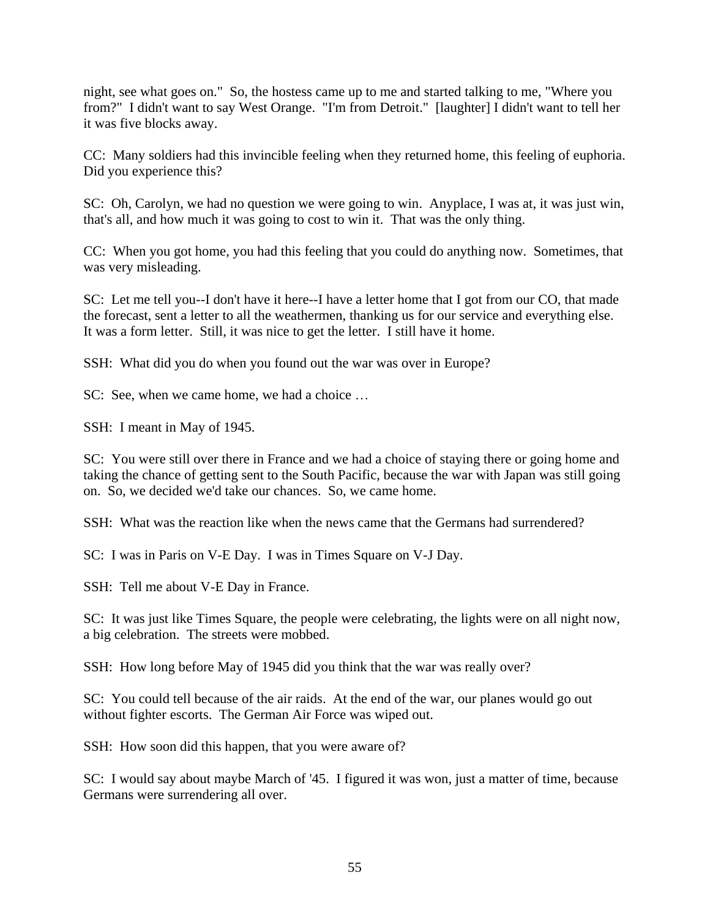night, see what goes on." So, the hostess came up to me and started talking to me, "Where you from?" I didn't want to say West Orange. "I'm from Detroit." [laughter] I didn't want to tell her it was five blocks away.

CC: Many soldiers had this invincible feeling when they returned home, this feeling of euphoria. Did you experience this?

SC: Oh, Carolyn, we had no question we were going to win. Anyplace, I was at, it was just win, that's all, and how much it was going to cost to win it. That was the only thing.

CC: When you got home, you had this feeling that you could do anything now. Sometimes, that was very misleading.

SC: Let me tell you--I don't have it here--I have a letter home that I got from our CO, that made the forecast, sent a letter to all the weathermen, thanking us for our service and everything else. It was a form letter. Still, it was nice to get the letter. I still have it home.

SSH: What did you do when you found out the war was over in Europe?

SC: See, when we came home, we had a choice ...

SSH: I meant in May of 1945.

SC: You were still over there in France and we had a choice of staying there or going home and taking the chance of getting sent to the South Pacific, because the war with Japan was still going on. So, we decided we'd take our chances. So, we came home.

SSH: What was the reaction like when the news came that the Germans had surrendered?

SC: I was in Paris on V-E Day. I was in Times Square on V-J Day.

SSH: Tell me about V-E Day in France.

SC: It was just like Times Square, the people were celebrating, the lights were on all night now, a big celebration. The streets were mobbed.

SSH: How long before May of 1945 did you think that the war was really over?

SC: You could tell because of the air raids. At the end of the war, our planes would go out without fighter escorts. The German Air Force was wiped out.

SSH: How soon did this happen, that you were aware of?

SC: I would say about maybe March of '45. I figured it was won, just a matter of time, because Germans were surrendering all over.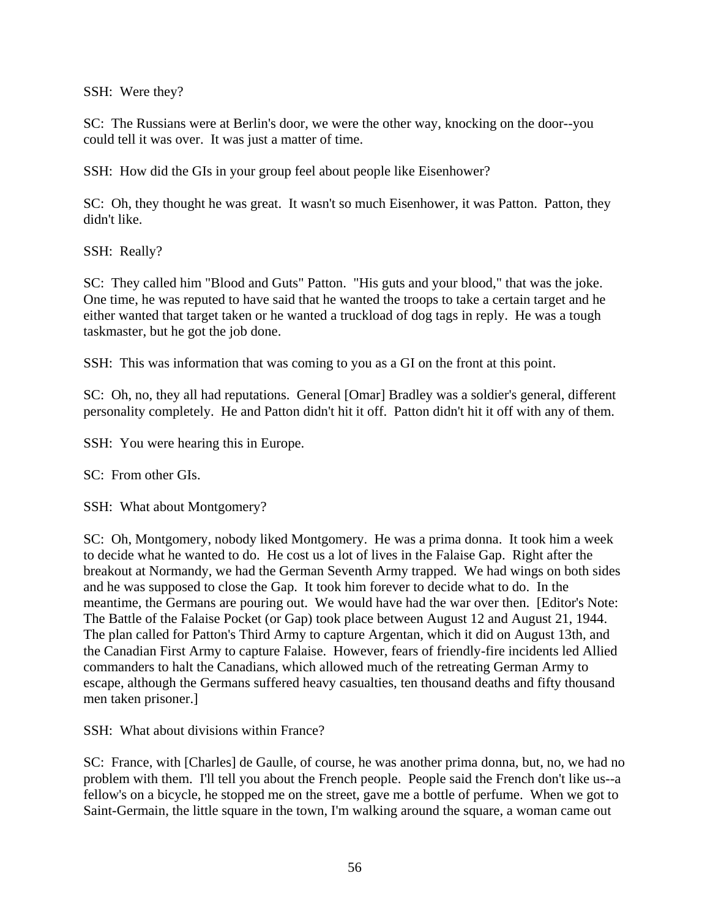SSH: Were they?

SC: The Russians were at Berlin's door, we were the other way, knocking on the door--you could tell it was over. It was just a matter of time.

SSH: How did the GIs in your group feel about people like Eisenhower?

SC: Oh, they thought he was great. It wasn't so much Eisenhower, it was Patton. Patton, they didn't like.

SSH: Really?

SC: They called him "Blood and Guts" Patton. "His guts and your blood," that was the joke. One time, he was reputed to have said that he wanted the troops to take a certain target and he either wanted that target taken or he wanted a truckload of dog tags in reply. He was a tough taskmaster, but he got the job done.

SSH: This was information that was coming to you as a GI on the front at this point.

SC: Oh, no, they all had reputations. General [Omar] Bradley was a soldier's general, different personality completely. He and Patton didn't hit it off. Patton didn't hit it off with any of them.

SSH: You were hearing this in Europe.

SC: From other GIs.

SSH: What about Montgomery?

SC: Oh, Montgomery, nobody liked Montgomery. He was a prima donna. It took him a week to decide what he wanted to do. He cost us a lot of lives in the Falaise Gap. Right after the breakout at Normandy, we had the German Seventh Army trapped. We had wings on both sides and he was supposed to close the Gap. It took him forever to decide what to do. In the meantime, the Germans are pouring out. We would have had the war over then. [Editor's Note: The Battle of the Falaise Pocket (or Gap) took place between August 12 and August 21, 1944. The plan called for Patton's Third Army to capture Argentan, which it did on August 13th, and the Canadian First Army to capture Falaise. However, fears of friendly-fire incidents led Allied commanders to halt the Canadians, which allowed much of the retreating German Army to escape, although the Germans suffered heavy casualties, ten thousand deaths and fifty thousand men taken prisoner.]

SSH: What about divisions within France?

SC: France, with [Charles] de Gaulle, of course, he was another prima donna, but, no, we had no problem with them. I'll tell you about the French people. People said the French don't like us--a fellow's on a bicycle, he stopped me on the street, gave me a bottle of perfume. When we got to Saint-Germain, the little square in the town, I'm walking around the square, a woman came out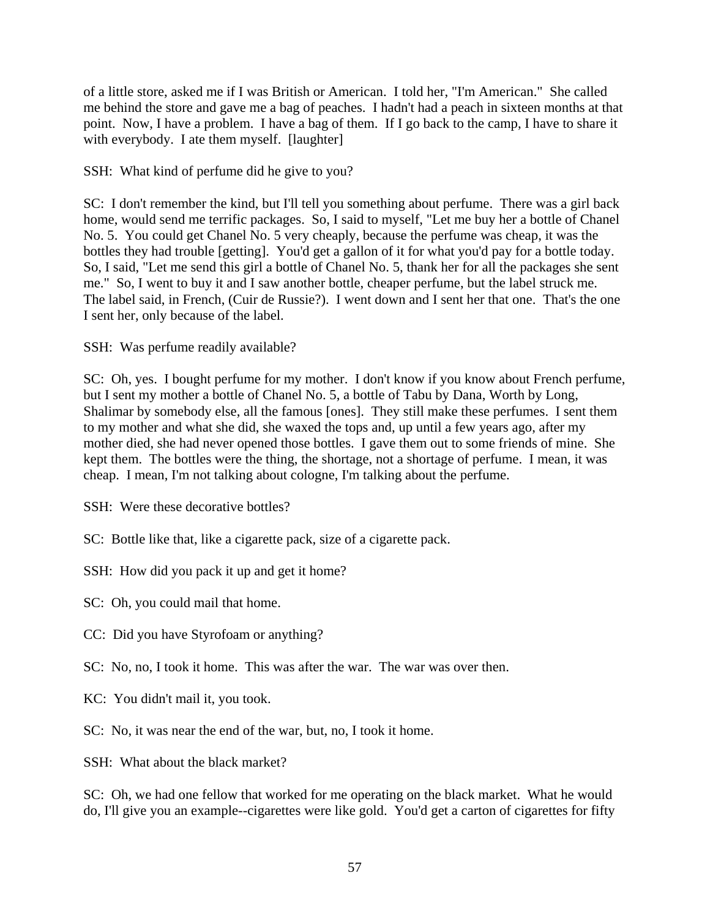of a little store, asked me if I was British or American. I told her, "I'm American." She called me behind the store and gave me a bag of peaches. I hadn't had a peach in sixteen months at that point. Now, I have a problem. I have a bag of them. If I go back to the camp, I have to share it with everybody. I ate them myself. [laughter]

SSH: What kind of perfume did he give to you?

SC: I don't remember the kind, but I'll tell you something about perfume. There was a girl back home, would send me terrific packages. So, I said to myself, "Let me buy her a bottle of Chanel No. 5. You could get Chanel No. 5 very cheaply, because the perfume was cheap, it was the bottles they had trouble [getting]. You'd get a gallon of it for what you'd pay for a bottle today. So, I said, "Let me send this girl a bottle of Chanel No. 5, thank her for all the packages she sent me." So, I went to buy it and I saw another bottle, cheaper perfume, but the label struck me. The label said, in French, (Cuir de Russie?). I went down and I sent her that one. That's the one I sent her, only because of the label.

SSH: Was perfume readily available?

SC: Oh, yes. I bought perfume for my mother. I don't know if you know about French perfume, but I sent my mother a bottle of Chanel No. 5, a bottle of Tabu by Dana, Worth by Long, Shalimar by somebody else, all the famous [ones]. They still make these perfumes. I sent them to my mother and what she did, she waxed the tops and, up until a few years ago, after my mother died, she had never opened those bottles. I gave them out to some friends of mine. She kept them. The bottles were the thing, the shortage, not a shortage of perfume. I mean, it was cheap. I mean, I'm not talking about cologne, I'm talking about the perfume.

SSH: Were these decorative bottles?

SC: Bottle like that, like a cigarette pack, size of a cigarette pack.

SSH: How did you pack it up and get it home?

SC: Oh, you could mail that home.

- CC: Did you have Styrofoam or anything?
- SC: No, no, I took it home. This was after the war. The war was over then.
- KC: You didn't mail it, you took.
- SC: No, it was near the end of the war, but, no, I took it home.

SSH: What about the black market?

SC: Oh, we had one fellow that worked for me operating on the black market. What he would do, I'll give you an example--cigarettes were like gold. You'd get a carton of cigarettes for fifty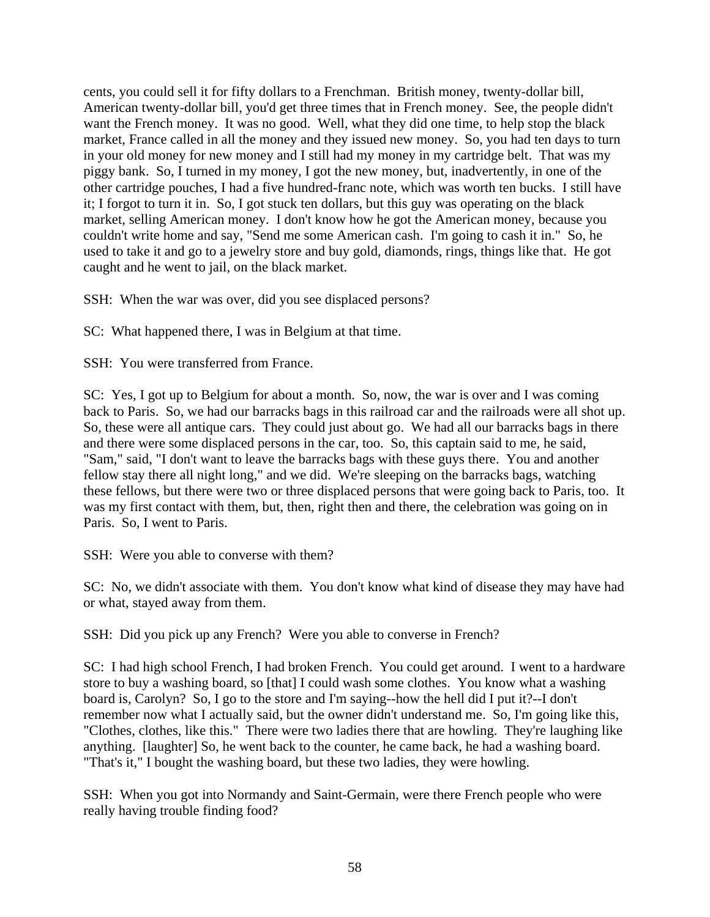cents, you could sell it for fifty dollars to a Frenchman. British money, twenty-dollar bill, American twenty-dollar bill, you'd get three times that in French money. See, the people didn't want the French money. It was no good. Well, what they did one time, to help stop the black market, France called in all the money and they issued new money. So, you had ten days to turn in your old money for new money and I still had my money in my cartridge belt. That was my piggy bank. So, I turned in my money, I got the new money, but, inadvertently, in one of the other cartridge pouches, I had a five hundred-franc note, which was worth ten bucks. I still have it; I forgot to turn it in. So, I got stuck ten dollars, but this guy was operating on the black market, selling American money. I don't know how he got the American money, because you couldn't write home and say, "Send me some American cash. I'm going to cash it in." So, he used to take it and go to a jewelry store and buy gold, diamonds, rings, things like that. He got caught and he went to jail, on the black market.

SSH: When the war was over, did you see displaced persons?

SC: What happened there, I was in Belgium at that time.

SSH: You were transferred from France.

SC: Yes, I got up to Belgium for about a month. So, now, the war is over and I was coming back to Paris. So, we had our barracks bags in this railroad car and the railroads were all shot up. So, these were all antique cars. They could just about go. We had all our barracks bags in there and there were some displaced persons in the car, too. So, this captain said to me, he said, "Sam," said, "I don't want to leave the barracks bags with these guys there. You and another fellow stay there all night long," and we did. We're sleeping on the barracks bags, watching these fellows, but there were two or three displaced persons that were going back to Paris, too. It was my first contact with them, but, then, right then and there, the celebration was going on in Paris. So, I went to Paris.

SSH: Were you able to converse with them?

SC: No, we didn't associate with them. You don't know what kind of disease they may have had or what, stayed away from them.

SSH: Did you pick up any French? Were you able to converse in French?

SC: I had high school French, I had broken French. You could get around. I went to a hardware store to buy a washing board, so [that] I could wash some clothes. You know what a washing board is, Carolyn? So, I go to the store and I'm saying--how the hell did I put it?--I don't remember now what I actually said, but the owner didn't understand me. So, I'm going like this, "Clothes, clothes, like this." There were two ladies there that are howling. They're laughing like anything. [laughter] So, he went back to the counter, he came back, he had a washing board. "That's it," I bought the washing board, but these two ladies, they were howling.

SSH: When you got into Normandy and Saint-Germain, were there French people who were really having trouble finding food?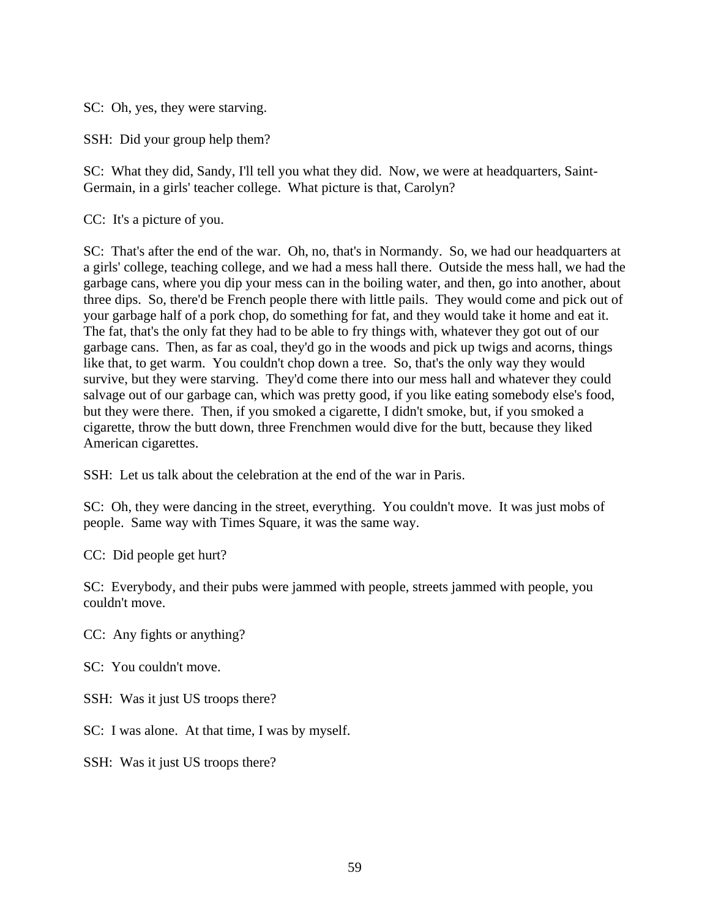SC: Oh, yes, they were starving.

SSH: Did your group help them?

SC: What they did, Sandy, I'll tell you what they did. Now, we were at headquarters, Saint-Germain, in a girls' teacher college. What picture is that, Carolyn?

CC: It's a picture of you.

SC: That's after the end of the war. Oh, no, that's in Normandy. So, we had our headquarters at a girls' college, teaching college, and we had a mess hall there. Outside the mess hall, we had the garbage cans, where you dip your mess can in the boiling water, and then, go into another, about three dips. So, there'd be French people there with little pails. They would come and pick out of your garbage half of a pork chop, do something for fat, and they would take it home and eat it. The fat, that's the only fat they had to be able to fry things with, whatever they got out of our garbage cans. Then, as far as coal, they'd go in the woods and pick up twigs and acorns, things like that, to get warm. You couldn't chop down a tree. So, that's the only way they would survive, but they were starving. They'd come there into our mess hall and whatever they could salvage out of our garbage can, which was pretty good, if you like eating somebody else's food, but they were there. Then, if you smoked a cigarette, I didn't smoke, but, if you smoked a cigarette, throw the butt down, three Frenchmen would dive for the butt, because they liked American cigarettes.

SSH: Let us talk about the celebration at the end of the war in Paris.

SC: Oh, they were dancing in the street, everything. You couldn't move. It was just mobs of people. Same way with Times Square, it was the same way.

CC: Did people get hurt?

SC: Everybody, and their pubs were jammed with people, streets jammed with people, you couldn't move.

CC: Any fights or anything?

SC: You couldn't move.

SSH: Was it just US troops there?

SC: I was alone. At that time, I was by myself.

SSH: Was it just US troops there?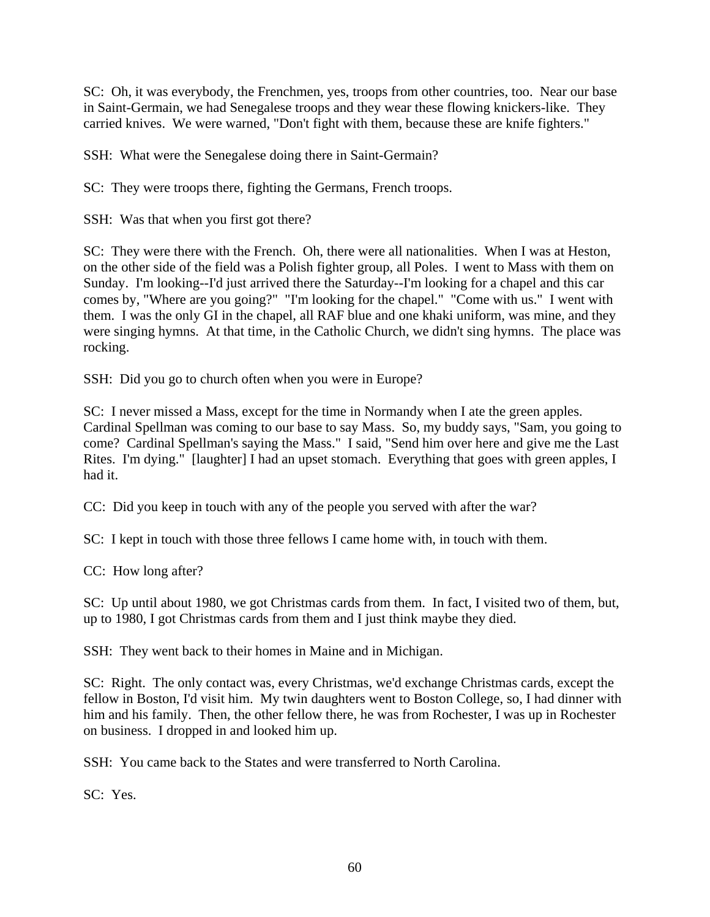SC: Oh, it was everybody, the Frenchmen, yes, troops from other countries, too. Near our base in Saint-Germain, we had Senegalese troops and they wear these flowing knickers-like. They carried knives. We were warned, "Don't fight with them, because these are knife fighters."

SSH: What were the Senegalese doing there in Saint-Germain?

SC: They were troops there, fighting the Germans, French troops.

SSH: Was that when you first got there?

SC: They were there with the French. Oh, there were all nationalities. When I was at Heston, on the other side of the field was a Polish fighter group, all Poles. I went to Mass with them on Sunday. I'm looking--I'd just arrived there the Saturday--I'm looking for a chapel and this car comes by, "Where are you going?" "I'm looking for the chapel." "Come with us." I went with them. I was the only GI in the chapel, all RAF blue and one khaki uniform, was mine, and they were singing hymns. At that time, in the Catholic Church, we didn't sing hymns. The place was rocking.

SSH: Did you go to church often when you were in Europe?

SC: I never missed a Mass, except for the time in Normandy when I ate the green apples. Cardinal Spellman was coming to our base to say Mass. So, my buddy says, "Sam, you going to come? Cardinal Spellman's saying the Mass." I said, "Send him over here and give me the Last Rites. I'm dying." [laughter] I had an upset stomach. Everything that goes with green apples, I had it.

CC: Did you keep in touch with any of the people you served with after the war?

SC: I kept in touch with those three fellows I came home with, in touch with them.

CC: How long after?

SC: Up until about 1980, we got Christmas cards from them. In fact, I visited two of them, but, up to 1980, I got Christmas cards from them and I just think maybe they died.

SSH: They went back to their homes in Maine and in Michigan.

SC: Right. The only contact was, every Christmas, we'd exchange Christmas cards, except the fellow in Boston, I'd visit him. My twin daughters went to Boston College, so, I had dinner with him and his family. Then, the other fellow there, he was from Rochester, I was up in Rochester on business. I dropped in and looked him up.

SSH: You came back to the States and were transferred to North Carolina.

SC: Yes.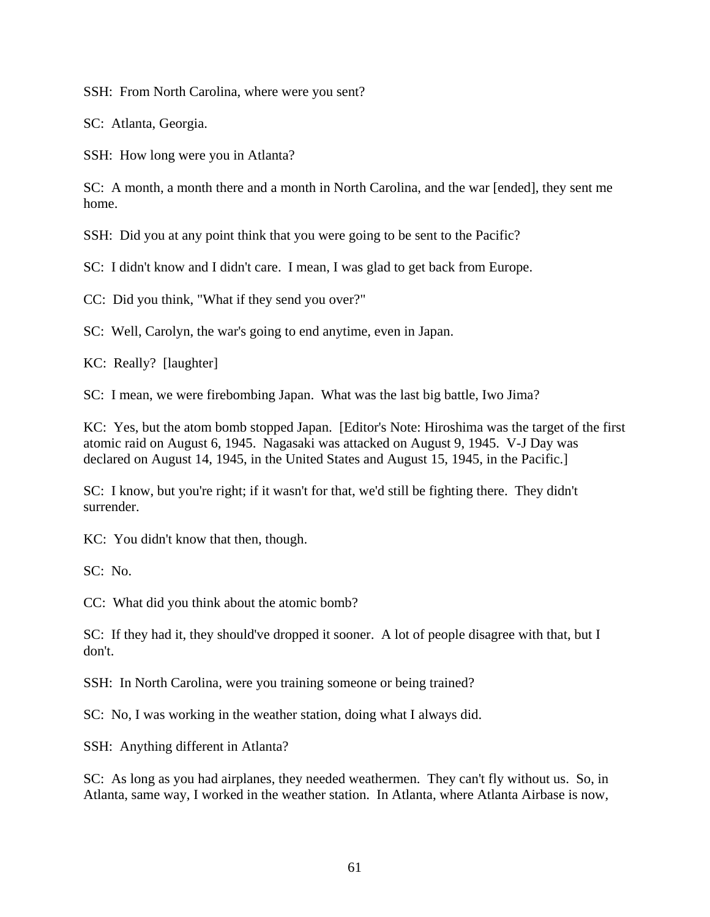SSH: From North Carolina, where were you sent?

SC: Atlanta, Georgia.

SSH: How long were you in Atlanta?

SC: A month, a month there and a month in North Carolina, and the war [ended], they sent me home.

SSH: Did you at any point think that you were going to be sent to the Pacific?

SC: I didn't know and I didn't care. I mean, I was glad to get back from Europe.

CC: Did you think, "What if they send you over?"

SC: Well, Carolyn, the war's going to end anytime, even in Japan.

KC: Really? [laughter]

SC: I mean, we were firebombing Japan. What was the last big battle, Iwo Jima?

KC: Yes, but the atom bomb stopped Japan. [Editor's Note: Hiroshima was the target of the first atomic raid on August 6, 1945. Nagasaki was attacked on August 9, 1945. V-J Day was declared on August 14, 1945, in the United States and August 15, 1945, in the Pacific.]

SC: I know, but you're right; if it wasn't for that, we'd still be fighting there. They didn't surrender.

KC: You didn't know that then, though.

SC: No.

CC: What did you think about the atomic bomb?

SC: If they had it, they should've dropped it sooner. A lot of people disagree with that, but I don't.

SSH: In North Carolina, were you training someone or being trained?

SC: No, I was working in the weather station, doing what I always did.

SSH: Anything different in Atlanta?

SC: As long as you had airplanes, they needed weathermen. They can't fly without us. So, in Atlanta, same way, I worked in the weather station. In Atlanta, where Atlanta Airbase is now,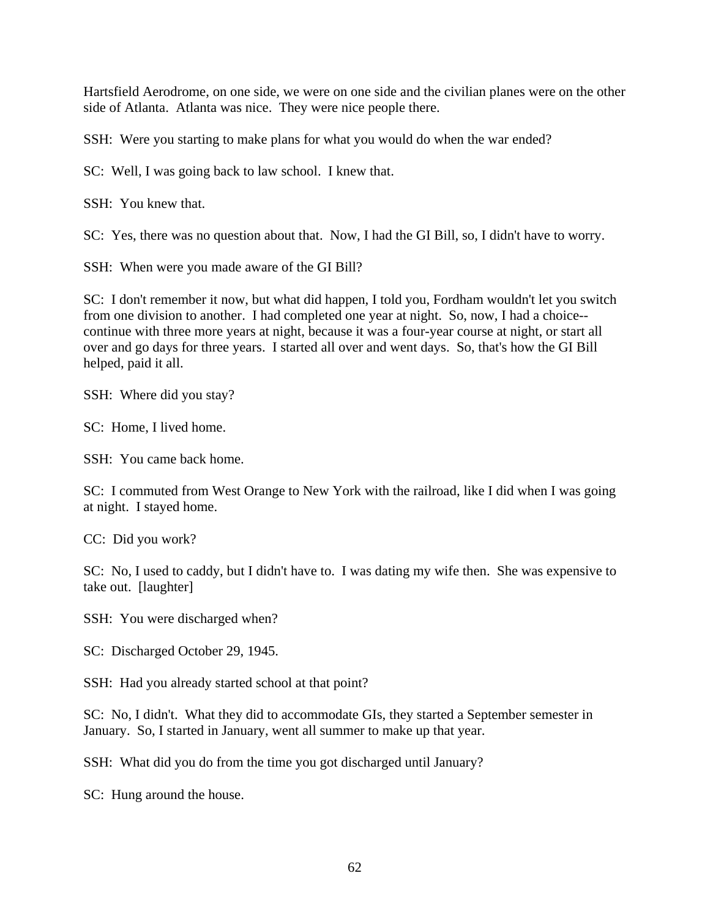Hartsfield Aerodrome, on one side, we were on one side and the civilian planes were on the other side of Atlanta. Atlanta was nice. They were nice people there.

SSH: Were you starting to make plans for what you would do when the war ended?

SC: Well, I was going back to law school. I knew that.

SSH: You knew that.

SC: Yes, there was no question about that. Now, I had the GI Bill, so, I didn't have to worry.

SSH: When were you made aware of the GI Bill?

SC: I don't remember it now, but what did happen, I told you, Fordham wouldn't let you switch from one division to another. I had completed one year at night. So, now, I had a choice- continue with three more years at night, because it was a four-year course at night, or start all over and go days for three years. I started all over and went days. So, that's how the GI Bill helped, paid it all.

SSH: Where did you stay?

SC: Home, I lived home.

SSH: You came back home.

SC: I commuted from West Orange to New York with the railroad, like I did when I was going at night. I stayed home.

CC: Did you work?

SC: No, I used to caddy, but I didn't have to. I was dating my wife then. She was expensive to take out. [laughter]

SSH: You were discharged when?

SC: Discharged October 29, 1945.

SSH: Had you already started school at that point?

SC: No, I didn't. What they did to accommodate GIs, they started a September semester in January. So, I started in January, went all summer to make up that year.

SSH: What did you do from the time you got discharged until January?

SC: Hung around the house.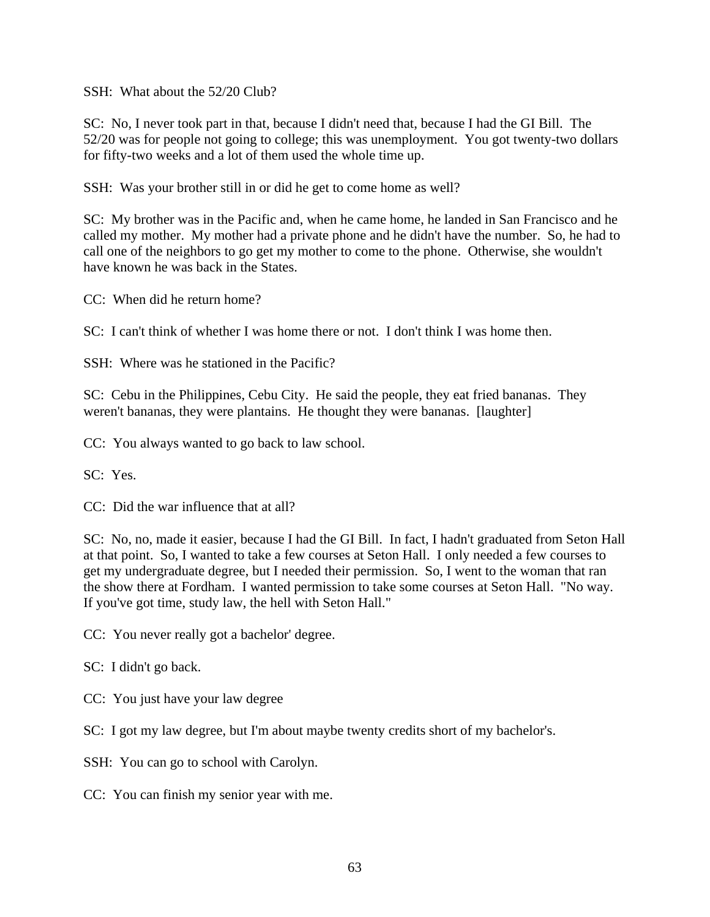SSH: What about the 52/20 Club?

SC: No, I never took part in that, because I didn't need that, because I had the GI Bill. The 52/20 was for people not going to college; this was unemployment. You got twenty-two dollars for fifty-two weeks and a lot of them used the whole time up.

SSH: Was your brother still in or did he get to come home as well?

SC: My brother was in the Pacific and, when he came home, he landed in San Francisco and he called my mother. My mother had a private phone and he didn't have the number. So, he had to call one of the neighbors to go get my mother to come to the phone. Otherwise, she wouldn't have known he was back in the States.

CC: When did he return home?

SC: I can't think of whether I was home there or not. I don't think I was home then.

SSH: Where was he stationed in the Pacific?

SC: Cebu in the Philippines, Cebu City. He said the people, they eat fried bananas. They weren't bananas, they were plantains. He thought they were bananas. [laughter]

CC: You always wanted to go back to law school.

SC: Yes.

CC: Did the war influence that at all?

SC: No, no, made it easier, because I had the GI Bill. In fact, I hadn't graduated from Seton Hall at that point. So, I wanted to take a few courses at Seton Hall. I only needed a few courses to get my undergraduate degree, but I needed their permission. So, I went to the woman that ran the show there at Fordham. I wanted permission to take some courses at Seton Hall. "No way. If you've got time, study law, the hell with Seton Hall."

CC: You never really got a bachelor' degree.

- SC: I didn't go back.
- CC: You just have your law degree
- SC: I got my law degree, but I'm about maybe twenty credits short of my bachelor's.
- SSH: You can go to school with Carolyn.
- CC: You can finish my senior year with me.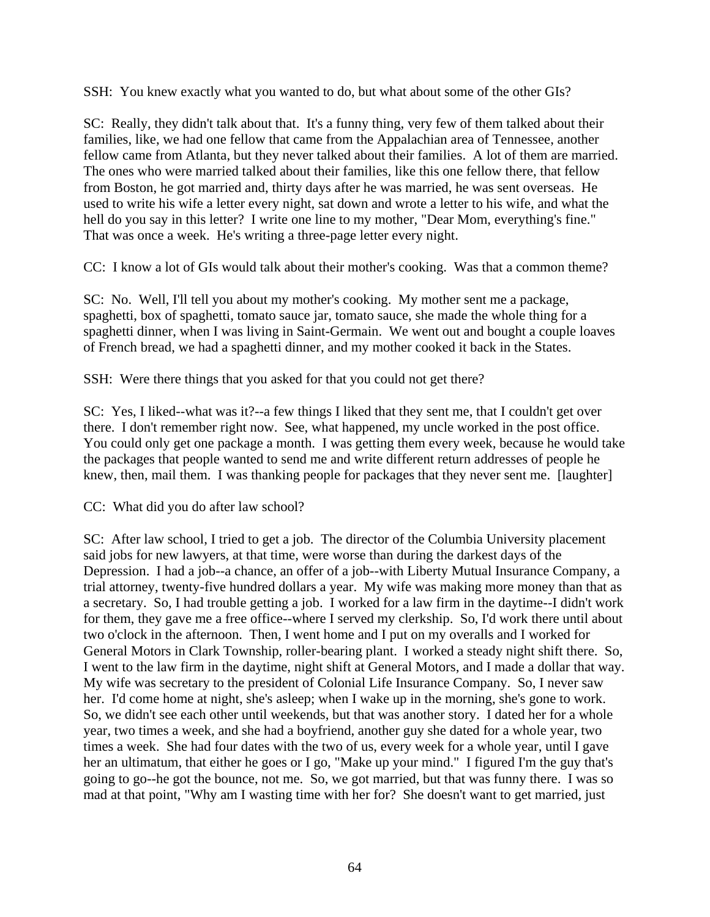SSH: You knew exactly what you wanted to do, but what about some of the other GIs?

SC: Really, they didn't talk about that. It's a funny thing, very few of them talked about their families, like, we had one fellow that came from the Appalachian area of Tennessee, another fellow came from Atlanta, but they never talked about their families. A lot of them are married. The ones who were married talked about their families, like this one fellow there, that fellow from Boston, he got married and, thirty days after he was married, he was sent overseas. He used to write his wife a letter every night, sat down and wrote a letter to his wife, and what the hell do you say in this letter? I write one line to my mother, "Dear Mom, everything's fine." That was once a week. He's writing a three-page letter every night.

CC: I know a lot of GIs would talk about their mother's cooking. Was that a common theme?

SC: No. Well, I'll tell you about my mother's cooking. My mother sent me a package, spaghetti, box of spaghetti, tomato sauce jar, tomato sauce, she made the whole thing for a spaghetti dinner, when I was living in Saint-Germain. We went out and bought a couple loaves of French bread, we had a spaghetti dinner, and my mother cooked it back in the States.

SSH: Were there things that you asked for that you could not get there?

SC: Yes, I liked--what was it?--a few things I liked that they sent me, that I couldn't get over there. I don't remember right now. See, what happened, my uncle worked in the post office. You could only get one package a month. I was getting them every week, because he would take the packages that people wanted to send me and write different return addresses of people he knew, then, mail them. I was thanking people for packages that they never sent me. [laughter]

CC: What did you do after law school?

SC: After law school, I tried to get a job. The director of the Columbia University placement said jobs for new lawyers, at that time, were worse than during the darkest days of the Depression. I had a job--a chance, an offer of a job--with Liberty Mutual Insurance Company, a trial attorney, twenty-five hundred dollars a year. My wife was making more money than that as a secretary. So, I had trouble getting a job. I worked for a law firm in the daytime--I didn't work for them, they gave me a free office--where I served my clerkship. So, I'd work there until about two o'clock in the afternoon. Then, I went home and I put on my overalls and I worked for General Motors in Clark Township, roller-bearing plant. I worked a steady night shift there. So, I went to the law firm in the daytime, night shift at General Motors, and I made a dollar that way. My wife was secretary to the president of Colonial Life Insurance Company. So, I never saw her. I'd come home at night, she's asleep; when I wake up in the morning, she's gone to work. So, we didn't see each other until weekends, but that was another story. I dated her for a whole year, two times a week, and she had a boyfriend, another guy she dated for a whole year, two times a week. She had four dates with the two of us, every week for a whole year, until I gave her an ultimatum, that either he goes or I go, "Make up your mind." I figured I'm the guy that's going to go--he got the bounce, not me. So, we got married, but that was funny there. I was so mad at that point, "Why am I wasting time with her for? She doesn't want to get married, just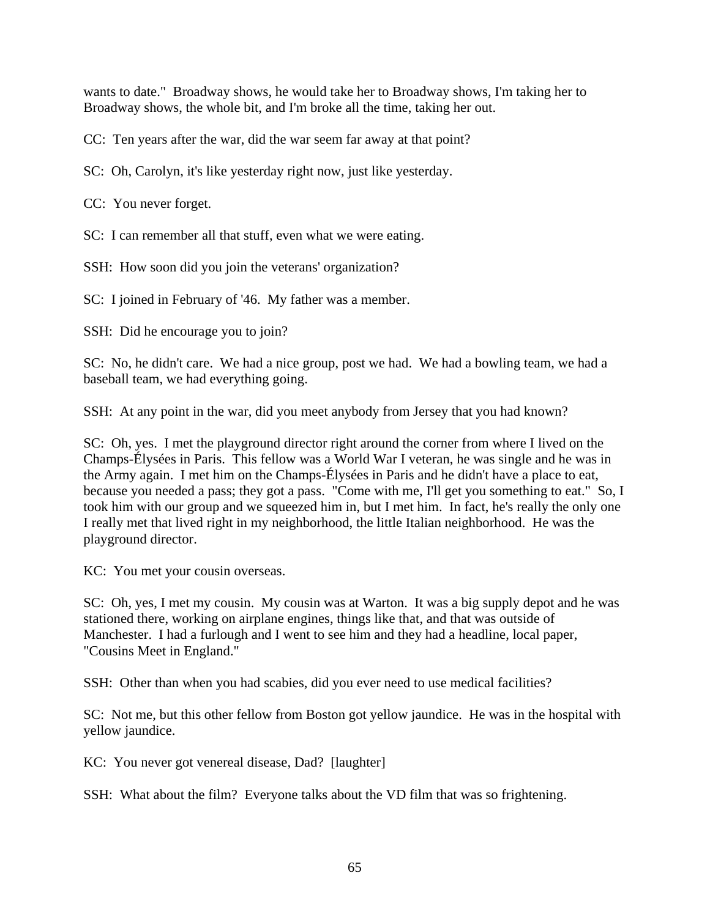wants to date." Broadway shows, he would take her to Broadway shows, I'm taking her to Broadway shows, the whole bit, and I'm broke all the time, taking her out.

CC: Ten years after the war, did the war seem far away at that point?

SC: Oh, Carolyn, it's like yesterday right now, just like yesterday.

CC: You never forget.

SC: I can remember all that stuff, even what we were eating.

SSH: How soon did you join the veterans' organization?

SC: I joined in February of '46. My father was a member.

SSH: Did he encourage you to join?

SC: No, he didn't care. We had a nice group, post we had. We had a bowling team, we had a baseball team, we had everything going.

SSH: At any point in the war, did you meet anybody from Jersey that you had known?

SC: Oh, yes. I met the playground director right around the corner from where I lived on the Champs-Élysées in Paris. This fellow was a World War I veteran, he was single and he was in the Army again. I met him on the Champs-Élysées in Paris and he didn't have a place to eat, because you needed a pass; they got a pass. "Come with me, I'll get you something to eat." So, I took him with our group and we squeezed him in, but I met him. In fact, he's really the only one I really met that lived right in my neighborhood, the little Italian neighborhood. He was the playground director.

KC: You met your cousin overseas.

SC: Oh, yes, I met my cousin. My cousin was at Warton. It was a big supply depot and he was stationed there, working on airplane engines, things like that, and that was outside of Manchester. I had a furlough and I went to see him and they had a headline, local paper, "Cousins Meet in England."

SSH: Other than when you had scabies, did you ever need to use medical facilities?

SC: Not me, but this other fellow from Boston got yellow jaundice. He was in the hospital with yellow jaundice.

KC: You never got venereal disease, Dad? [laughter]

SSH: What about the film? Everyone talks about the VD film that was so frightening.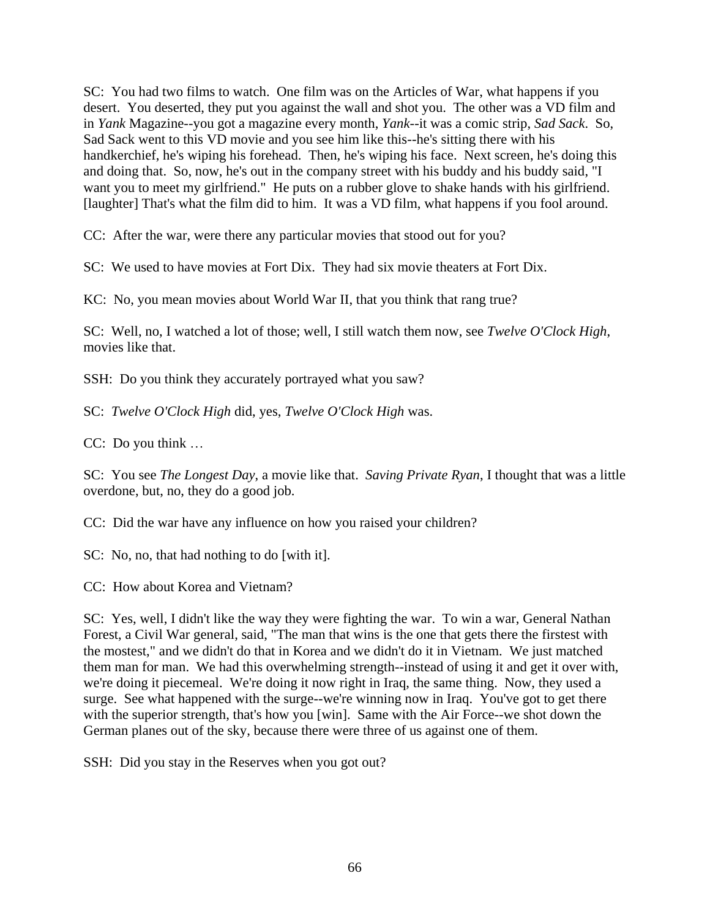SC: You had two films to watch. One film was on the Articles of War, what happens if you desert. You deserted, they put you against the wall and shot you. The other was a VD film and in *Yank* Magazine--you got a magazine every month, *Yank*--it was a comic strip, *Sad Sack*. So, Sad Sack went to this VD movie and you see him like this--he's sitting there with his handkerchief, he's wiping his forehead. Then, he's wiping his face. Next screen, he's doing this and doing that. So, now, he's out in the company street with his buddy and his buddy said, "I want you to meet my girlfriend." He puts on a rubber glove to shake hands with his girlfriend. [laughter] That's what the film did to him. It was a VD film, what happens if you fool around.

CC: After the war, were there any particular movies that stood out for you?

SC: We used to have movies at Fort Dix. They had six movie theaters at Fort Dix.

KC: No, you mean movies about World War II, that you think that rang true?

SC: Well, no, I watched a lot of those; well, I still watch them now, see *Twelve O'Clock High*, movies like that.

SSH: Do you think they accurately portrayed what you saw?

SC: *Twelve O'Clock High* did, yes, *Twelve O'Clock High* was.

CC: Do you think …

SC: You see *The Longest Day*, a movie like that. *Saving Private Ryan*, I thought that was a little overdone, but, no, they do a good job.

CC: Did the war have any influence on how you raised your children?

SC: No, no, that had nothing to do [with it].

CC: How about Korea and Vietnam?

SC: Yes, well, I didn't like the way they were fighting the war. To win a war, General Nathan Forest, a Civil War general, said, "The man that wins is the one that gets there the firstest with the mostest," and we didn't do that in Korea and we didn't do it in Vietnam. We just matched them man for man. We had this overwhelming strength--instead of using it and get it over with, we're doing it piecemeal. We're doing it now right in Iraq, the same thing. Now, they used a surge. See what happened with the surge--we're winning now in Iraq. You've got to get there with the superior strength, that's how you [win]. Same with the Air Force--we shot down the German planes out of the sky, because there were three of us against one of them.

SSH: Did you stay in the Reserves when you got out?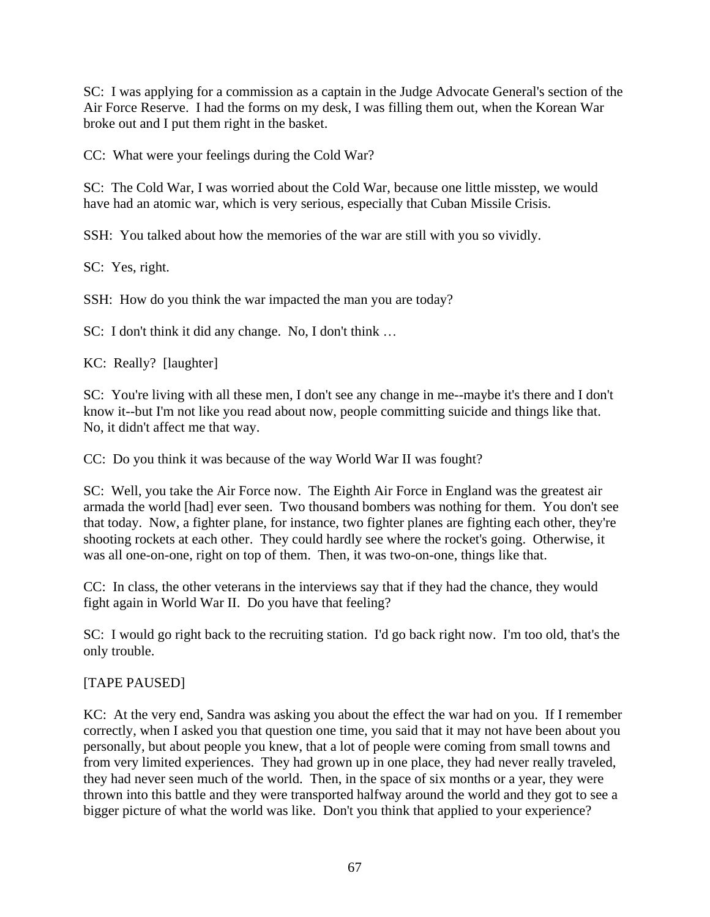SC: I was applying for a commission as a captain in the Judge Advocate General's section of the Air Force Reserve. I had the forms on my desk, I was filling them out, when the Korean War broke out and I put them right in the basket.

CC: What were your feelings during the Cold War?

SC: The Cold War, I was worried about the Cold War, because one little misstep, we would have had an atomic war, which is very serious, especially that Cuban Missile Crisis.

SSH: You talked about how the memories of the war are still with you so vividly.

SC: Yes, right.

SSH: How do you think the war impacted the man you are today?

SC: I don't think it did any change. No, I don't think …

KC: Really? [laughter]

SC: You're living with all these men, I don't see any change in me--maybe it's there and I don't know it--but I'm not like you read about now, people committing suicide and things like that. No, it didn't affect me that way.

CC: Do you think it was because of the way World War II was fought?

SC: Well, you take the Air Force now. The Eighth Air Force in England was the greatest air armada the world [had] ever seen. Two thousand bombers was nothing for them. You don't see that today. Now, a fighter plane, for instance, two fighter planes are fighting each other, they're shooting rockets at each other. They could hardly see where the rocket's going. Otherwise, it was all one-on-one, right on top of them. Then, it was two-on-one, things like that.

CC: In class, the other veterans in the interviews say that if they had the chance, they would fight again in World War II. Do you have that feeling?

SC: I would go right back to the recruiting station. I'd go back right now. I'm too old, that's the only trouble.

## [TAPE PAUSED]

KC: At the very end, Sandra was asking you about the effect the war had on you. If I remember correctly, when I asked you that question one time, you said that it may not have been about you personally, but about people you knew, that a lot of people were coming from small towns and from very limited experiences. They had grown up in one place, they had never really traveled, they had never seen much of the world. Then, in the space of six months or a year, they were thrown into this battle and they were transported halfway around the world and they got to see a bigger picture of what the world was like. Don't you think that applied to your experience?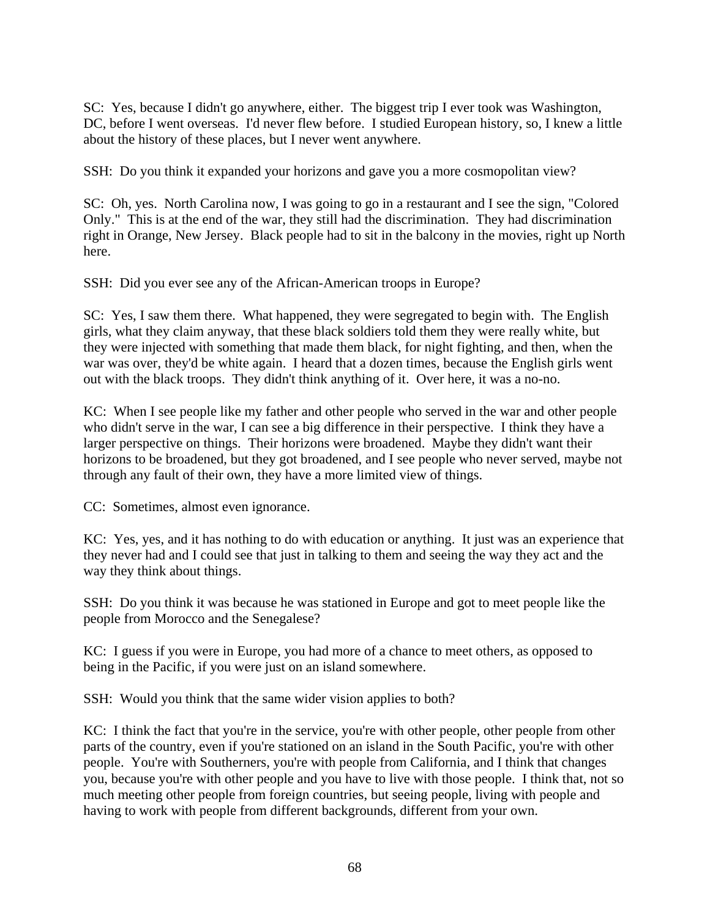SC: Yes, because I didn't go anywhere, either. The biggest trip I ever took was Washington, DC, before I went overseas. I'd never flew before. I studied European history, so, I knew a little about the history of these places, but I never went anywhere.

SSH: Do you think it expanded your horizons and gave you a more cosmopolitan view?

SC: Oh, yes. North Carolina now, I was going to go in a restaurant and I see the sign, "Colored Only." This is at the end of the war, they still had the discrimination. They had discrimination right in Orange, New Jersey. Black people had to sit in the balcony in the movies, right up North here.

SSH: Did you ever see any of the African-American troops in Europe?

SC: Yes, I saw them there. What happened, they were segregated to begin with. The English girls, what they claim anyway, that these black soldiers told them they were really white, but they were injected with something that made them black, for night fighting, and then, when the war was over, they'd be white again. I heard that a dozen times, because the English girls went out with the black troops. They didn't think anything of it. Over here, it was a no-no.

KC: When I see people like my father and other people who served in the war and other people who didn't serve in the war, I can see a big difference in their perspective. I think they have a larger perspective on things. Their horizons were broadened. Maybe they didn't want their horizons to be broadened, but they got broadened, and I see people who never served, maybe not through any fault of their own, they have a more limited view of things.

CC: Sometimes, almost even ignorance.

KC: Yes, yes, and it has nothing to do with education or anything. It just was an experience that they never had and I could see that just in talking to them and seeing the way they act and the way they think about things.

SSH: Do you think it was because he was stationed in Europe and got to meet people like the people from Morocco and the Senegalese?

KC: I guess if you were in Europe, you had more of a chance to meet others, as opposed to being in the Pacific, if you were just on an island somewhere.

SSH: Would you think that the same wider vision applies to both?

KC: I think the fact that you're in the service, you're with other people, other people from other parts of the country, even if you're stationed on an island in the South Pacific, you're with other people. You're with Southerners, you're with people from California, and I think that changes you, because you're with other people and you have to live with those people. I think that, not so much meeting other people from foreign countries, but seeing people, living with people and having to work with people from different backgrounds, different from your own.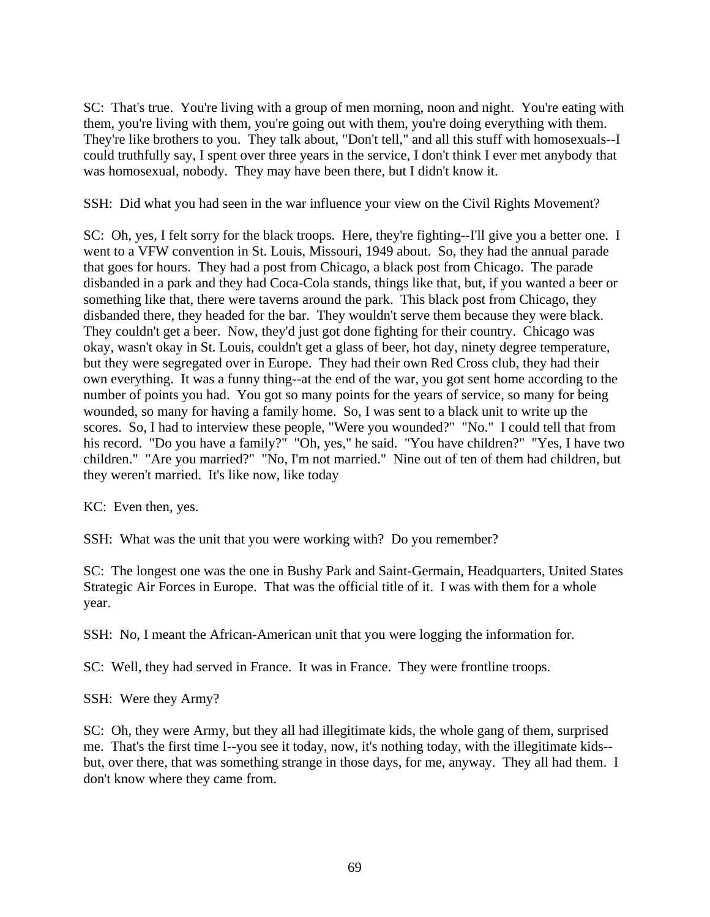SC: That's true. You're living with a group of men morning, noon and night. You're eating with them, you're living with them, you're going out with them, you're doing everything with them. They're like brothers to you. They talk about, "Don't tell," and all this stuff with homosexuals--I could truthfully say, I spent over three years in the service, I don't think I ever met anybody that was homosexual, nobody. They may have been there, but I didn't know it.

SSH: Did what you had seen in the war influence your view on the Civil Rights Movement?

SC: Oh, yes, I felt sorry for the black troops. Here, they're fighting--I'll give you a better one. I went to a VFW convention in St. Louis, Missouri, 1949 about. So, they had the annual parade that goes for hours. They had a post from Chicago, a black post from Chicago. The parade disbanded in a park and they had Coca-Cola stands, things like that, but, if you wanted a beer or something like that, there were taverns around the park. This black post from Chicago, they disbanded there, they headed for the bar. They wouldn't serve them because they were black. They couldn't get a beer. Now, they'd just got done fighting for their country. Chicago was okay, wasn't okay in St. Louis, couldn't get a glass of beer, hot day, ninety degree temperature, but they were segregated over in Europe. They had their own Red Cross club, they had their own everything. It was a funny thing--at the end of the war, you got sent home according to the number of points you had. You got so many points for the years of service, so many for being wounded, so many for having a family home. So, I was sent to a black unit to write up the scores. So, I had to interview these people, "Were you wounded?" "No." I could tell that from his record. "Do you have a family?" "Oh, yes," he said. "You have children?" "Yes, I have two children." "Are you married?" "No, I'm not married." Nine out of ten of them had children, but they weren't married. It's like now, like today

KC: Even then, yes.

SSH: What was the unit that you were working with? Do you remember?

SC: The longest one was the one in Bushy Park and Saint-Germain, Headquarters, United States Strategic Air Forces in Europe. That was the official title of it. I was with them for a whole year.

SSH: No, I meant the African-American unit that you were logging the information for.

SC: Well, they had served in France. It was in France. They were frontline troops.

SSH: Were they Army?

SC: Oh, they were Army, but they all had illegitimate kids, the whole gang of them, surprised me. That's the first time I--you see it today, now, it's nothing today, with the illegitimate kids- but, over there, that was something strange in those days, for me, anyway. They all had them. I don't know where they came from.